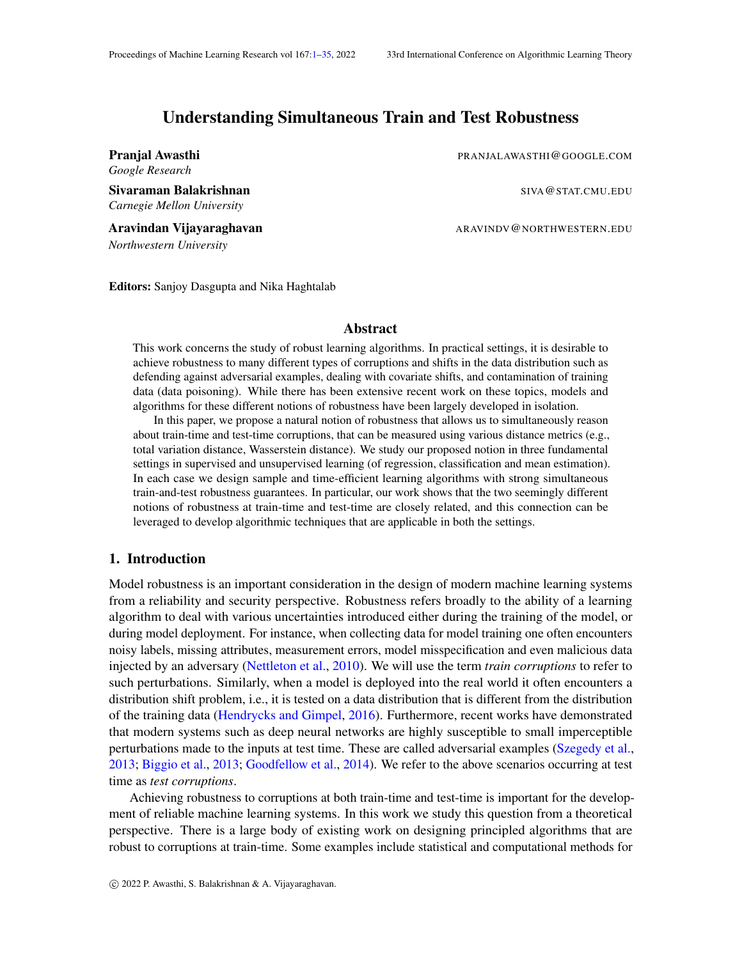# Understanding Simultaneous Train and Test Robustness

*Google Research*

Sivaraman Balakrishnan SIVA@STAT.CMU.EDU *Carnegie Mellon University*

Aravindan Vijayaraghavan ARAVINDV@NORTHWESTERN.EDU *Northwestern University*

<span id="page-0-0"></span>**Pranjal Awasthi Pranjal Awasthi PRANJALAWASTHI** COOGLE.COM

Editors: Sanjoy Dasgupta and Nika Haghtalab

## Abstract

This work concerns the study of robust learning algorithms. In practical settings, it is desirable to achieve robustness to many different types of corruptions and shifts in the data distribution such as defending against adversarial examples, dealing with covariate shifts, and contamination of training data (data poisoning). While there has been extensive recent work on these topics, models and algorithms for these different notions of robustness have been largely developed in isolation.

In this paper, we propose a natural notion of robustness that allows us to simultaneously reason about train-time and test-time corruptions, that can be measured using various distance metrics (e.g., total variation distance, Wasserstein distance). We study our proposed notion in three fundamental settings in supervised and unsupervised learning (of regression, classification and mean estimation). In each case we design sample and time-efficient learning algorithms with strong simultaneous train-and-test robustness guarantees. In particular, our work shows that the two seemingly different notions of robustness at train-time and test-time are closely related, and this connection can be leveraged to develop algorithmic techniques that are applicable in both the settings.

## 1. Introduction

Model robustness is an important consideration in the design of modern machine learning systems from a reliability and security perspective. Robustness refers broadly to the ability of a learning algorithm to deal with various uncertainties introduced either during the training of the model, or during model deployment. For instance, when collecting data for model training one often encounters noisy labels, missing attributes, measurement errors, model misspecification and even malicious data injected by an adversary [\(Nettleton et al.,](#page-16-0) [2010\)](#page-16-0). We will use the term *train corruptions* to refer to such perturbations. Similarly, when a model is deployed into the real world it often encounters a distribution shift problem, i.e., it is tested on a data distribution that is different from the distribution of the training data [\(Hendrycks and Gimpel,](#page-15-0) [2016\)](#page-15-0). Furthermore, recent works have demonstrated that modern systems such as deep neural networks are highly susceptible to small imperceptible perturbations made to the inputs at test time. These are called adversarial examples [\(Szegedy et al.,](#page-16-1) [2013;](#page-16-1) [Biggio et al.,](#page-14-0) [2013;](#page-14-0) [Goodfellow et al.,](#page-15-1) [2014\)](#page-15-1). We refer to the above scenarios occurring at test time as *test corruptions*.

Achieving robustness to corruptions at both train-time and test-time is important for the development of reliable machine learning systems. In this work we study this question from a theoretical perspective. There is a large body of existing work on designing principled algorithms that are robust to corruptions at train-time. Some examples include statistical and computational methods for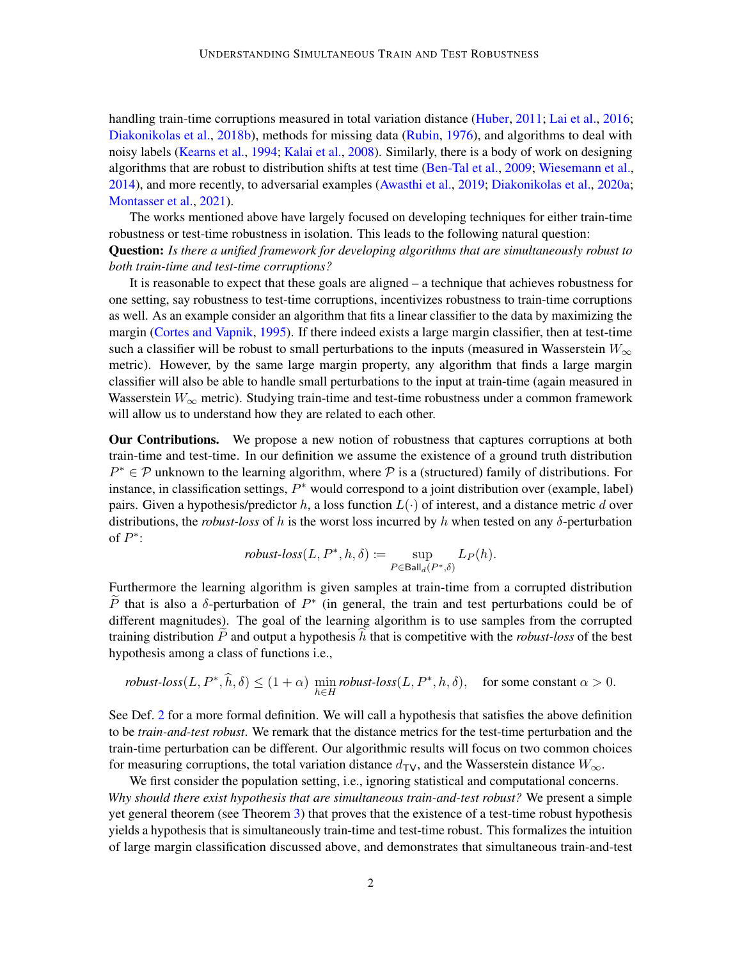handling train-time corruptions measured in total variation distance [\(Huber,](#page-15-2) [2011;](#page-15-2) [Lai et al.,](#page-16-2) [2016;](#page-16-2) [Diakonikolas et al.,](#page-15-3) [2018b\)](#page-15-3), methods for missing data [\(Rubin,](#page-16-3) [1976\)](#page-16-3), and algorithms to deal with noisy labels [\(Kearns et al.,](#page-15-4) [1994;](#page-15-4) [Kalai et al.,](#page-15-5) [2008\)](#page-15-5). Similarly, there is a body of work on designing algorithms that are robust to distribution shifts at test time [\(Ben-Tal et al.,](#page-14-1) [2009;](#page-14-1) [Wiesemann et al.,](#page-17-0) [2014\)](#page-17-0), and more recently, to adversarial examples [\(Awasthi et al.,](#page-14-2) [2019;](#page-14-2) [Diakonikolas et al.,](#page-15-6) [2020a;](#page-15-6) [Montasser et al.,](#page-16-4) [2021\)](#page-16-4).

The works mentioned above have largely focused on developing techniques for either train-time robustness or test-time robustness in isolation. This leads to the following natural question: Question: *Is there a unified framework for developing algorithms that are simultaneously robust to both train-time and test-time corruptions?*

It is reasonable to expect that these goals are aligned – a technique that achieves robustness for one setting, say robustness to test-time corruptions, incentivizes robustness to train-time corruptions as well. As an example consider an algorithm that fits a linear classifier to the data by maximizing the margin [\(Cortes and Vapnik,](#page-14-3) [1995\)](#page-14-3). If there indeed exists a large margin classifier, then at test-time such a classifier will be robust to small perturbations to the inputs (measured in Wasserstein  $W_{\infty}$ ) metric). However, by the same large margin property, any algorithm that finds a large margin classifier will also be able to handle small perturbations to the input at train-time (again measured in Wasserstein  $W_{\infty}$  metric). Studying train-time and test-time robustness under a common framework will allow us to understand how they are related to each other.

Our Contributions. We propose a new notion of robustness that captures corruptions at both train-time and test-time. In our definition we assume the existence of a ground truth distribution  $P^* \in \mathcal{P}$  unknown to the learning algorithm, where  $\mathcal{P}$  is a (structured) family of distributions. For instance, in classification settings,  $P^*$  would correspond to a joint distribution over (example, label) pairs. Given a hypothesis/predictor h, a loss function  $L(\cdot)$  of interest, and a distance metric d over distributions, the *robust-loss* of h is the worst loss incurred by h when tested on any δ-perturbation of  $P^*$ :

$$
\text{robust-loss}(L, P^*, h, \delta) \coloneqq \sup_{P \in \text{Ball}_d(P^*, \delta)} L_P(h).
$$

Furthermore the learning algorithm is given samples at train-time from a corrupted distribution  $\tilde{P}$  that is also a  $\delta$ -perturbation of  $P^*$  (in general, the train and test perturbations could be of different magnitudes). The goal of the learning algorithm is to use samples from the corrupted training distribution  $P$  and output a hypothesis  $h$  that is competitive with the *robust-loss* of the best hypothesis among a class of functions i.e.,

*robust-loss*
$$
(L, P^*, \hat{h}, \delta) \le (1 + \alpha) \min_{h \in H}
$$
 *robust-loss* $(L, P^*, h, \delta)$ , for some constant  $\alpha > 0$ .

See Def. [2](#page-4-0) for a more formal definition. We will call a hypothesis that satisfies the above definition to be *train-and-test robust*. We remark that the distance metrics for the test-time perturbation and the train-time perturbation can be different. Our algorithmic results will focus on two common choices for measuring corruptions, the total variation distance  $d_{\text{TV}}$ , and the Wasserstein distance  $W_{\infty}$ .

We first consider the population setting, i.e., ignoring statistical and computational concerns. *Why should there exist hypothesis that are simultaneous train-and-test robust?* We present a simple yet general theorem (see Theorem [3\)](#page-5-0) that proves that the existence of a test-time robust hypothesis yields a hypothesis that is simultaneously train-time and test-time robust. This formalizes the intuition of large margin classification discussed above, and demonstrates that simultaneous train-and-test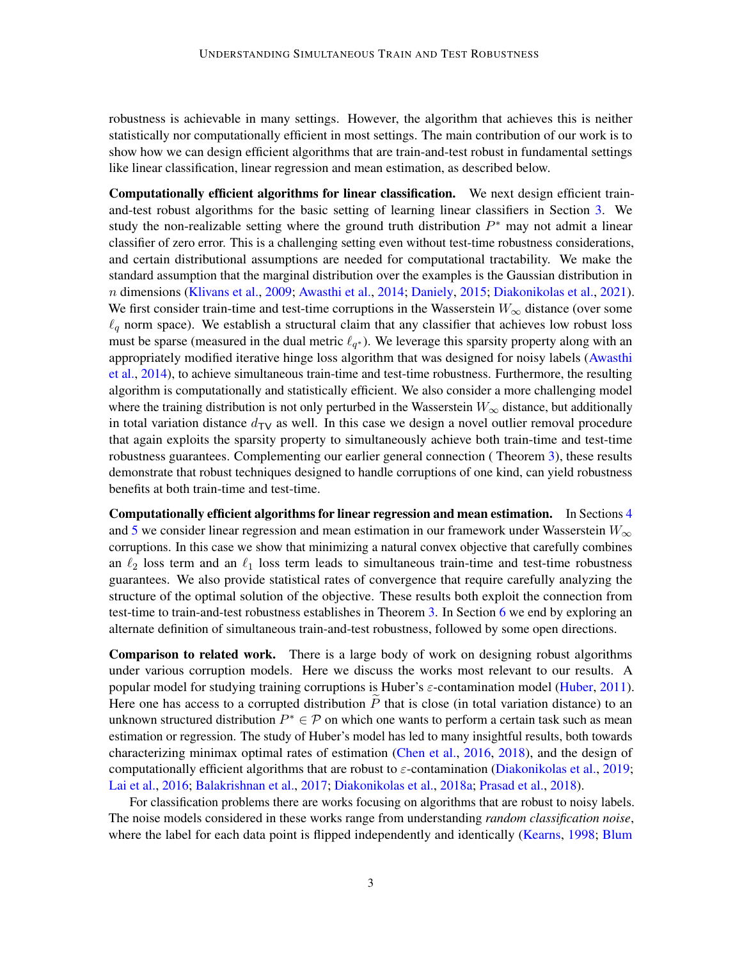robustness is achievable in many settings. However, the algorithm that achieves this is neither statistically nor computationally efficient in most settings. The main contribution of our work is to show how we can design efficient algorithms that are train-and-test robust in fundamental settings like linear classification, linear regression and mean estimation, as described below.

Computationally efficient algorithms for linear classification. We next design efficient trainand-test robust algorithms for the basic setting of learning linear classifiers in Section [3.](#page-6-0) We study the non-realizable setting where the ground truth distribution  $P^*$  may not admit a linear classifier of zero error. This is a challenging setting even without test-time robustness considerations, and certain distributional assumptions are needed for computational tractability. We make the standard assumption that the marginal distribution over the examples is the Gaussian distribution in n dimensions [\(Klivans et al.,](#page-16-5) [2009;](#page-16-5) [Awasthi et al.,](#page-13-0) [2014;](#page-13-0) [Daniely,](#page-14-4) [2015;](#page-14-4) [Diakonikolas et al.,](#page-15-7) [2021\)](#page-15-7). We first consider train-time and test-time corruptions in the Wasserstein  $W_{\infty}$  distance (over some  $\ell_q$  norm space). We establish a structural claim that any classifier that achieves low robust loss must be sparse (measured in the dual metric  $\ell_{q^*}$ ). We leverage this sparsity property along with an appropriately modified iterative hinge loss algorithm that was designed for noisy labels [\(Awasthi](#page-13-0) [et al.,](#page-13-0) [2014\)](#page-13-0), to achieve simultaneous train-time and test-time robustness. Furthermore, the resulting algorithm is computationally and statistically efficient. We also consider a more challenging model where the training distribution is not only perturbed in the Wasserstein  $W_{\infty}$  distance, but additionally in total variation distance  $d_{\text{TV}}$  as well. In this case we design a novel outlier removal procedure that again exploits the sparsity property to simultaneously achieve both train-time and test-time robustness guarantees. Complementing our earlier general connection ( Theorem [3\)](#page-5-0), these results demonstrate that robust techniques designed to handle corruptions of one kind, can yield robustness benefits at both train-time and test-time.

Computationally efficient algorithms for linear regression and mean estimation. In Sections [4](#page-10-0) and [5](#page-11-0) we consider linear regression and mean estimation in our framework under Wasserstein  $W_{\infty}$ corruptions. In this case we show that minimizing a natural convex objective that carefully combines an  $\ell_2$  loss term and an  $\ell_1$  loss term leads to simultaneous train-time and test-time robustness guarantees. We also provide statistical rates of convergence that require carefully analyzing the structure of the optimal solution of the objective. These results both exploit the connection from test-time to train-and-test robustness establishes in Theorem [3.](#page-5-0) In Section [6](#page-12-0) we end by exploring an alternate definition of simultaneous train-and-test robustness, followed by some open directions.

Comparison to related work. There is a large body of work on designing robust algorithms under various corruption models. Here we discuss the works most relevant to our results. A popular model for studying training corruptions is Huber's  $\varepsilon$ -contamination model [\(Huber,](#page-15-2) [2011\)](#page-15-2). Here one has access to a corrupted distribution  $\tilde{P}$  that is close (in total variation distance) to an unknown structured distribution  $P^* \in \mathcal{P}$  on which one wants to perform a certain task such as mean estimation or regression. The study of Huber's model has led to many insightful results, both towards characterizing minimax optimal rates of estimation [\(Chen et al.,](#page-14-5) [2016,](#page-14-5) [2018\)](#page-14-6), and the design of computationally efficient algorithms that are robust to  $\varepsilon$ -contamination [\(Diakonikolas et al.,](#page-15-8) [2019;](#page-15-8) [Lai et al.,](#page-16-2) [2016;](#page-16-2) [Balakrishnan et al.,](#page-14-7) [2017;](#page-14-7) [Diakonikolas et al.,](#page-15-9) [2018a;](#page-15-9) [Prasad et al.,](#page-16-6) [2018\)](#page-16-6).

For classification problems there are works focusing on algorithms that are robust to noisy labels. The noise models considered in these works range from understanding *random classification noise*, where the label for each data point is flipped independently and identically [\(Kearns,](#page-15-10) [1998;](#page-15-10) [Blum](#page-14-8)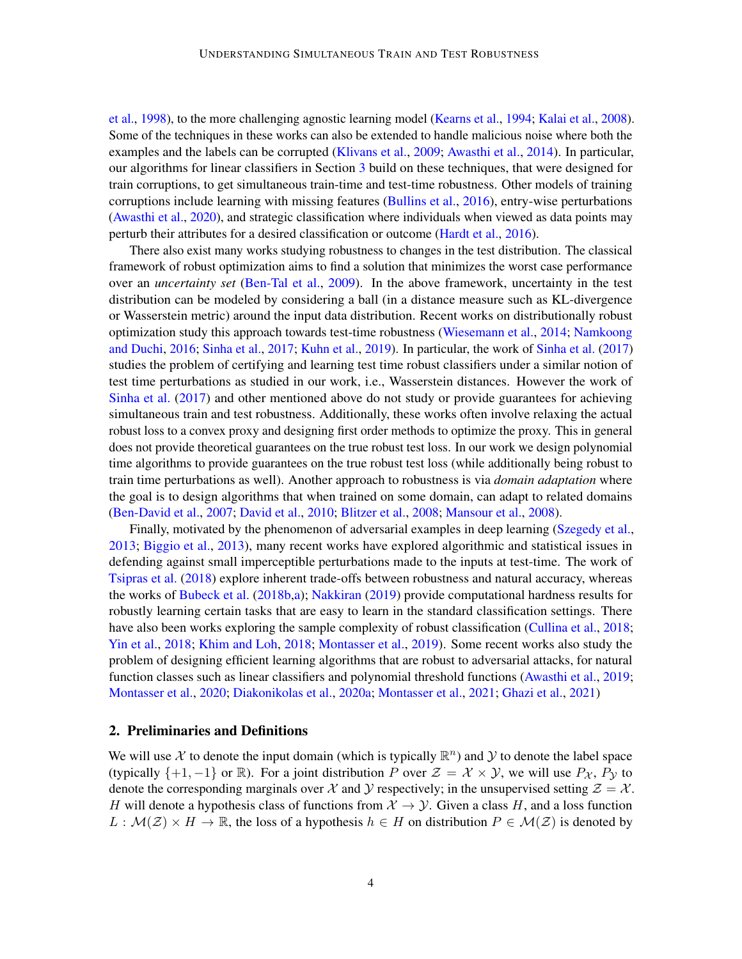[et al.,](#page-14-8) [1998\)](#page-14-8), to the more challenging agnostic learning model [\(Kearns et al.,](#page-15-4) [1994;](#page-15-4) [Kalai et al.,](#page-15-5) [2008\)](#page-15-5). Some of the techniques in these works can also be extended to handle malicious noise where both the examples and the labels can be corrupted [\(Klivans et al.,](#page-16-5) [2009;](#page-16-5) [Awasthi et al.,](#page-13-0) [2014\)](#page-13-0). In particular, our algorithms for linear classifiers in Section [3](#page-6-0) build on these techniques, that were designed for train corruptions, to get simultaneous train-time and test-time robustness. Other models of training corruptions include learning with missing features [\(Bullins et al.,](#page-14-9) [2016\)](#page-14-9), entry-wise perturbations [\(Awasthi et al.,](#page-14-10) [2020\)](#page-14-10), and strategic classification where individuals when viewed as data points may perturb their attributes for a desired classification or outcome [\(Hardt et al.,](#page-15-11) [2016\)](#page-15-11).

There also exist many works studying robustness to changes in the test distribution. The classical framework of robust optimization aims to find a solution that minimizes the worst case performance over an *uncertainty set* [\(Ben-Tal et al.,](#page-14-1) [2009\)](#page-14-1). In the above framework, uncertainty in the test distribution can be modeled by considering a ball (in a distance measure such as KL-divergence or Wasserstein metric) around the input data distribution. Recent works on distributionally robust optimization study this approach towards test-time robustness [\(Wiesemann et al.,](#page-17-0) [2014;](#page-17-0) [Namkoong](#page-16-7) [and Duchi,](#page-16-7) [2016;](#page-16-7) [Sinha et al.,](#page-16-8) [2017;](#page-16-8) [Kuhn et al.,](#page-16-9) [2019\)](#page-16-9). In particular, the work of [Sinha et al.](#page-16-8) [\(2017\)](#page-16-8) studies the problem of certifying and learning test time robust classifiers under a similar notion of test time perturbations as studied in our work, i.e., Wasserstein distances. However the work of [Sinha et al.](#page-16-8) [\(2017\)](#page-16-8) and other mentioned above do not study or provide guarantees for achieving simultaneous train and test robustness. Additionally, these works often involve relaxing the actual robust loss to a convex proxy and designing first order methods to optimize the proxy. This in general does not provide theoretical guarantees on the true robust test loss. In our work we design polynomial time algorithms to provide guarantees on the true robust test loss (while additionally being robust to train time perturbations as well). Another approach to robustness is via *domain adaptation* where the goal is to design algorithms that when trained on some domain, can adapt to related domains [\(Ben-David et al.,](#page-14-11) [2007;](#page-14-11) [David et al.,](#page-15-12) [2010;](#page-15-12) [Blitzer et al.,](#page-14-12) [2008;](#page-14-12) [Mansour et al.,](#page-16-10) [2008\)](#page-16-10).

Finally, motivated by the phenomenon of adversarial examples in deep learning [\(Szegedy et al.,](#page-16-1) [2013;](#page-16-1) [Biggio et al.,](#page-14-0) [2013\)](#page-14-0), many recent works have explored algorithmic and statistical issues in defending against small imperceptible perturbations made to the inputs at test-time. The work of [Tsipras et al.](#page-16-11) [\(2018\)](#page-16-11) explore inherent trade-offs between robustness and natural accuracy, whereas the works of [Bubeck et al.](#page-14-13) [\(2018b](#page-14-13)[,a\)](#page-14-14); [Nakkiran](#page-16-12) [\(2019\)](#page-16-12) provide computational hardness results for robustly learning certain tasks that are easy to learn in the standard classification settings. There have also been works exploring the sample complexity of robust classification [\(Cullina et al.,](#page-14-15) [2018;](#page-14-15) [Yin et al.,](#page-17-1) [2018;](#page-17-1) [Khim and Loh,](#page-16-13) [2018;](#page-16-13) [Montasser et al.,](#page-16-14) [2019\)](#page-16-14). Some recent works also study the problem of designing efficient learning algorithms that are robust to adversarial attacks, for natural function classes such as linear classifiers and polynomial threshold functions [\(Awasthi et al.,](#page-14-2) [2019;](#page-14-2) [Montasser et al.,](#page-16-15) [2020;](#page-16-15) [Diakonikolas et al.,](#page-15-6) [2020a;](#page-15-6) [Montasser et al.,](#page-16-4) [2021;](#page-16-4) [Ghazi et al.,](#page-15-13) [2021\)](#page-15-13)

#### 2. Preliminaries and Definitions

We will use X to denote the input domain (which is typically  $\mathbb{R}^n$ ) and Y to denote the label space (typically  $\{+1, -1\}$  or R). For a joint distribution P over  $\mathcal{Z} = \mathcal{X} \times \mathcal{Y}$ , we will use  $P_{\mathcal{X}}$ ,  $P_{\mathcal{Y}}$  to denote the corresponding marginals over X and Y respectively; in the unsupervised setting  $\mathcal{Z} = \mathcal{X}$ . H will denote a hypothesis class of functions from  $\mathcal{X} \to \mathcal{Y}$ . Given a class H, and a loss function  $L : \mathcal{M}(\mathcal{Z}) \times H \to \mathbb{R}$ , the loss of a hypothesis  $h \in H$  on distribution  $P \in \mathcal{M}(\mathcal{Z})$  is denoted by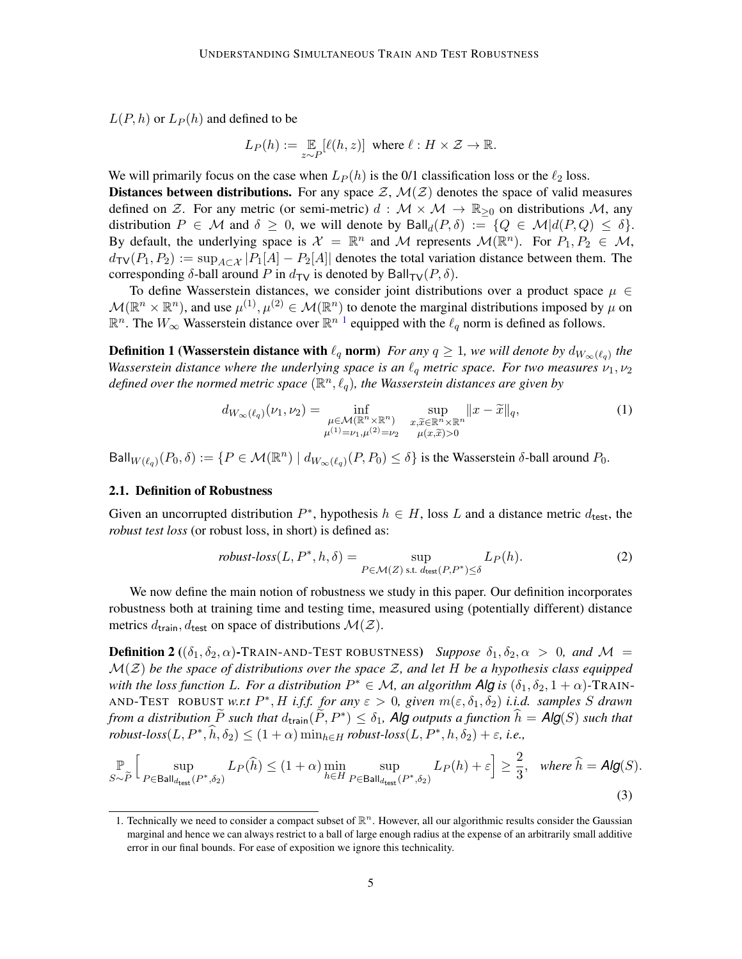$L(P, h)$  or  $L_P(h)$  and defined to be

$$
L_P(h):=\mathop{\mathbb{E}}_{z\sim P}[\ell(h,z)]\ \ \text{where}\ \ell:H\times\mathcal{Z}\rightarrow\mathbb{R}.
$$

We will primarily focus on the case when  $L_P(h)$  is the 0/1 classification loss or the  $\ell_2$  loss. Distances between distributions. For any space  $\mathcal{Z}, \mathcal{M}(\mathcal{Z})$  denotes the space of valid measures defined on Z. For any metric (or semi-metric)  $d : \mathcal{M} \times \mathcal{M} \to \mathbb{R}_{\geq 0}$  on distributions  $\mathcal{M}$ , any distribution  $P \in \mathcal{M}$  and  $\delta \geq 0$ , we will denote by  $\text{Ball}_d(P, \delta) := \{Q \in \mathcal{M} | d(P, Q) \leq \delta\}.$ By default, the underlying space is  $X = \mathbb{R}^n$  and M represents  $\mathcal{M}(\mathbb{R}^n)$ . For  $P_1, P_2 \in \mathcal{M}$ ,  $d_{TV}(P_1, P_2) := \sup_{A \subset \mathcal{X}} |P_1[A] - P_2[A]|$  denotes the total variation distance between them. The corresponding  $\delta$ -ball around P in  $d_{\text{TV}}$  is denoted by Ball<sub>TV</sub>(P,  $\delta$ ).

To define Wasserstein distances, we consider joint distributions over a product space  $\mu \in$  $\mathcal{M}(\mathbb{R}^n\times\mathbb{R}^n)$ , and use  $\mu^{(1)},\mu^{(2)}\in\mathcal{M}(\mathbb{R}^n)$  to denote the marginal distributions imposed by  $\mu$  on  $\mathbb{R}^n$ . The  $W_{\infty}$  Wasserstein distance over  $\mathbb{R}^{n-1}$  $\mathbb{R}^{n-1}$  $\mathbb{R}^{n-1}$  equipped with the  $\ell_q$  norm is defined as follows.

**Definition 1 (Wasserstein distance with**  $\ell_q$  **norm)** *For any*  $q \geq 1$ , we will denote by  $d_{W_\infty(\ell_q)}$  the *Wasserstein distance where the underlying space is an*  $\ell_q$  *metric space. For two measures*  $\nu_1, \nu_2$ defined over the normed metric space  $(\mathbb{R}^n, \ell_q)$ , the Wasserstein distances are given by

$$
d_{W_{\infty}(\ell_q)}(\nu_1, \nu_2) = \inf_{\substack{\mu \in \mathcal{M}(\mathbb{R}^n \times \mathbb{R}^n) \\ \mu^{(1)} = \nu_1, \mu^{(2)} = \nu_2}} \sup_{\substack{x, \widetilde{x} \in \mathbb{R}^n \times \mathbb{R}^n \\ \mu(x, \widetilde{x}) > 0}} \|x - \widetilde{x}\|_q,\tag{1}
$$

Ball $_{W(\ell_q)}(P_0, \delta) := \{P \in \mathcal{M}(\mathbb{R}^n) \mid d_{W_\infty(\ell_q)}(P, P_0) \leq \delta\}$  is the Wasserstein  $\delta$ -ball around  $P_0$ .

#### 2.1. Definition of Robustness

Given an uncorrupted distribution  $P^*$ , hypothesis  $h \in H$ , loss L and a distance metric  $d_{\text{test}}$ , the *robust test loss* (or robust loss, in short) is defined as:

<span id="page-4-2"></span>
$$
robust-loss(L, P^*, h, \delta) = \sup_{P \in \mathcal{M}(Z) \text{ s.t. } d_{\text{test}}(P, P^*) \le \delta} L_P(h). \tag{2}
$$

We now define the main notion of robustness we study in this paper. Our definition incorporates robustness both at training time and testing time, measured using (potentially different) distance metrics  $d_{\text{train}}$ ,  $d_{\text{test}}$  on space of distributions  $\mathcal{M}(\mathcal{Z})$ .

<span id="page-4-0"></span>**Definition 2** (( $\delta_1, \delta_2, \alpha$ )-TRAIN-AND-TEST ROBUSTNESS) *Suppose*  $\delta_1, \delta_2, \alpha > 0$ *, and*  $\mathcal{M} =$  $\mathcal{M}(\mathcal{Z})$  be the space of distributions over the space  $\mathcal{Z}$ , and let H be a hypothesis class equipped *with the loss function L. For a distribution*  $P^* \in \mathcal{M}$ *, an algorithm Alg is*  $(\delta_1, \delta_2, 1 + \alpha)$ -TRAIN-AND-TEST ROBUST *w.r.t*  $P^*$ , H *i.f.f. for any*  $\varepsilon > 0$ , given  $m(\varepsilon, \delta_1, \delta_2)$  *i.i.d. samples* S *drawn from a distribution*  $\widetilde{P}$  *such that*  $d_{\text{train}}(\widetilde{P}, P^*) \leq \delta_1$ , **Alg** *outputs a function*  $\widehat{h} = \mathsf{Alg}(S)$  *such that*  $robust-loss(L, P^*, \hat{h}, \delta_2) \leq (1+\alpha) \min_{h \in H} robust-loss(L, P^*, h, \delta_2) + \varepsilon$ , *i.e.*,

$$
\mathbb{P}_{S \sim \tilde{P}} \Big[ \sup_{P \in \mathsf{Ball}_{d_{\mathsf{test}}}(P^*, \delta_2)} L_P(\hat{h}) \le (1+\alpha) \min_{h \in H} \sup_{P \in \mathsf{Ball}_{d_{\mathsf{test}}}(P^*, \delta_2)} L_P(h) + \varepsilon \Big] \ge \frac{2}{3}, \quad \text{where } \hat{h} = \mathsf{Alg}(S). \tag{3}
$$

<span id="page-4-1"></span><sup>1.</sup> Technically we need to consider a compact subset of  $\mathbb{R}^n$ . However, all our algorithmic results consider the Gaussian marginal and hence we can always restrict to a ball of large enough radius at the expense of an arbitrarily small additive error in our final bounds. For ease of exposition we ignore this technicality.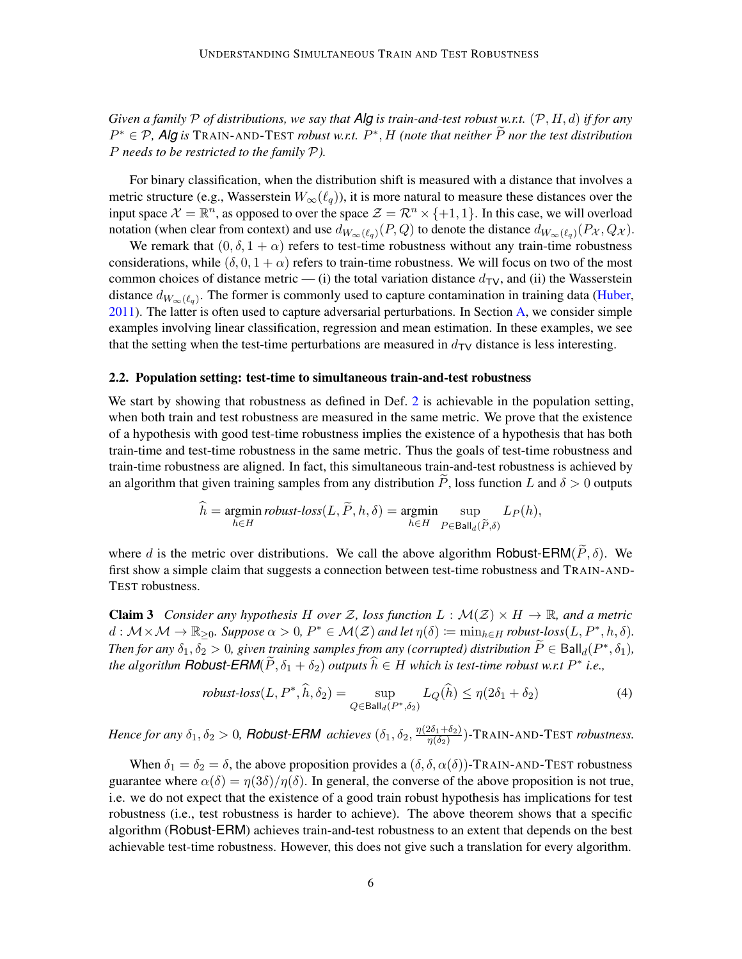*Given a family* P *of distributions, we say that Alg is train-and-test robust w.r.t.* (P, H, d) *if for any*  $P^* \in \mathcal{P}$ , Alg is TRAIN-AND-TEST *robust w.r.t.*  $P^*$ , *H (note that neither*  $\widetilde{P}$  *nor the test distribution* P *needs to be restricted to the family* P*).*

For binary classification, when the distribution shift is measured with a distance that involves a metric structure (e.g., Wasserstein  $W_\infty(\ell_q)$ ), it is more natural to measure these distances over the input space  $\mathcal{X} = \mathbb{R}^n$ , as opposed to over the space  $\mathcal{Z} = \mathcal{R}^n \times \{+1, 1\}$ . In this case, we will overload notation (when clear from context) and use  $d_{W_\infty(\ell_q)}(P,Q)$  to denote the distance  $d_{W_\infty(\ell_q)}(P_{\mathcal{X}},Q_{\mathcal{X}})$ .

We remark that  $(0, \delta, 1 + \alpha)$  refers to test-time robustness without any train-time robustness considerations, while  $(\delta, 0, 1 + \alpha)$  refers to train-time robustness. We will focus on two of the most common choices of distance metric — (i) the total variation distance  $d_{\text{TV}}$ , and (ii) the Wasserstein distance  $d_{W_\infty(\ell_q)}$ . The former is commonly used to capture contamination in training data [\(Huber,](#page-15-2) [2011\)](#page-15-2). The latter is often used to capture adversarial perturbations. In Section [A,](#page-18-0) we consider simple examples involving linear classification, regression and mean estimation. In these examples, we see that the setting when the test-time perturbations are measured in  $d_{\text{TV}}$  distance is less interesting.

#### <span id="page-5-1"></span>2.2. Population setting: test-time to simultaneous train-and-test robustness

We start by showing that robustness as defined in Def. [2](#page-4-0) is achievable in the population setting, when both train and test robustness are measured in the same metric. We prove that the existence of a hypothesis with good test-time robustness implies the existence of a hypothesis that has both train-time and test-time robustness in the same metric. Thus the goals of test-time robustness and train-time robustness are aligned. In fact, this simultaneous train-and-test robustness is achieved by an algorithm that given training samples from any distribution P, loss function L and  $\delta > 0$  outputs

$$
\widehat{h} = \underset{h \in H}{\text{argmin}} \text{ robust-loss}(L, \widetilde{P}, h, \delta) = \underset{h \in H}{\text{argmin}} \sup_{P \in \text{Ball}_d(\widetilde{P}, \delta)} L_P(h),
$$

where d is the metric over distributions. We call the above algorithm Robust-ERM( $\widetilde{P}$ ,  $\delta$ ). We first show a simple claim that suggests a connection between test-time robustness and TRAIN-AND-TEST robustness.

<span id="page-5-0"></span>**Claim 3** *Consider any hypothesis* H *over* Z, loss function  $L : \mathcal{M}(Z) \times H \to \mathbb{R}$ , and a metric  $d: \mathcal{M} \times \mathcal{M} \to \mathbb{R}_{\geq 0}$ . Suppose  $\alpha > 0$ ,  $P^* \in \mathcal{M}(\mathcal{Z})$  and let  $\eta(\delta) \coloneqq \min_{h \in H} \text{robust-loss}(L, P^*, h, \delta)$ . *Then for any*  $\delta_1, \delta_2 > 0$ , given training samples from any (corrupted) distribution  $\widetilde{P} \in \text{Ball}_d(P^*, \delta_1)$ , *the algorithm <code>Robust-ERM</code>(* $\widetilde{P}$ *,*  $\delta_1 + \delta_2$ *) <i>outputs*  $\widehat{h} \in H$  *which is test-time robust w.r.t*  $P^*$  *i.e.*,

$$
robust-loss(L, P^*, \hat{h}, \delta_2) = \sup_{Q \in \text{Ball}_d(P^*, \delta_2)} L_Q(\hat{h}) \le \eta(2\delta_1 + \delta_2)
$$
\n<sup>(4)</sup>

*Hence for any*  $\delta_1, \delta_2 > 0$ , *Robust-ERM* achieves  $(\delta_1, \delta_2, \frac{\eta(2\delta_1 + \delta_2)}{\eta(\delta_2)})$  $\frac{2\delta_1+\delta_2j}{\eta(\delta_2)}$ )-TRAIN-AND-TEST *robustness*.

When  $\delta_1 = \delta_2 = \delta$ , the above proposition provides a  $(\delta, \delta, \alpha(\delta))$ -TRAIN-AND-TEST robustness guarantee where  $\alpha(\delta) = \eta(3\delta)/\eta(\delta)$ . In general, the converse of the above proposition is not true, i.e. we do not expect that the existence of a good train robust hypothesis has implications for test robustness (i.e., test robustness is harder to achieve). The above theorem shows that a specific algorithm (Robust-ERM) achieves train-and-test robustness to an extent that depends on the best achievable test-time robustness. However, this does not give such a translation for every algorithm.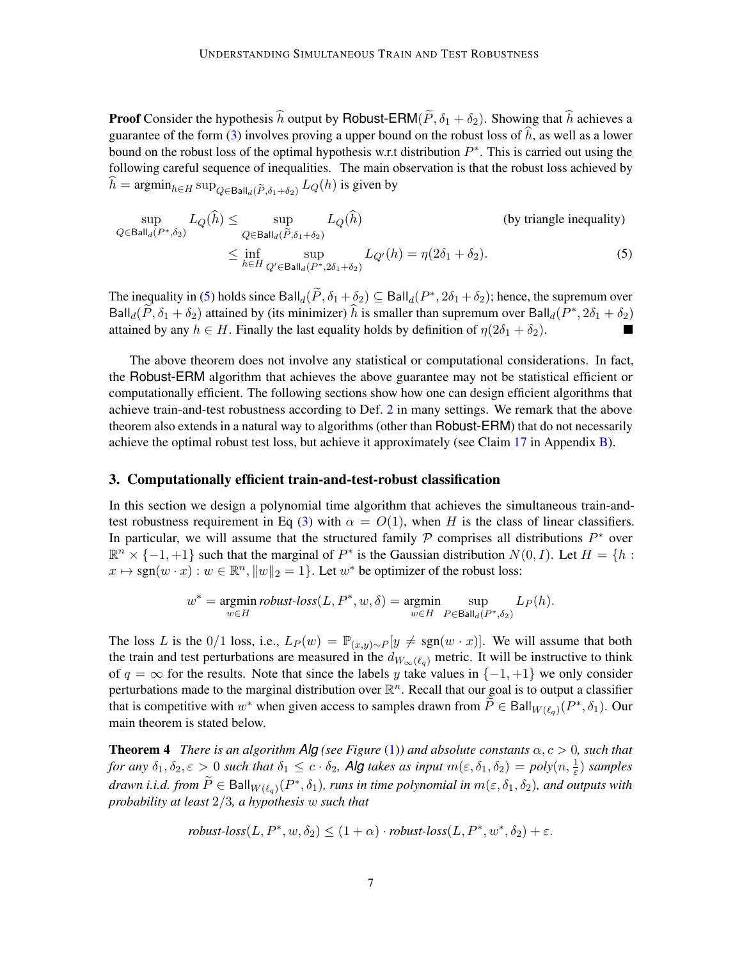**Proof** Consider the hypothesis  $\hat{h}$  output by Robust-ERM( $\tilde{P}$ ,  $\delta_1 + \delta_2$ ). Showing that  $\hat{h}$  achieves a guarantee of the form  $(3)$  involves proving a upper bound on the robust loss of h, as well as a lower bound on the robust loss of the optimal hypothesis w.r.t distribution  $P^*$ . This is carried out using the following careful sequence of inequalities. The main observation is that the robust loss achieved by  $h = \operatorname{argmin}_{h \in H} \sup_{Q \in \text{Ball}_d(\widetilde{P}, \delta_1 + \delta_2)} L_Q(h)$  is given by

<span id="page-6-1"></span>
$$
\sup_{Q \in \text{Ball}_d(P^*, \delta_2)} L_Q(\hat{h}) \le \sup_{Q \in \text{Ball}_d(\tilde{P}, \delta_1 + \delta_2)} L_Q(\hat{h}) \qquad \text{(by triangle inequality)}
$$
\n
$$
\le \inf_{h \in H} \sup_{Q' \in \text{Ball}_d(P^*, 2\delta_1 + \delta_2)} L_{Q'}(h) = \eta(2\delta_1 + \delta_2). \qquad (5)
$$

The inequality in [\(5\)](#page-6-1) holds since  $\text{Ball}_d(\widetilde{P}, \delta_1 + \delta_2) \subseteq \text{Ball}_d(P^*, 2\delta_1 + \delta_2)$ ; hence, the supremum over Ball<sub>d</sub> $(\widetilde{P}, \delta_1 + \delta_2)$  attained by (its minimizer)  $\widehat{h}$  is smaller than supremum over Ball<sub>d</sub> $(P^*, 2\delta_1 + \delta_2)$ attained by any  $h \in H$ . Finally the last equality holds by definition of  $\eta(2\delta_1 + \delta_2)$ . **The Second Second** 

The above theorem does not involve any statistical or computational considerations. In fact, the Robust-ERM algorithm that achieves the above guarantee may not be statistical efficient or computationally efficient. The following sections show how one can design efficient algorithms that achieve train-and-test robustness according to Def. [2](#page-4-0) in many settings. We remark that the above theorem also extends in a natural way to algorithms (other than Robust-ERM) that do not necessarily achieve the optimal robust test loss, but achieve it approximately (see Claim [17](#page-19-0) in Appendix [B\)](#page-19-1).

#### <span id="page-6-0"></span>3. Computationally efficient train-and-test-robust classification

In this section we design a polynomial time algorithm that achieves the simultaneous train-and-test robustness requirement in Eq [\(3\)](#page-4-2) with  $\alpha = O(1)$ , when H is the class of linear classifiers. In particular, we will assume that the structured family  $P$  comprises all distributions  $P^*$  over  $\mathbb{R}^n \times \{-1, +1\}$  such that the marginal of  $P^*$  is the Gaussian distribution  $N(0, I)$ . Let  $H = \{h :$  $x \mapsto \text{sgn}(w \cdot x) : w \in \mathbb{R}^n, ||w||_2 = 1$ . Let  $w^*$  be optimizer of the robust loss:

$$
w^* = \underset{w \in H}{\text{argmin}} \text{ robust-loss}(L, P^*, w, \delta) = \underset{w \in H}{\text{argmin}} \sup_{P \in \text{Ball}_d(P^*, \delta_2)} L_P(h).
$$

The loss L is the 0/1 loss, i.e.,  $L_P(w) = \mathbb{P}_{(x,y)\sim P}[y \neq \text{sgn}(w \cdot x)]$ . We will assume that both the train and test perturbations are measured in the  $d_{W_\infty(\ell_q)}$  metric. It will be instructive to think of  $q = \infty$  for the results. Note that since the labels y take values in  $\{-1, +1\}$  we only consider perturbations made to the marginal distribution over  $\mathbb{R}^n$ . Recall that our goal is to output a classifier that is competitive with  $w^*$  when given access to samples drawn from  $\widetilde{P} \in \text{Ball}_{W(\ell_q)}(P^*, \delta_1)$ . Our main theorem is stated below.

**Theorem 4** *There is an algorithm Alg* (see Figure [\(1\)](#page-9-0)) and absolute constants  $\alpha$ ,  $c > 0$ , such that *for any*  $\delta_1, \delta_2, \varepsilon > 0$  *such that*  $\delta_1 \leq c \cdot \delta_2$ , **Alg** *takes as input*  $m(\varepsilon, \delta_1, \delta_2) = poly(n, \frac{1}{\varepsilon})$  *samples*  $d$ rawn *i.i.d.* from  $\widetilde{P} \in \text{Ball}_{W(\ell_q)}(P^*, \delta_1)$ , runs in time polynomial in  $m(\varepsilon, \delta_1, \delta_2)$ , and outputs with *probability at least* 2/3*, a hypothesis* w *such that*

<span id="page-6-2"></span>robust-loss
$$
(L, P^*, w, \delta_2) \le (1 + \alpha) \cdot robust-loss(L, P^*, w^*, \delta_2) + \varepsilon.
$$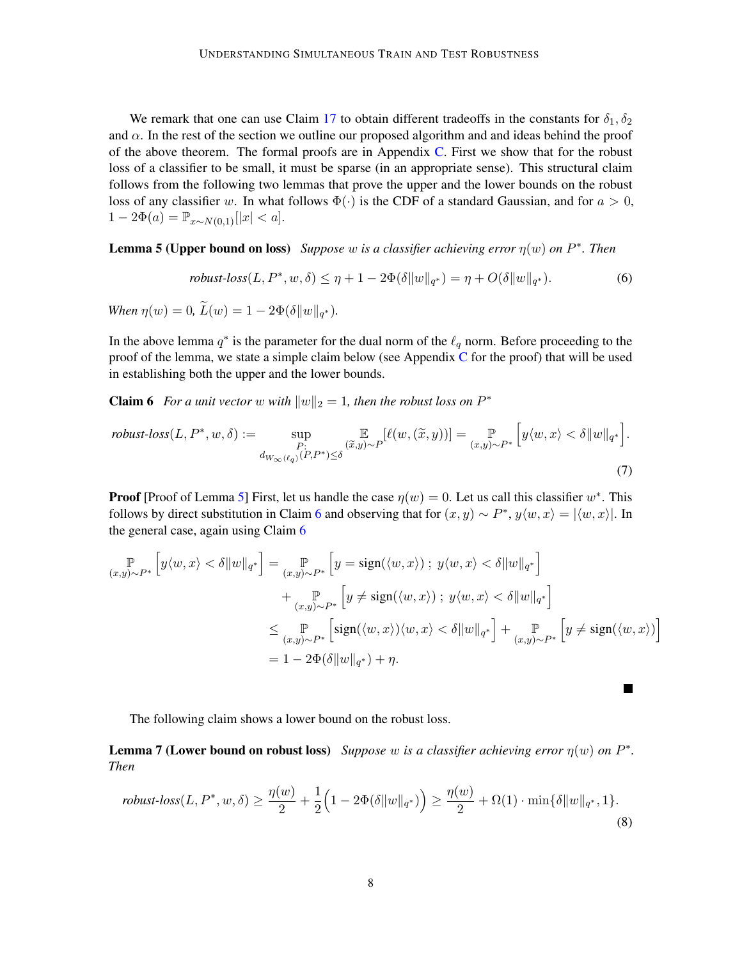We remark that one can use Claim [17](#page-19-0) to obtain different tradeoffs in the constants for  $\delta_1, \delta_2$ and  $\alpha$ . In the rest of the section we outline our proposed algorithm and and ideas behind the proof of the above theorem. The formal proofs are in Appendix [C.](#page-19-2) First we show that for the robust loss of a classifier to be small, it must be sparse (in an appropriate sense). This structural claim follows from the following two lemmas that prove the upper and the lower bounds on the robust loss of any classifier w. In what follows  $\Phi(\cdot)$  is the CDF of a standard Gaussian, and for  $a > 0$ ,  $1 - 2\Phi(a) = \mathbb{P}_{x \sim N(0,1)}[|x| < a].$ 

<span id="page-7-0"></span>**Lemma 5 (Upper bound on loss)** Suppose w is a classifier achieving error  $\eta(w)$  on  $P^*$ . Then

<span id="page-7-1"></span>
$$
robust\text{-}loss(L, P^*, w, \delta) \le \eta + 1 - 2\Phi(\delta||w||_{q^*}) = \eta + O(\delta||w||_{q^*}).\tag{6}
$$

*When*  $\eta(w) = 0$ ,  $L(w) = 1 - 2\Phi(\delta ||w||_{q^*}).$ 

In the above lemma  $q^*$  is the parameter for the dual norm of the  $\ell_q$  norm. Before proceeding to the proof of the lemma, we state a simple claim below (see Appendix [C](#page-19-2) for the proof) that will be used in establishing both the upper and the lower bounds.

**Claim 6** For a unit vector w with  $||w||_2 = 1$ , then the robust loss on  $P^*$ 

$$
\text{robust-loss}(L, P^*, w, \delta) := \sup_{\substack{P: \\ d_{W_{\infty}(\ell_q)}(P, P^*) \le \delta}} \mathbb{E}_{\substack{\overline{x}, y \sim P \\ d_{W_{\infty}(\ell_q)}(P, P^*) \le \delta}} [\ell(w, (\tilde{x}, y))] = \mathbb{E}_{(x, y) \sim P^*} [y \langle w, x \rangle < \delta \|w\|_{q^*}].
$$
\n
$$
(7)
$$

**Proof** [Proof of Lemma [5\]](#page-7-0) First, let us handle the case  $\eta(w) = 0$ . Let us call this classifier  $w^*$ . This follows by direct substitution in Claim [6](#page-7-1) and observing that for  $(x, y) \sim P^*$ ,  $y \langle w, x \rangle = |\langle w, x \rangle|$ . In the general case, again using Claim [6](#page-7-1)

$$
\mathbb{P}_{(x,y)\sim P^*} \left[ y\langle w, x \rangle < \delta \|w\|_{q^*} \right] = \mathbb{P}_{(x,y)\sim P^*} \left[ y = \text{sign}(\langle w, x \rangle) \, ; \, y\langle w, x \rangle < \delta \|w\|_{q^*} \right] \\
+ \mathbb{P}_{(x,y)\sim P^*} \left[ y \neq \text{sign}(\langle w, x \rangle) \, ; \, y\langle w, x \rangle < \delta \|w\|_{q^*} \right] \\
\leq \mathbb{P}_{(x,y)\sim P^*} \left[ \text{sign}(\langle w, x \rangle) \langle w, x \rangle < \delta \|w\|_{q^*} \right] + \mathbb{P}_{(x,y)\sim P^*} \left[ y \neq \text{sign}(\langle w, x \rangle) \right] \\
= 1 - 2\Phi(\delta \|w\|_{q^*}) + \eta.
$$

П

The following claim shows a lower bound on the robust loss.

<span id="page-7-2"></span>**Lemma 7 (Lower bound on robust loss)** Suppose w is a classifier achieving error  $\eta(w)$  on  $P^*$ . *Then*

$$
robust\text{-}loss(L, P^*, w, \delta) \ge \frac{\eta(w)}{2} + \frac{1}{2} \Big( 1 - 2\Phi(\delta \|w\|_{q^*}) \Big) \ge \frac{\eta(w)}{2} + \Omega(1) \cdot \min\{\delta \|w\|_{q^*}, 1\}. \tag{8}
$$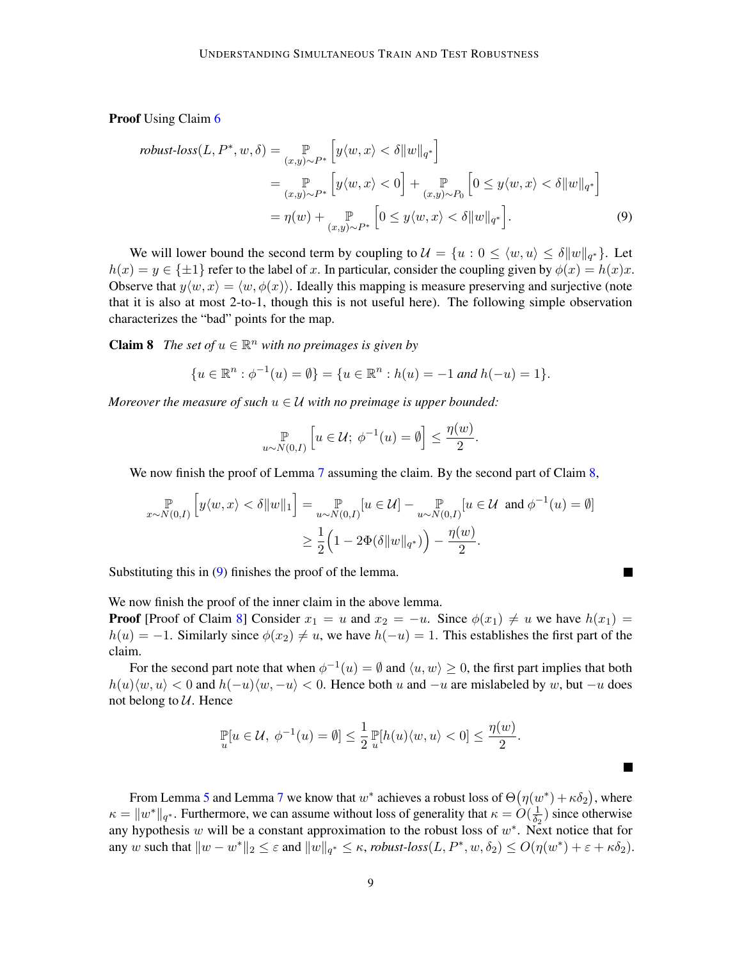Proof Using Claim [6](#page-7-1)

$$
\text{robust-loss}(L, P^*, w, \delta) = \mathop{\mathbb{P}}_{(x,y)\sim P^*} \left[ y \langle w, x \rangle < \delta \| w \|_{q^*} \right]
$$
\n
$$
= \mathop{\mathbb{P}}_{(x,y)\sim P^*} \left[ y \langle w, x \rangle < 0 \right] + \mathop{\mathbb{P}}_{(x,y)\sim P_0} \left[ 0 \le y \langle w, x \rangle < \delta \| w \|_{q^*} \right]
$$
\n
$$
= \eta(w) + \mathop{\mathbb{P}}_{(x,y)\sim P^*} \left[ 0 \le y \langle w, x \rangle < \delta \| w \|_{q^*} \right]. \tag{9}
$$

We will lower bound the second term by coupling to  $\mathcal{U} = \{u : 0 \le \langle w, u \rangle \le \delta ||w||_{q^*}\}.$  Let  $h(x) = y \in {\pm 1}$  refer to the label of x. In particular, consider the coupling given by  $\phi(x) = h(x)x$ . Observe that  $y\langle w, x \rangle = \langle w, \phi(x) \rangle$ . Ideally this mapping is measure preserving and surjective (note that it is also at most 2-to-1, though this is not useful here). The following simple observation characterizes the "bad" points for the map.

**Claim 8** The set of  $u \in \mathbb{R}^n$  with no preimages is given by

$$
\{u \in \mathbb{R}^n : \phi^{-1}(u) = \emptyset\} = \{u \in \mathbb{R}^n : h(u) = -1 \text{ and } h(-u) = 1\}.
$$

*Moreover the measure of such*  $u \in U$  *with no preimage is upper bounded:* 

<span id="page-8-0"></span>
$$
\mathbb{P}_{u \sim N(0,I)} \left[ u \in \mathcal{U}; \ \phi^{-1}(u) = \emptyset \right] \le \frac{\eta(w)}{2}.
$$

We now finish the proof of Lemma [7](#page-7-2) assuming the claim. By the second part of Claim [8,](#page-8-0)

$$
\mathbb{P}_{x \sim N(0,I)} \left[ y \langle w, x \rangle < \delta \| w \|_1 \right] = \mathbb{P}_{u \sim N(0,I)} [u \in \mathcal{U}] - \mathbb{P}_{u \sim N(0,I)} [u \in \mathcal{U} \text{ and } \phi^{-1}(u) = \emptyset] \\
\geq \frac{1}{2} \left( 1 - 2\Phi(\delta \| w \|_{q^*}) \right) - \frac{\eta(w)}{2}.
$$

Substituting this in  $(9)$  finishes the proof of the lemma.

<span id="page-8-1"></span>
$$
\blacksquare
$$

 $\blacksquare$ 

We now finish the proof of the inner claim in the above lemma.

**Proof** [Proof of Claim [8\]](#page-8-0) Consider  $x_1 = u$  and  $x_2 = -u$ . Since  $\phi(x_1) \neq u$  we have  $h(x_1) =$  $h(u) = -1$ . Similarly since  $\phi(x_2) \neq u$ , we have  $h(-u) = 1$ . This establishes the first part of the claim.

For the second part note that when  $\phi^{-1}(u) = \emptyset$  and  $\langle u, w \rangle \ge 0$ , the first part implies that both  $h(u)\langle w, u\rangle < 0$  and  $h(-u)\langle w, -u\rangle < 0$ . Hence both u and  $-u$  are mislabeled by w, but  $-u$  does not belong to  $U$ . Hence

$$
\mathbb{P}_{u}[u \in \mathcal{U}, \phi^{-1}(u) = \emptyset] \leq \frac{1}{2} \mathbb{P}_{u}[h(u)\langle w, u\rangle < 0] \leq \frac{\eta(w)}{2}.
$$

From Lemma [5](#page-7-0) and Lemma [7](#page-7-2) we know that  $w^*$  achieves a robust loss of  $\Theta(\eta(w^*) + \kappa \delta_2)$ , where  $\kappa = ||w^*||_{q^*}$ . Furthermore, we can assume without loss of generality that  $\kappa = O(\frac{1}{\delta_0})$  $\frac{1}{\delta_2}$ ) since otherwise any hypothesis w will be a constant approximation to the robust loss of  $w^*$ . Next notice that for any w such that  $||w - w^*||_2 \le \varepsilon$  and  $||w||_{q^*} \le \kappa$ , *robust-loss* $(L, P^*, w, \delta_2) \le O(\eta(w^*) + \varepsilon + \kappa \delta_2)$ .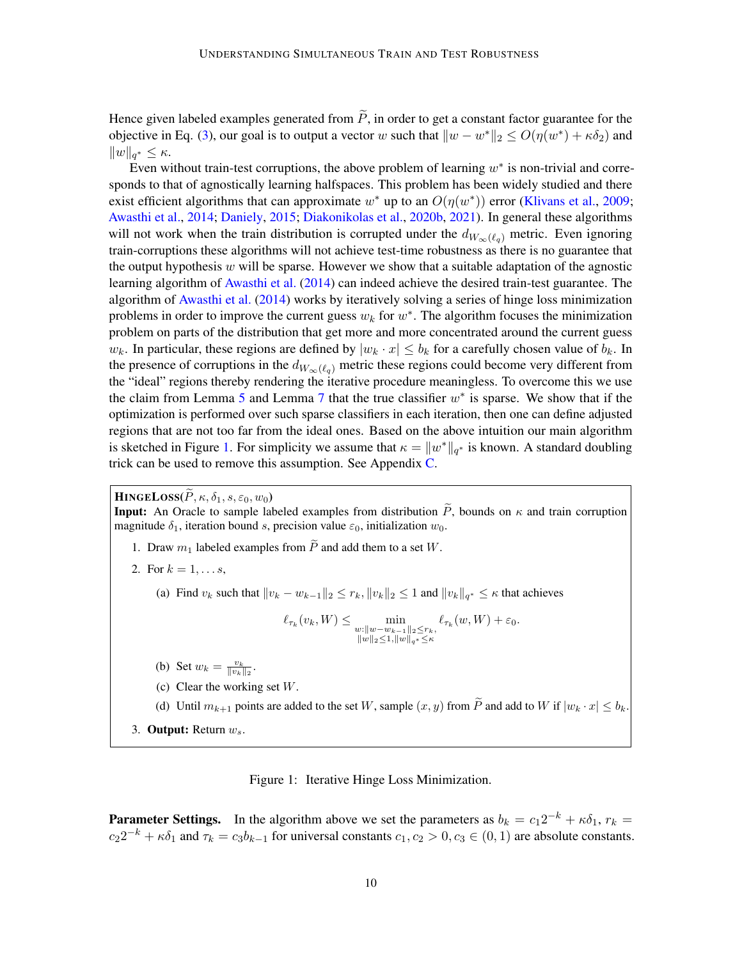Hence given labeled examples generated from  $\widetilde{P}$ , in order to get a constant factor guarantee for the objective in Eq. [\(3\)](#page-4-2), our goal is to output a vector w such that  $||w - w^*||_2 \le O(\eta(w^*) + \kappa \delta_2)$  and  $||w||_{q^*} \leq \kappa.$ 

Even without train-test corruptions, the above problem of learning  $w^*$  is non-trivial and corresponds to that of agnostically learning halfspaces. This problem has been widely studied and there exist efficient algorithms that can approximate  $w^*$  up to an  $O(\eta(w^*))$  error [\(Klivans et al.,](#page-16-5) [2009;](#page-16-5) [Awasthi et al.,](#page-13-0) [2014;](#page-13-0) [Daniely,](#page-14-4) [2015;](#page-14-4) [Diakonikolas et al.,](#page-15-14) [2020b,](#page-15-14) [2021\)](#page-15-7). In general these algorithms will not work when the train distribution is corrupted under the  $d_{W_\infty(\ell_q)}$  metric. Even ignoring train-corruptions these algorithms will not achieve test-time robustness as there is no guarantee that the output hypothesis  $w$  will be sparse. However we show that a suitable adaptation of the agnostic learning algorithm of [Awasthi et al.](#page-13-0) [\(2014\)](#page-13-0) can indeed achieve the desired train-test guarantee. The algorithm of [Awasthi et al.](#page-13-0) [\(2014\)](#page-13-0) works by iteratively solving a series of hinge loss minimization problems in order to improve the current guess  $w_k$  for  $w^*$ . The algorithm focuses the minimization problem on parts of the distribution that get more and more concentrated around the current guess  $w_k$ . In particular, these regions are defined by  $|w_k \cdot x| \leq b_k$  for a carefully chosen value of  $b_k$ . In the presence of corruptions in the  $d_{W_\infty(\ell_q)}$  metric these regions could become very different from the "ideal" regions thereby rendering the iterative procedure meaningless. To overcome this we use the claim from Lemma [5](#page-7-0) and Lemma [7](#page-7-2) that the true classifier  $w^*$  is sparse. We show that if the optimization is performed over such sparse classifiers in each iteration, then one can define adjusted regions that are not too far from the ideal ones. Based on the above intuition our main algorithm is sketched in Figure [1.](#page-9-0) For simplicity we assume that  $\kappa = \|w^*\|_{q^*}$  is known. A standard doubling trick can be used to remove this assumption. See Appendix [C.](#page-19-2)

 $\textbf{HINEELoss}(\widetilde{P}, \kappa, \delta_1, s, \varepsilon_0, w_0)$ 

**Input:** An Oracle to sample labeled examples from distribution  $\tilde{P}$ , bounds on  $\kappa$  and train corruption magnitude  $\delta_1$ , iteration bound s, precision value  $\varepsilon_0$ , initialization  $w_0$ .

- 1. Draw  $m_1$  labeled examples from  $\widetilde{P}$  and add them to a set W.
- 2. For  $k = 1, ..., s$ ,

(a) Find  $v_k$  such that  $||v_k - w_{k-1}||_2 \le r_k, ||v_k||_2 \le 1$  and  $||v_k||_{q^*} \le \kappa$  that achieves

$$
\ell_{\tau_k}(v_k, W) \le \min_{\substack{w: \|w - w_{k-1}\|_2 \le r_k, \\ \|w\|_2 \le 1, \|w\|_{q^*} \le \kappa}} \ell_{\tau_k}(w, W) + \varepsilon_0.
$$

- (b) Set  $w_k = \frac{v_k}{\|v_k\|_2}$ .
- (c) Clear the working set W.
- (d) Until  $m_{k+1}$  points are added to the set W, sample  $(x, y)$  from  $\widetilde{P}$  and add to W if  $|w_k \cdot x| \leq b_k$ .
- 3. Output: Return  $w_s$ .

<span id="page-9-0"></span>Figure 1: Iterative Hinge Loss Minimization.

**Parameter Settings.** In the algorithm above we set the parameters as  $b_k = c_1 2^{-k} + \kappa \delta_1$ ,  $r_k =$  $c_2 2^{-k} + \kappa \delta_1$  and  $\tau_k = c_3 b_{k-1}$  for universal constants  $c_1, c_2 > 0, c_3 \in (0, 1)$  are absolute constants.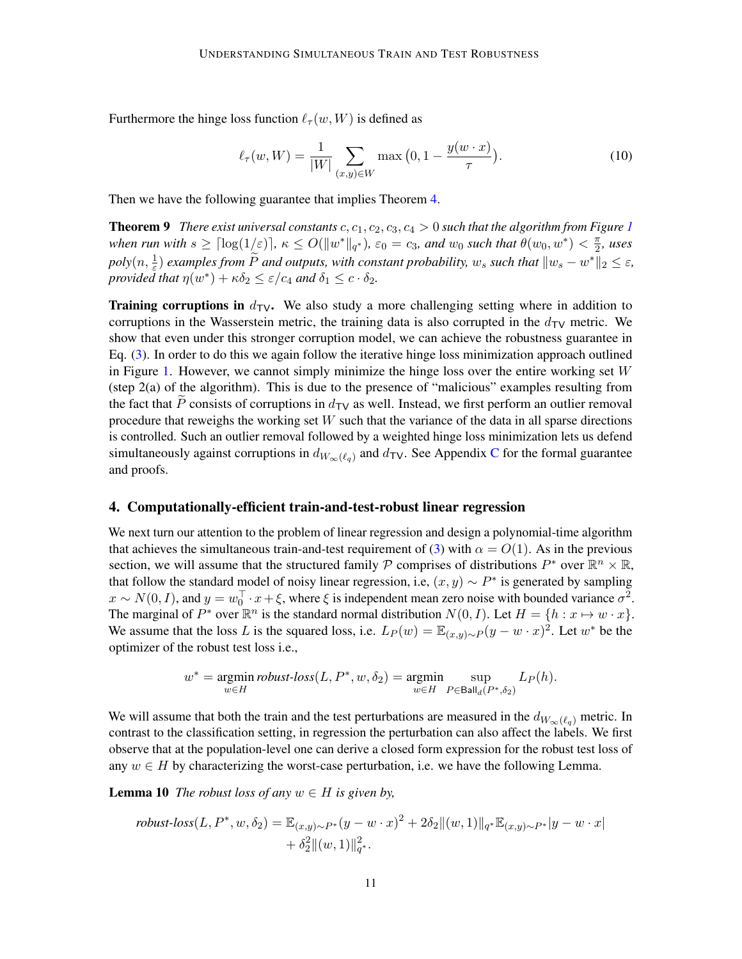Furthermore the hinge loss function  $\ell_{\tau}(w, W)$  is defined as

<span id="page-10-1"></span>
$$
\ell_{\tau}(w, W) = \frac{1}{|W|} \sum_{(x, y) \in W} \max\left(0, 1 - \frac{y(w \cdot x)}{\tau}\right).
$$
 (10)

Then we have the following guarantee that implies Theorem [4.](#page-6-2)

**Theorem 9** *There exist universal constants* c,  $c_1$  $c_1$ ,  $c_2$ ,  $c_3$ ,  $c_4 > 0$  *such that the algorithm from Figure 1 when run with*  $s \geq \lceil \log(1/\varepsilon) \rceil$ ,  $\kappa \leq O(||w^*||_{q^*})$ ,  $\varepsilon_0 = c_3$ , and  $w_0$  such that  $\theta(w_0, w^*) < \frac{\pi}{2}$  $\frac{\pi}{2}$ , uses  $poly(n, \frac{1}{\varepsilon})$  *examples from*  $\widetilde{P}$  *and outputs, with constant probability,*  $w_s$  *such that*  $||w_s - w^*||_2 \le \varepsilon$ , *provided that*  $\eta(w^*) + \kappa \delta_2 \leq \varepsilon/c_4$  *and*  $\delta_1 \leq c \cdot \delta_2$ *.* 

Training corruptions in  $d_{\text{TV}}$ . We also study a more challenging setting where in addition to corruptions in the Wasserstein metric, the training data is also corrupted in the  $d_{\text{TV}}$  metric. We show that even under this stronger corruption model, we can achieve the robustness guarantee in Eq. [\(3\)](#page-4-2). In order to do this we again follow the iterative hinge loss minimization approach outlined in Figure [1.](#page-9-0) However, we cannot simply minimize the hinge loss over the entire working set  $W$ (step 2(a) of the algorithm). This is due to the presence of "malicious" examples resulting from the fact that  $\tilde{P}$  consists of corruptions in  $d_{\text{TV}}$  as well. Instead, we first perform an outlier removal procedure that reweighs the working set  $W$  such that the variance of the data in all sparse directions is controlled. Such an outlier removal followed by a weighted hinge loss minimization lets us defend simultaneously against corruptions in  $d_{W_\infty(\ell_q)}$  and  $d_{\text{TV}}$ . See Appendix [C](#page-19-2) for the formal guarantee and proofs.

# <span id="page-10-0"></span>4. Computationally-efficient train-and-test-robust linear regression

We next turn our attention to the problem of linear regression and design a polynomial-time algorithm that achieves the simultaneous train-and-test requirement of [\(3\)](#page-4-2) with  $\alpha = O(1)$ . As in the previous section, we will assume that the structured family P comprises of distributions  $P^*$  over  $\mathbb{R}^n \times \mathbb{R}$ , that follow the standard model of noisy linear regression, i.e,  $(x, y) \sim P^*$  is generated by sampling  $x \sim N(0, I)$ , and  $y = w_0^\top \cdot x + \xi$ , where  $\xi$  is independent mean zero noise with bounded variance  $\sigma^2$ . The marginal of  $P^*$  over  $\mathbb{R}^n$  is the standard normal distribution  $N(0, I)$ . Let  $H = \{h : x \mapsto w \cdot x\}$ . We assume that the loss L is the squared loss, i.e.  $L_P(w) = \mathbb{E}_{(x,y)\sim P}(y - w \cdot x)^2$ . Let  $w^*$  be the optimizer of the robust test loss i.e.,

$$
w^* = \underset{w \in H}{\text{argmin}} \text{ robust-loss}(L, P^*, w, \delta_2) = \underset{w \in H}{\text{argmin}} \sup_{P \in \text{Ball}_d(P^*, \delta_2)} L_P(h).
$$

We will assume that both the train and the test perturbations are measured in the  $d_{W_\infty(\ell_q)}$  metric. In contrast to the classification setting, in regression the perturbation can also affect the labels. We first observe that at the population-level one can derive a closed form expression for the robust test loss of any  $w \in H$  by characterizing the worst-case perturbation, i.e. we have the following Lemma.

**Lemma 10** *The robust loss of any*  $w \in H$  *is given by,* 

robust-loss
$$
(L, P^*, w, \delta_2)
$$
 =  $\mathbb{E}_{(x,y)\sim P^*}(y - w \cdot x)^2 + 2\delta_2 ||(w,1)||_{q^*} \mathbb{E}_{(x,y)\sim P^*}|y - w \cdot x|$   
+  $\delta_2^2 ||(w,1)||_{q^*}^2$ .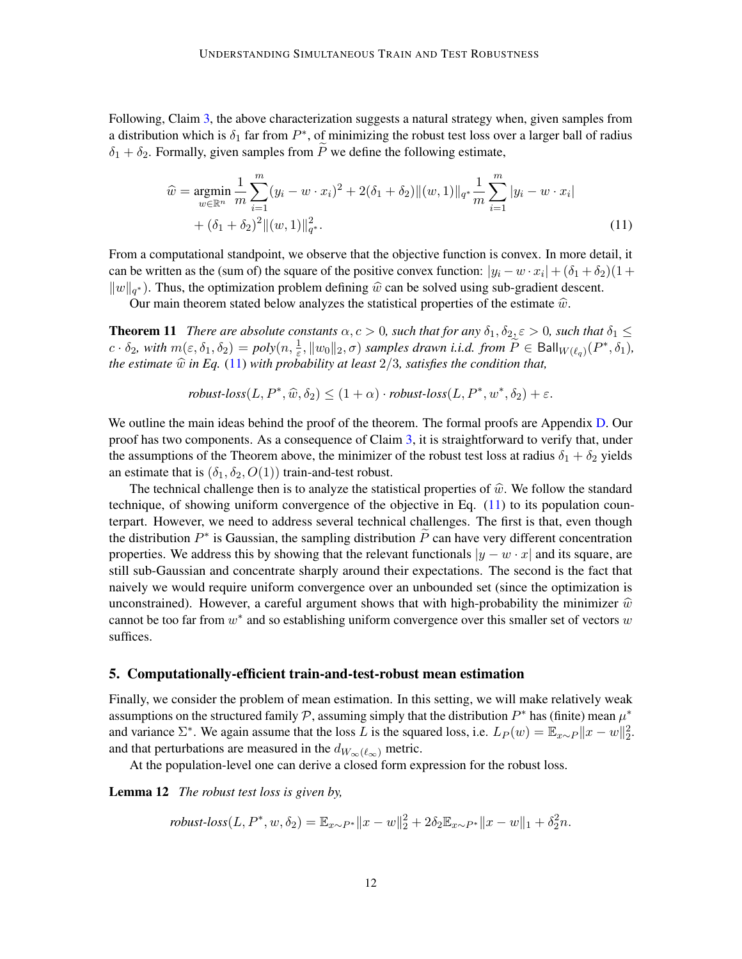Following, Claim [3,](#page-5-0) the above characterization suggests a natural strategy when, given samples from a distribution which is  $\delta_1$  far from  $P^*$ , of minimizing the robust test loss over a larger ball of radius  $\delta_1 + \delta_2$ . Formally, given samples from P we define the following estimate,

<span id="page-11-1"></span>
$$
\widehat{w} = \underset{w \in \mathbb{R}^n}{\operatorname{argmin}} \frac{1}{m} \sum_{i=1}^m (y_i - w \cdot x_i)^2 + 2(\delta_1 + \delta_2) ||(w, 1)||_{q^*} \frac{1}{m} \sum_{i=1}^m |y_i - w \cdot x_i|
$$
  
+  $(\delta_1 + \delta_2)^2 ||(w, 1)||_{q^*}^2$ . (11)

From a computational standpoint, we observe that the objective function is convex. In more detail, it can be written as the (sum of) the square of the positive convex function:  $|y_i - w \cdot x_i| + (\delta_1 + \delta_2)(1 +$  $\|w\|_{q^*}$ ). Thus, the optimization problem defining  $\hat{w}$  can be solved using sub-gradient descent.<br>Our main theorem stated below analyzes the statistical properties of the estimate  $\hat{w}$ .

Our main theorem stated below analyzes the statistical properties of the estimate  $\hat{w}$ .

**Theorem 11** *There are absolute constants*  $\alpha, c > 0$ *, such that for any*  $\delta_1, \delta_2, \epsilon > 0$ *, such that*  $\delta_1 \leq$  $c \cdot \delta_2$ , with  $m(\varepsilon, \delta_1, \delta_2) = poly(n, \frac{1}{\varepsilon}, ||w_0||_2, \sigma)$  *samples drawn i.i.d. from*  $\widetilde{P} \in \textsf{Ball}_{W(\ell_q)}(P^*, \delta_1)$ , *the estimate*  $\hat{w}$  *in Eq.* [\(11\)](#page-11-1) *with probability at least*  $2/3$ *, satisfies the condition that,* 

<span id="page-11-2"></span>robust-loss
$$
(L, P^*, \widehat{w}, \delta_2) \le (1 + \alpha) \cdot robust-loss(L, P^*, w^*, \delta_2) + \varepsilon.
$$

We outline the main ideas behind the proof of the theorem. The formal proofs are Appendix [D.](#page-26-0) Our proof has two components. As a consequence of Claim [3,](#page-5-0) it is straightforward to verify that, under the assumptions of the Theorem above, the minimizer of the robust test loss at radius  $\delta_1 + \delta_2$  yields an estimate that is  $(\delta_1, \delta_2, O(1))$  train-and-test robust.

The technical challenge then is to analyze the statistical properties of  $\hat{w}$ . We follow the standard technique, of showing uniform convergence of the objective in Eq. [\(11\)](#page-11-1) to its population counterpart. However, we need to address several technical challenges. The first is that, even though the distribution  $P^*$  is Gaussian, the sampling distribution  $\tilde{P}$  can have very different concentration properties. We address this by showing that the relevant functionals  $|y - w \cdot x|$  and its square, are still sub-Gaussian and concentrate sharply around their expectations. The second is the fact that naively we would require uniform convergence over an unbounded set (since the optimization is unconstrained). However, a careful argument shows that with high-probability the minimizer  $\hat{w}$ cannot be too far from  $w^*$  and so establishing uniform convergence over this smaller set of vectors w suffices.

#### <span id="page-11-0"></span>5. Computationally-efficient train-and-test-robust mean estimation

Finally, we consider the problem of mean estimation. In this setting, we will make relatively weak assumptions on the structured family  $P$ , assuming simply that the distribution  $P^*$  has (finite) mean  $\mu^*$ and variance  $\Sigma^*$ . We again assume that the loss L is the squared loss, i.e.  $L_P(w) = \mathbb{E}_{x \sim P} ||x - w||_2^2$ . and that perturbations are measured in the  $d_{W_\infty(\ell_\infty)}$  metric.

At the population-level one can derive a closed form expression for the robust loss.

Lemma 12 *The robust test loss is given by,*

robust-loss
$$
(L, P^*, w, \delta_2)
$$
 =  $\mathbb{E}_{x \sim P^*} ||x - w||_2^2 + 2\delta_2 \mathbb{E}_{x \sim P^*} ||x - w||_1 + \delta_2^2 n$ .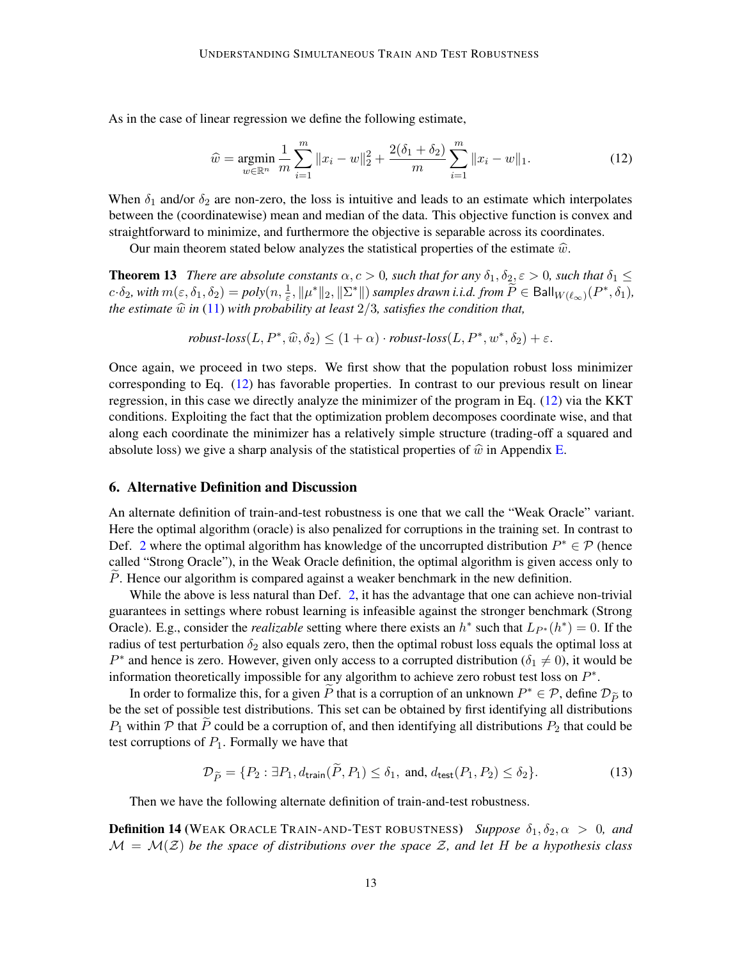As in the case of linear regression we define the following estimate,

<span id="page-12-3"></span><span id="page-12-1"></span>
$$
\widehat{w} = \underset{w \in \mathbb{R}^n}{\text{argmin}} \frac{1}{m} \sum_{i=1}^m \|x_i - w\|_2^2 + \frac{2(\delta_1 + \delta_2)}{m} \sum_{i=1}^m \|x_i - w\|_1. \tag{12}
$$

When  $\delta_1$  and/or  $\delta_2$  are non-zero, the loss is intuitive and leads to an estimate which interpolates between the (coordinatewise) mean and median of the data. This objective function is convex and straightforward to minimize, and furthermore the objective is separable across its coordinates.

Our main theorem stated below analyzes the statistical properties of the estimate  $\hat{w}$ .

**Theorem 13** *There are absolute constants*  $\alpha, c > 0$ *, such that for any*  $\delta_1, \delta_2, \epsilon > 0$ *, such that*  $\delta_1 \leq$  $c \cdot \delta_2$ , with  $m(\varepsilon, \delta_1, \delta_2) = poly(n, \frac{1}{\varepsilon}, ||\mu^*||_2, ||\Sigma^*||)$  *samples drawn i.i.d. from*  $\widetilde{P} \in \textsf{Ball}_{W(\ell_{\infty})}(P^*, \delta_1)$ , *the estimate*  $\hat{w}$  *in* [\(11\)](#page-11-1) *with probability at least*  $2/3$ *, satisfies the condition that,* 

 $robust-loss(L, P^*, \widehat{w}, \delta_2) \leq (1+\alpha) \cdot robust-loss(L, P^*, w^*, \delta_2) + \varepsilon.$ 

Once again, we proceed in two steps. We first show that the population robust loss minimizer corresponding to Eq. [\(12\)](#page-12-1) has favorable properties. In contrast to our previous result on linear regression, in this case we directly analyze the minimizer of the program in Eq. [\(12\)](#page-12-1) via the KKT conditions. Exploiting the fact that the optimization problem decomposes coordinate wise, and that along each coordinate the minimizer has a relatively simple structure (trading-off a squared and absolute loss) we give a sharp analysis of the statistical properties of  $\hat{w}$  in Appendix [E.](#page-30-0)

#### <span id="page-12-0"></span>6. Alternative Definition and Discussion

An alternate definition of train-and-test robustness is one that we call the "Weak Oracle" variant. Here the optimal algorithm (oracle) is also penalized for corruptions in the training set. In contrast to Def. [2](#page-4-0) where the optimal algorithm has knowledge of the uncorrupted distribution  $P^* \in \mathcal{P}$  (hence called "Strong Oracle"), in the Weak Oracle definition, the optimal algorithm is given access only to  $P$ . Hence our algorithm is compared against a weaker benchmark in the new definition.

While the above is less natural than Def. [2,](#page-4-0) it has the advantage that one can achieve non-trivial guarantees in settings where robust learning is infeasible against the stronger benchmark (Strong Oracle). E.g., consider the *realizable* setting where there exists an  $h^*$  such that  $L_{P^*}(h^*) = 0$ . If the radius of test perturbation  $\delta_2$  also equals zero, then the optimal robust loss equals the optimal loss at  $P^*$  and hence is zero. However, given only access to a corrupted distribution ( $\delta_1 \neq 0$ ), it would be information theoretically impossible for any algorithm to achieve zero robust test loss on  $P^*$ .

In order to formalize this, for a given  $\tilde{P}$  that is a corruption of an unknown  $P^* \in \mathcal{P}$ , define  $\mathcal{D}_{\tilde{P}}$  to the set of possible test distributions. This set can be obtained by first identifying all distrib be the set of possible test distributions. This set can be obtained by first identifying all distributions  $P_1$  within P that P could be a corruption of, and then identifying all distributions  $P_2$  that could be test corruptions of  $P_1$ . Formally we have that

<span id="page-12-2"></span>
$$
\mathcal{D}_{\widetilde{P}} = \{P_2 : \exists P_1, d_{\text{train}}(P, P_1) \le \delta_1, \text{ and, } d_{\text{test}}(P_1, P_2) \le \delta_2\}.
$$
\n(13)

Then we have the following alternate definition of train-and-test robustness.

**Definition 14** (WEAK ORACLE TRAIN-AND-TEST ROBUSTNESS) *Suppose*  $\delta_1, \delta_2, \alpha > 0$ , and  $M = M(Z)$  *be the space of distributions over the space Z, and let H be a hypothesis class*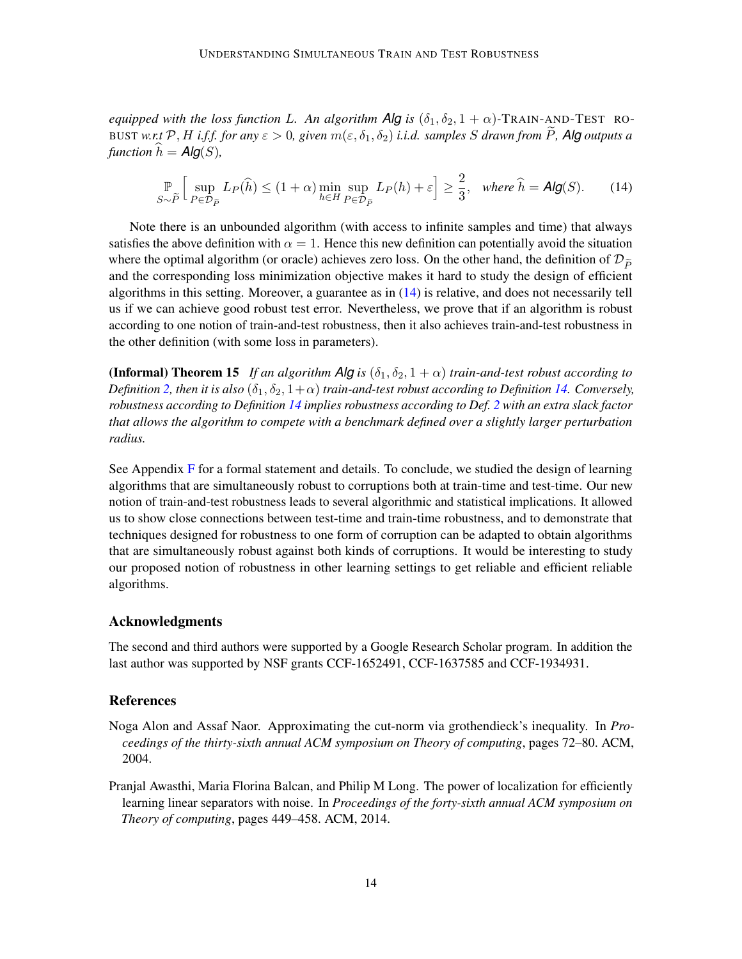*equipped with the loss function* L. An algorithm  $\overline{Alg}$  *is* ( $\delta_1, \delta_2, 1 + \alpha$ )-TRAIN-AND-TEST RO-BUST *w.r.t* P, H *i.f.f. for any*  $\varepsilon > 0$ , given  $m(\varepsilon, \delta_1, \delta_2)$  *i.i.d. samples* S drawn from P, Alg outputs a *function*  $h = Alg(S)$ ,

<span id="page-13-1"></span>
$$
\mathbb{P}\left[\sup_{S\sim\widetilde{P}} L_P(\widehat{h}) \le (1+\alpha)\min_{h\in H} \sup_{P\in\mathcal{D}_{\widetilde{P}}} L_P(h) + \varepsilon\right] \ge \frac{2}{3}, \quad \text{where } \widehat{h} = \text{Alg}(S). \tag{14}
$$

Note there is an unbounded algorithm (with access to infinite samples and time) that always satisfies the above definition with  $\alpha = 1$ . Hence this new definition can potentially avoid the situation where the optimal algorithm (or oracle) achieves zero loss. On the other hand, the definition of  $\mathcal{D}_{\tilde{D}}$ and the corresponding loss minimization objective makes it hard to study the design of efficient algorithms in this setting. Moreover, a guarantee as in  $(14)$  is relative, and does not necessarily tell us if we can achieve good robust test error. Nevertheless, we prove that if an algorithm is robust according to one notion of train-and-test robustness, then it also achieves train-and-test robustness in the other definition (with some loss in parameters).

<span id="page-13-3"></span>**(Informal) Theorem 15** *If an algorithm Alg is*  $(\delta_1, \delta_2, 1 + \alpha)$  *train-and-test robust according to Definition* [2,](#page-4-0) then it is also  $(\delta_1, \delta_2, 1+\alpha)$  *train-and-test robust according to Definition* [14.](#page-12-2) *Conversely, robustness according to Definition [14](#page-12-2) implies robustness according to Def. [2](#page-4-0) with an extra slack factor that allows the algorithm to compete with a benchmark defined over a slightly larger perturbation radius.*

See Appendix [F](#page-32-0) for a formal statement and details. To conclude, we studied the design of learning algorithms that are simultaneously robust to corruptions both at train-time and test-time. Our new notion of train-and-test robustness leads to several algorithmic and statistical implications. It allowed us to show close connections between test-time and train-time robustness, and to demonstrate that techniques designed for robustness to one form of corruption can be adapted to obtain algorithms that are simultaneously robust against both kinds of corruptions. It would be interesting to study our proposed notion of robustness in other learning settings to get reliable and efficient reliable algorithms.

## Acknowledgments

The second and third authors were supported by a Google Research Scholar program. In addition the last author was supported by NSF grants CCF-1652491, CCF-1637585 and CCF-1934931.

## References

- <span id="page-13-2"></span>Noga Alon and Assaf Naor. Approximating the cut-norm via grothendieck's inequality. In *Proceedings of the thirty-sixth annual ACM symposium on Theory of computing*, pages 72–80. ACM, 2004.
- <span id="page-13-0"></span>Pranjal Awasthi, Maria Florina Balcan, and Philip M Long. The power of localization for efficiently learning linear separators with noise. In *Proceedings of the forty-sixth annual ACM symposium on Theory of computing*, pages 449–458. ACM, 2014.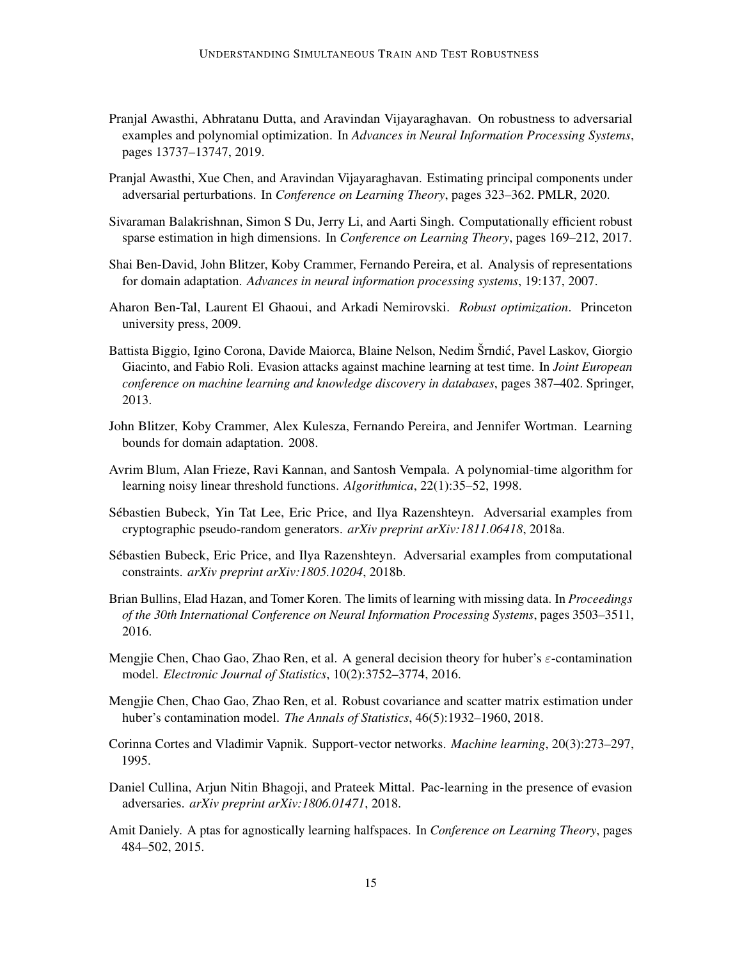- <span id="page-14-2"></span>Pranjal Awasthi, Abhratanu Dutta, and Aravindan Vijayaraghavan. On robustness to adversarial examples and polynomial optimization. In *Advances in Neural Information Processing Systems*, pages 13737–13747, 2019.
- <span id="page-14-10"></span>Pranjal Awasthi, Xue Chen, and Aravindan Vijayaraghavan. Estimating principal components under adversarial perturbations. In *Conference on Learning Theory*, pages 323–362. PMLR, 2020.
- <span id="page-14-7"></span>Sivaraman Balakrishnan, Simon S Du, Jerry Li, and Aarti Singh. Computationally efficient robust sparse estimation in high dimensions. In *Conference on Learning Theory*, pages 169–212, 2017.
- <span id="page-14-11"></span>Shai Ben-David, John Blitzer, Koby Crammer, Fernando Pereira, et al. Analysis of representations for domain adaptation. *Advances in neural information processing systems*, 19:137, 2007.
- <span id="page-14-1"></span>Aharon Ben-Tal, Laurent El Ghaoui, and Arkadi Nemirovski. *Robust optimization*. Princeton university press, 2009.
- <span id="page-14-0"></span>Battista Biggio, Igino Corona, Davide Maiorca, Blaine Nelson, Nedim Šrndic, Pavel Laskov, Giorgio ´ Giacinto, and Fabio Roli. Evasion attacks against machine learning at test time. In *Joint European conference on machine learning and knowledge discovery in databases*, pages 387–402. Springer, 2013.
- <span id="page-14-12"></span>John Blitzer, Koby Crammer, Alex Kulesza, Fernando Pereira, and Jennifer Wortman. Learning bounds for domain adaptation. 2008.
- <span id="page-14-8"></span>Avrim Blum, Alan Frieze, Ravi Kannan, and Santosh Vempala. A polynomial-time algorithm for learning noisy linear threshold functions. *Algorithmica*, 22(1):35–52, 1998.
- <span id="page-14-14"></span>Sébastien Bubeck, Yin Tat Lee, Eric Price, and Ilya Razenshteyn. Adversarial examples from cryptographic pseudo-random generators. *arXiv preprint arXiv:1811.06418*, 2018a.
- <span id="page-14-13"></span>Sébastien Bubeck, Eric Price, and Ilya Razenshteyn. Adversarial examples from computational constraints. *arXiv preprint arXiv:1805.10204*, 2018b.
- <span id="page-14-9"></span>Brian Bullins, Elad Hazan, and Tomer Koren. The limits of learning with missing data. In *Proceedings of the 30th International Conference on Neural Information Processing Systems*, pages 3503–3511, 2016.
- <span id="page-14-5"></span>Mengjie Chen, Chao Gao, Zhao Ren, et al. A general decision theory for huber's  $\varepsilon$ -contamination model. *Electronic Journal of Statistics*, 10(2):3752–3774, 2016.
- <span id="page-14-6"></span>Mengjie Chen, Chao Gao, Zhao Ren, et al. Robust covariance and scatter matrix estimation under huber's contamination model. *The Annals of Statistics*, 46(5):1932–1960, 2018.
- <span id="page-14-3"></span>Corinna Cortes and Vladimir Vapnik. Support-vector networks. *Machine learning*, 20(3):273–297, 1995.
- <span id="page-14-15"></span>Daniel Cullina, Arjun Nitin Bhagoji, and Prateek Mittal. Pac-learning in the presence of evasion adversaries. *arXiv preprint arXiv:1806.01471*, 2018.
- <span id="page-14-4"></span>Amit Daniely. A ptas for agnostically learning halfspaces. In *Conference on Learning Theory*, pages 484–502, 2015.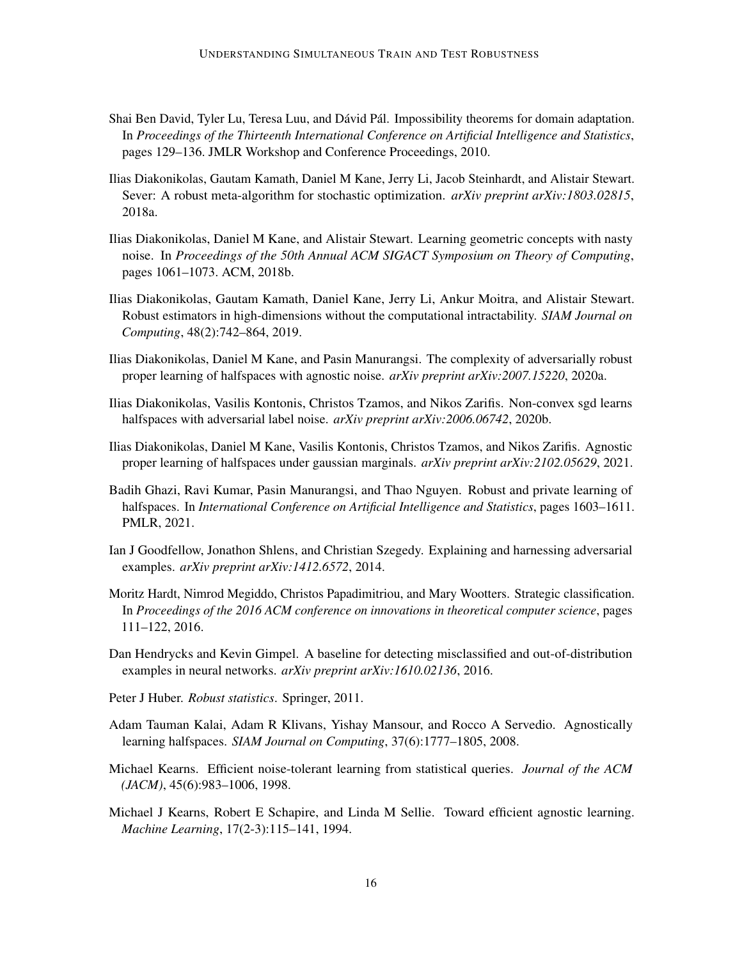- <span id="page-15-12"></span>Shai Ben David, Tyler Lu, Teresa Luu, and Dávid Pál. Impossibility theorems for domain adaptation. In *Proceedings of the Thirteenth International Conference on Artificial Intelligence and Statistics*, pages 129–136. JMLR Workshop and Conference Proceedings, 2010.
- <span id="page-15-9"></span>Ilias Diakonikolas, Gautam Kamath, Daniel M Kane, Jerry Li, Jacob Steinhardt, and Alistair Stewart. Sever: A robust meta-algorithm for stochastic optimization. *arXiv preprint arXiv:1803.02815*, 2018a.
- <span id="page-15-3"></span>Ilias Diakonikolas, Daniel M Kane, and Alistair Stewart. Learning geometric concepts with nasty noise. In *Proceedings of the 50th Annual ACM SIGACT Symposium on Theory of Computing*, pages 1061–1073. ACM, 2018b.
- <span id="page-15-8"></span>Ilias Diakonikolas, Gautam Kamath, Daniel Kane, Jerry Li, Ankur Moitra, and Alistair Stewart. Robust estimators in high-dimensions without the computational intractability. *SIAM Journal on Computing*, 48(2):742–864, 2019.
- <span id="page-15-6"></span>Ilias Diakonikolas, Daniel M Kane, and Pasin Manurangsi. The complexity of adversarially robust proper learning of halfspaces with agnostic noise. *arXiv preprint arXiv:2007.15220*, 2020a.
- <span id="page-15-14"></span>Ilias Diakonikolas, Vasilis Kontonis, Christos Tzamos, and Nikos Zarifis. Non-convex sgd learns halfspaces with adversarial label noise. *arXiv preprint arXiv:2006.06742*, 2020b.
- <span id="page-15-7"></span>Ilias Diakonikolas, Daniel M Kane, Vasilis Kontonis, Christos Tzamos, and Nikos Zarifis. Agnostic proper learning of halfspaces under gaussian marginals. *arXiv preprint arXiv:2102.05629*, 2021.
- <span id="page-15-13"></span>Badih Ghazi, Ravi Kumar, Pasin Manurangsi, and Thao Nguyen. Robust and private learning of halfspaces. In *International Conference on Artificial Intelligence and Statistics*, pages 1603–1611. PMLR, 2021.
- <span id="page-15-1"></span>Ian J Goodfellow, Jonathon Shlens, and Christian Szegedy. Explaining and harnessing adversarial examples. *arXiv preprint arXiv:1412.6572*, 2014.
- <span id="page-15-11"></span>Moritz Hardt, Nimrod Megiddo, Christos Papadimitriou, and Mary Wootters. Strategic classification. In *Proceedings of the 2016 ACM conference on innovations in theoretical computer science*, pages 111–122, 2016.
- <span id="page-15-0"></span>Dan Hendrycks and Kevin Gimpel. A baseline for detecting misclassified and out-of-distribution examples in neural networks. *arXiv preprint arXiv:1610.02136*, 2016.
- <span id="page-15-2"></span>Peter J Huber. *Robust statistics*. Springer, 2011.
- <span id="page-15-5"></span>Adam Tauman Kalai, Adam R Klivans, Yishay Mansour, and Rocco A Servedio. Agnostically learning halfspaces. *SIAM Journal on Computing*, 37(6):1777–1805, 2008.
- <span id="page-15-10"></span>Michael Kearns. Efficient noise-tolerant learning from statistical queries. *Journal of the ACM (JACM)*, 45(6):983–1006, 1998.
- <span id="page-15-4"></span>Michael J Kearns, Robert E Schapire, and Linda M Sellie. Toward efficient agnostic learning. *Machine Learning*, 17(2-3):115–141, 1994.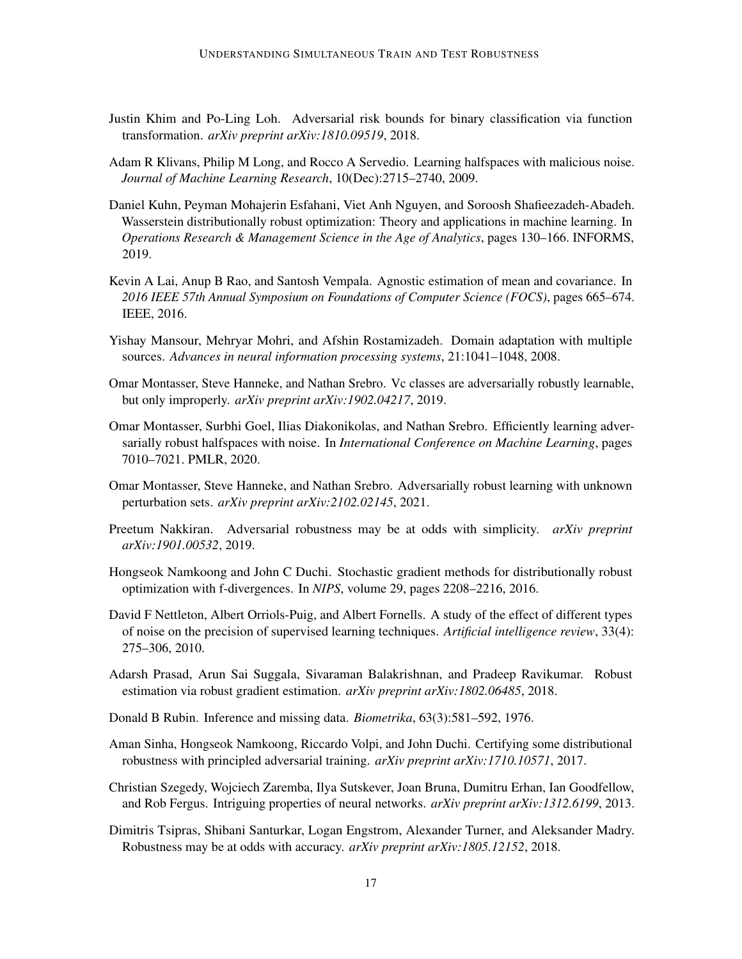- <span id="page-16-13"></span>Justin Khim and Po-Ling Loh. Adversarial risk bounds for binary classification via function transformation. *arXiv preprint arXiv:1810.09519*, 2018.
- <span id="page-16-5"></span>Adam R Klivans, Philip M Long, and Rocco A Servedio. Learning halfspaces with malicious noise. *Journal of Machine Learning Research*, 10(Dec):2715–2740, 2009.
- <span id="page-16-9"></span>Daniel Kuhn, Peyman Mohajerin Esfahani, Viet Anh Nguyen, and Soroosh Shafieezadeh-Abadeh. Wasserstein distributionally robust optimization: Theory and applications in machine learning. In *Operations Research & Management Science in the Age of Analytics*, pages 130–166. INFORMS, 2019.
- <span id="page-16-2"></span>Kevin A Lai, Anup B Rao, and Santosh Vempala. Agnostic estimation of mean and covariance. In *2016 IEEE 57th Annual Symposium on Foundations of Computer Science (FOCS)*, pages 665–674. IEEE, 2016.
- <span id="page-16-10"></span>Yishay Mansour, Mehryar Mohri, and Afshin Rostamizadeh. Domain adaptation with multiple sources. *Advances in neural information processing systems*, 21:1041–1048, 2008.
- <span id="page-16-14"></span>Omar Montasser, Steve Hanneke, and Nathan Srebro. Vc classes are adversarially robustly learnable, but only improperly. *arXiv preprint arXiv:1902.04217*, 2019.
- <span id="page-16-15"></span>Omar Montasser, Surbhi Goel, Ilias Diakonikolas, and Nathan Srebro. Efficiently learning adversarially robust halfspaces with noise. In *International Conference on Machine Learning*, pages 7010–7021. PMLR, 2020.
- <span id="page-16-4"></span>Omar Montasser, Steve Hanneke, and Nathan Srebro. Adversarially robust learning with unknown perturbation sets. *arXiv preprint arXiv:2102.02145*, 2021.
- <span id="page-16-12"></span>Preetum Nakkiran. Adversarial robustness may be at odds with simplicity. *arXiv preprint arXiv:1901.00532*, 2019.
- <span id="page-16-7"></span>Hongseok Namkoong and John C Duchi. Stochastic gradient methods for distributionally robust optimization with f-divergences. In *NIPS*, volume 29, pages 2208–2216, 2016.
- <span id="page-16-0"></span>David F Nettleton, Albert Orriols-Puig, and Albert Fornells. A study of the effect of different types of noise on the precision of supervised learning techniques. *Artificial intelligence review*, 33(4): 275–306, 2010.
- <span id="page-16-6"></span>Adarsh Prasad, Arun Sai Suggala, Sivaraman Balakrishnan, and Pradeep Ravikumar. Robust estimation via robust gradient estimation. *arXiv preprint arXiv:1802.06485*, 2018.
- <span id="page-16-3"></span>Donald B Rubin. Inference and missing data. *Biometrika*, 63(3):581–592, 1976.
- <span id="page-16-8"></span>Aman Sinha, Hongseok Namkoong, Riccardo Volpi, and John Duchi. Certifying some distributional robustness with principled adversarial training. *arXiv preprint arXiv:1710.10571*, 2017.
- <span id="page-16-1"></span>Christian Szegedy, Wojciech Zaremba, Ilya Sutskever, Joan Bruna, Dumitru Erhan, Ian Goodfellow, and Rob Fergus. Intriguing properties of neural networks. *arXiv preprint arXiv:1312.6199*, 2013.
- <span id="page-16-11"></span>Dimitris Tsipras, Shibani Santurkar, Logan Engstrom, Alexander Turner, and Aleksander Madry. Robustness may be at odds with accuracy. *arXiv preprint arXiv:1805.12152*, 2018.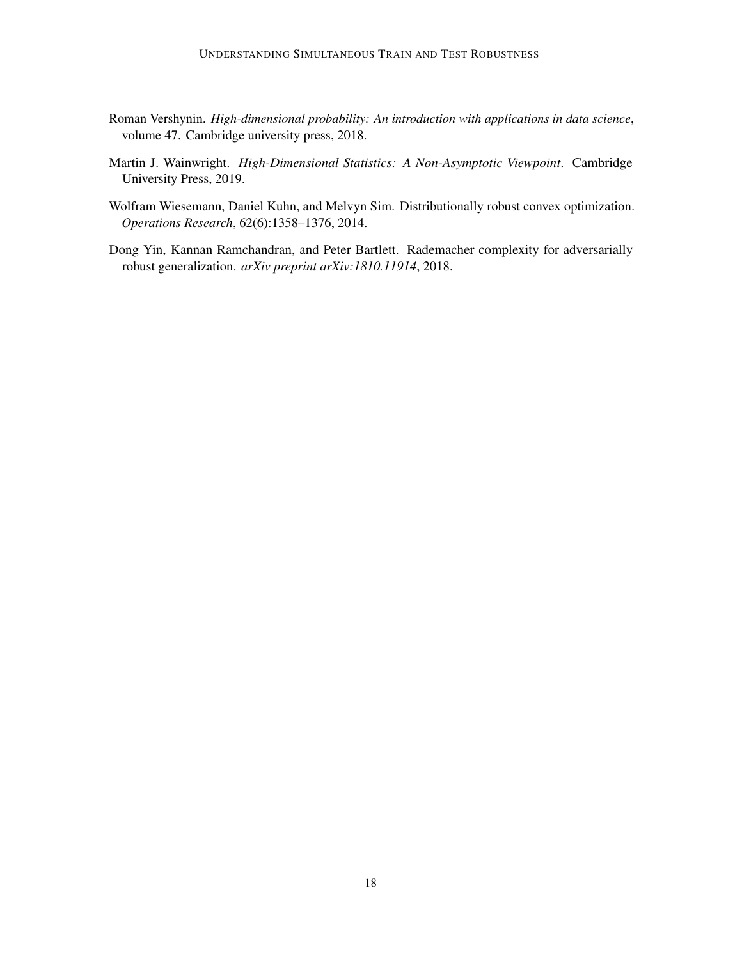- <span id="page-17-3"></span>Roman Vershynin. *High-dimensional probability: An introduction with applications in data science*, volume 47. Cambridge university press, 2018.
- <span id="page-17-2"></span>Martin J. Wainwright. *High-Dimensional Statistics: A Non-Asymptotic Viewpoint*. Cambridge University Press, 2019.
- <span id="page-17-0"></span>Wolfram Wiesemann, Daniel Kuhn, and Melvyn Sim. Distributionally robust convex optimization. *Operations Research*, 62(6):1358–1376, 2014.
- <span id="page-17-1"></span>Dong Yin, Kannan Ramchandran, and Peter Bartlett. Rademacher complexity for adversarially robust generalization. *arXiv preprint arXiv:1810.11914*, 2018.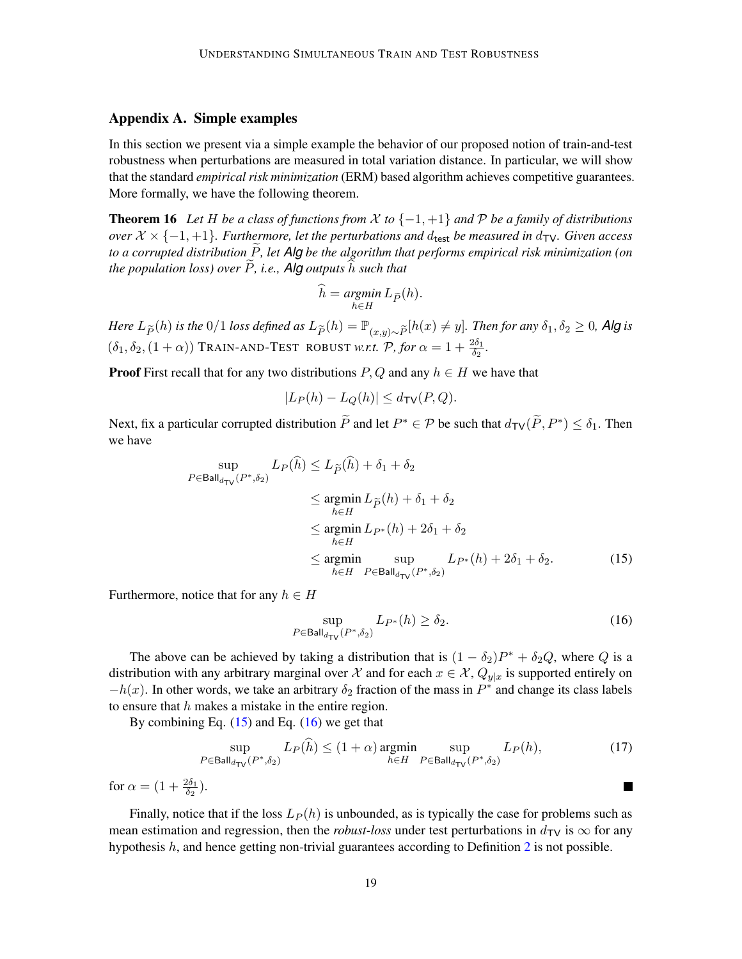### <span id="page-18-0"></span>Appendix A. Simple examples

In this section we present via a simple example the behavior of our proposed notion of train-and-test robustness when perturbations are measured in total variation distance. In particular, we will show that the standard *empirical risk minimization* (ERM) based algorithm achieves competitive guarantees. More formally, we have the following theorem.

**Theorem 16** Let H be a class of functions from  $\mathcal X$  to  $\{-1, +1\}$  and  $\mathcal P$  be a family of distributions *over*  $X \times \{-1, +1\}$ *. Furthermore, let the perturbations and d<sub>test</sub> be measured in*  $d_{TV}$ *. Given access to a corrupted distribution* P, let *Alg be the algorithm that performs empirical risk minimization (on the population loss) over*  $\widetilde{P}$ *, i.e., Alg outputs*  $\widehat{h}$  *such that* 

$$
\widehat{h} = \operatorname*{argmin}_{h \in H} L_{\widetilde{P}}(h).
$$

*Here*  $L_{\tilde{P}}(h)$  *is the* 0/1 *loss defined as*  $L_{\tilde{P}}(h) = \mathbb{P}_{(x,y)\sim \tilde{P}}[h(x) \neq y]$ *. Then for any*  $\delta_1, \delta_2 \geq 0$ *, Alg is*  $(\delta_1, \delta_2, (1 + \alpha))$  TRAIN-AND-TEST ROBUST *w.r.t.*  $\mathcal{P}$ , for  $\alpha = 1 + \frac{2\delta_1}{\delta_2}$ .

**Proof** First recall that for any two distributions  $P, Q$  and any  $h \in H$  we have that

$$
|L_P(h) - L_Q(h)| \le d_{\text{TV}}(P, Q).
$$

Next, fix a particular corrupted distribution  $\widetilde{P}$  and let  $P^* \in \mathcal{P}$  be such that  $d_{\text{TV}}(\widetilde{P}, P^*) \leq \delta_1$ . Then we have

$$
\sup_{P \in \text{Ball}_{d_{\text{TV}}}(P^*, \delta_2)} L_P(h) \le L_{\tilde{P}}(h) + \delta_1 + \delta_2
$$
\n
$$
\le \operatorname*{argmin}_{h \in H} L_{\tilde{P}}(h) + \delta_1 + \delta_2
$$
\n
$$
\le \operatorname*{argmin}_{h \in H} L_{P^*}(h) + 2\delta_1 + \delta_2
$$
\n
$$
\le \operatorname*{argmin}_{h \in H} \sup_{P \in \text{Ball}_{d_{\text{TV}}}(P^*, \delta_2)} L_{P^*}(h) + 2\delta_1 + \delta_2. \tag{15}
$$

Furthermore, notice that for any  $h \in H$ 

<span id="page-18-2"></span><span id="page-18-1"></span>
$$
\sup_{P \in \text{Ball}_{d_{\text{TV}}}(P^*, \delta_2)} L_{P^*}(h) \ge \delta_2. \tag{16}
$$

The above can be achieved by taking a distribution that is  $(1 - \delta_2)P^* + \delta_2 Q$ , where Q is a distribution with any arbitrary marginal over X and for each  $x \in \mathcal{X}$ ,  $Q_{y|x}$  is supported entirely on  $-h(x)$ . In other words, we take an arbitrary  $\delta_2$  fraction of the mass in  $P^*$  and change its class labels to ensure that  $h$  makes a mistake in the entire region.

By combining Eq.  $(15)$  and Eq.  $(16)$  we get that

$$
\sup_{P \in \text{Ball}_{d_{\text{TV}}}(P^*, \delta_2)} L_P(h) \le (1 + \alpha) \operatorname*{argmin}_{h \in H} \sup_{P \in \text{Ball}_{d_{\text{TV}}}(P^*, \delta_2)} L_P(h),\tag{17}
$$

for  $\alpha = (1 + \frac{2\delta_1}{\delta_2}).$ 

Finally, notice that if the loss  $L_P(h)$  is unbounded, as is typically the case for problems such as mean estimation and regression, then the *robust-loss* under test perturbations in  $d_{\text{TV}}$  is  $\infty$  for any hypothesis  $h$ , and hence getting non-trivial guarantees according to Definition [2](#page-4-0) is not possible.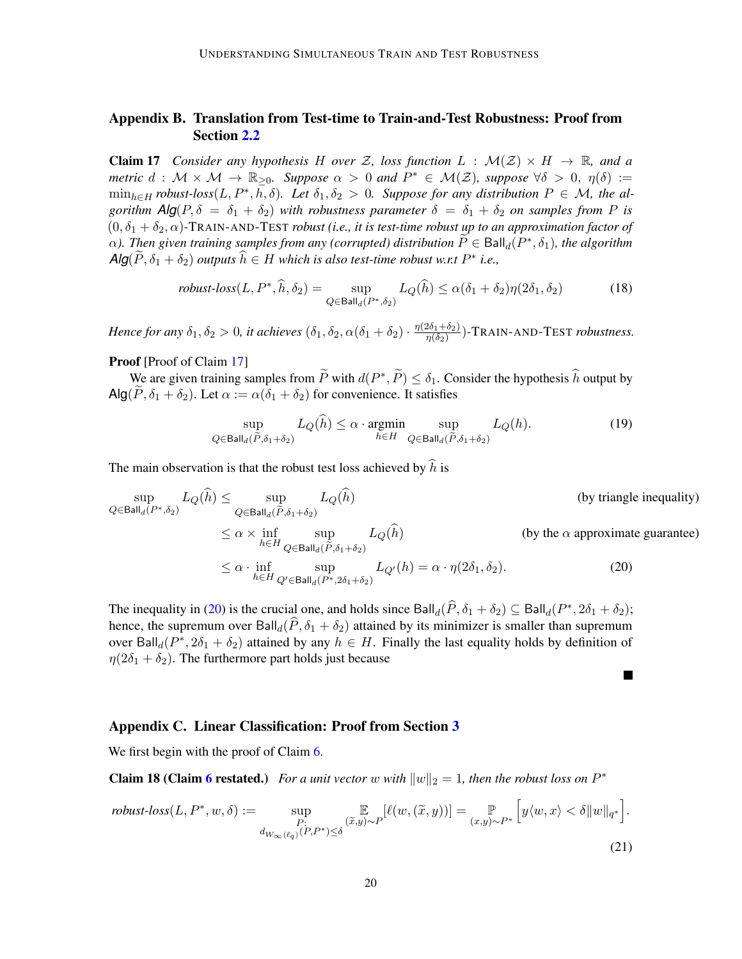# <span id="page-19-1"></span>Appendix B. Translation from Test-time to Train-and-Test Robustness: Proof from Section [2.2](#page-5-1)

<span id="page-19-0"></span>**Claim 17** *Consider any hypothesis* H *over* Z, loss function  $L : \mathcal{M}(\mathcal{Z}) \times H \to \mathbb{R}$ , and a *metric*  $d : \mathcal{M} \times \mathcal{M} \to \mathbb{R}_{\geq 0}$ . Suppose  $\alpha > 0$  and  $P^* \in \mathcal{M}(\mathcal{Z})$ , suppose  $\forall \delta > 0$ ,  $\eta(\delta) :=$  $\min_{h \in H}$  *robust-loss* $(L, P^*, \overline{h}, \delta)$ *. Let*  $\delta_1, \delta_2 > 0$ *. Suppose for any distribution*  $P \in \mathcal{M}$ *, the algorithm*  $\text{Alg}(P, \delta = \delta_1 + \delta_2)$  *with robustness parameter*  $\delta = \delta_1 + \delta_2$  *on samples from* P *is*  $(0, \delta_1 + \delta_2, \alpha)$ -TRAIN-AND-TEST *robust (i.e., it is test-time robust up to an approximation factor of*  $\alpha$ ). Then given training samples from any (corrupted) distribution  $\widetilde{P} \in \text{Ball}_d(P^*, \delta_1)$ , the algorithm  $\textsf{Alg}(\widetilde{P},\delta_1+\delta_2)$  *outputs*  $\widehat{h} \in H$  *which is also test-time robust w.r.t*  $P^*$  *i.e.*,

$$
robust-loss(L, P^*, \widehat{h}, \delta_2) = \sup_{Q \in \mathsf{Ball}_d(P^*, \delta_2)} L_Q(\widehat{h}) \le \alpha(\delta_1 + \delta_2)\eta(2\delta_1, \delta_2)
$$
(18)

*Hence for any*  $\delta_1, \delta_2 > 0$ , it achieves  $(\delta_1, \delta_2, \alpha(\delta_1 + \delta_2) \cdot \frac{\eta(2\delta_1 + \delta_2)}{\eta(\delta_2)})$  $\frac{2\delta_1+\delta_2j}{\eta(\delta_2)}$ )-TRAIN-AND-TEST *robustness.* 

## Proof [Proof of Claim [17\]](#page-19-0)

We are given training samples from  $\widetilde{P}$  with  $d(P^*, \widetilde{P}) \leq \delta_1$ . Consider the hypothesis  $\widehat{h}$  output by  $\textsf{Alg}(\tilde{P}, \delta_1 + \delta_2)$ . Let  $\alpha := \alpha(\delta_1 + \delta_2)$  for convenience. It satisfies

$$
\sup_{Q \in \mathsf{Ball}_d(\widetilde{P}, \delta_1 + \delta_2)} L_Q(h) \le \alpha \cdot \operatorname*{argmin}_{h \in H} \sup_{Q \in \mathsf{Ball}_d(\widetilde{P}, \delta_1 + \delta_2)} L_Q(h). \tag{19}
$$

The main observation is that the robust test loss achieved by  $\hat{h}$  is

$$
\sup_{Q \in \text{Ball}_d(P^*, \delta_2)} L_Q(\hat{h}) \le \sup_{Q \in \text{Ball}_d(\tilde{P}, \delta_1 + \delta_2)} L_Q(\hat{h}) \qquad \text{(by triangle inequality)}
$$
\n
$$
\le \alpha \times \inf_{h \in H} \sup_{Q \in \text{Ball}_d(\tilde{P}, \delta_1 + \delta_2)} L_Q(\hat{h}) \qquad \text{(by the } \alpha \text{ approximate guarantee)}
$$
\n
$$
\le \alpha \cdot \inf_{h \in H} \sup_{Q' \in \text{Ball}_d(P^*, 2\delta_1 + \delta_2)} L_{Q'}(h) = \alpha \cdot \eta(2\delta_1, \delta_2). \qquad (20)
$$

<span id="page-19-3"></span> $\blacksquare$ 

The inequality in [\(20\)](#page-19-3) is the crucial one, and holds since  $\text{Ball}_d(\widehat{P}, \delta_1 + \delta_2) \subseteq \text{Ball}_d(P^*, 2\delta_1 + \delta_2);$ hence, the supremum over  $\text{Ball}_d(P, \delta_1 + \delta_2)$  attained by its minimizer is smaller than supremum over Ball<sub>d</sub>( $P^*$ ,  $2\delta_1 + \delta_2$ ) attained by any  $h \in H$ . Finally the last equality holds by definition of  $\eta(2\delta_1 + \delta_2)$ . The furthermore part holds just because

## <span id="page-19-2"></span>Appendix C. Linear Classification: Proof from Section [3](#page-6-0)

We first begin with the proof of Claim [6.](#page-7-1)

**Claim 18 (Claim [6](#page-7-1) restated.)** For a unit vector w with  $||w||_2 = 1$ , then the robust loss on  $P^*$ 

$$
\text{robust-loss}(L, P^*, w, \delta) := \sup_{\substack{P: \\ d_{W_{\infty}(\ell_q)}(P, P^*) \le \delta}} \mathbb{E}_{\substack{(\widetilde{x}, y) \sim P}}[\ell(w, (\widetilde{x}, y))] = \mathbb{P}_{(x, y) \sim P^*} \left[ y \langle w, x \rangle < \delta \| w \|_{q^*} \right].
$$
\n
$$
(21)
$$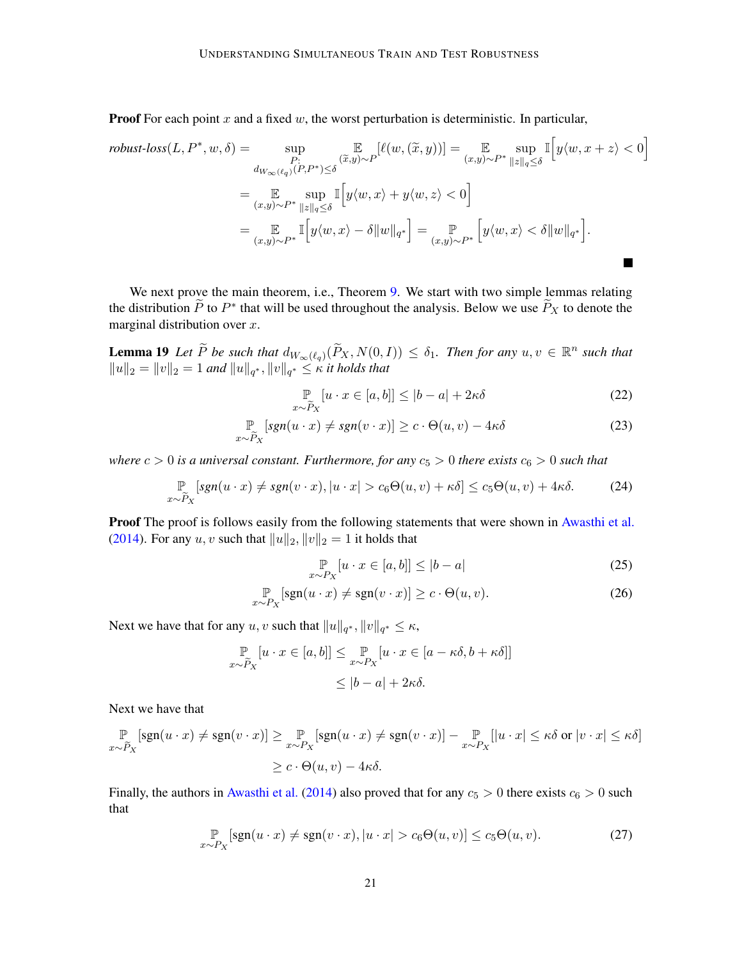**Proof** For each point  $x$  and a fixed  $w$ , the worst perturbation is deterministic. In particular,

$$
\begin{split} \textit{robust-loss}(L, P^*, w, \delta) &= \sup_{\substack{P:\\d_{W_{\infty}(\ell_q)}(P, P^*) \leq \delta}} \mathbb{E}_{(x, y) \sim P}[\ell(w, (\widetilde{x}, y))] = \sup_{(x, y) \sim P^*} \sup_{\|z\|_q \leq \delta} \mathbb{I}\Big[y\langle w, x + z \rangle < 0 \\ &= \mathbb{E}_{(x, y) \sim P^*} \sup_{\|z\|_q \leq \delta} \mathbb{I}\Big[y\langle w, x \rangle + y\langle w, z \rangle < 0\Big] \\ &= \mathbb{E}_{(x, y) \sim P^*} \mathbb{I}\Big[y\langle w, x \rangle - \delta \|w\|_{q^*}\Big] = \mathbb{P}_{(x, y) \sim P^*} \Big[y\langle w, x \rangle < \delta \|w\|_{q^*}\Big]. \end{split}
$$

We next prove the main theorem, i.e., Theorem [9.](#page-10-1) We start with two simple lemmas relating the distribution  $\widetilde{P}$  to  $P^*$  that will be used throughout the analysis. Below we use  $\widetilde{P}_X$  to denote the marginal distribution over  $x$ .

**Lemma 19** Let  $\widetilde{P}$  be such that  $d_{W_{\infty}(\ell_q)}(\widetilde{P}_X, N(0, I)) \leq \delta_1$ . Then for any  $u, v \in \mathbb{R}^n$  such that  $||u||_2 = ||v||_2 = 1$  and  $||u||_{q^*}, ||v||_{q^*} \le \kappa$  it holds that

$$
\mathbb{P}_{x \sim \widetilde{P}_X} [u \cdot x \in [a, b]] \le |b - a| + 2\kappa \delta \tag{22}
$$

i

$$
\mathbb{P}_{x \sim \widetilde{P}_X} [sgn(u \cdot x) \neq sgn(v \cdot x)] \geq c \cdot \Theta(u, v) - 4\kappa \delta
$$
\n(23)

*where*  $c > 0$  *is a universal constant. Furthermore, for any*  $c_5 > 0$  *there exists*  $c_6 > 0$  *such that* 

$$
\mathbb{P}_{x \sim \widetilde{P}_X} [sgn(u \cdot x) \neq sgn(v \cdot x), |u \cdot x| > c_6 \Theta(u, v) + \kappa \delta] \leq c_5 \Theta(u, v) + 4\kappa \delta. \tag{24}
$$

Proof The proof is follows easily from the following statements that were shown in [Awasthi et al.](#page-13-0) [\(2014\)](#page-13-0). For any  $u, v$  such that  $||u||_2, ||v||_2 = 1$  it holds that

<span id="page-20-0"></span>
$$
\mathbb{P}_{x \sim P_X} [u \cdot x \in [a, b]] \le |b - a| \tag{25}
$$

$$
\mathbb{P}_{x \sim P_X}[\text{sgn}(u \cdot x) \neq \text{sgn}(v \cdot x)] \geq c \cdot \Theta(u, v). \tag{26}
$$

Next we have that for any  $u, v$  such that  $||u||_{q^*}, ||v||_{q^*} \leq \kappa$ ,

$$
\mathbb{P}_{x \sim \widetilde{P}_X} [u \cdot x \in [a, b]] \leq \mathbb{P}_{x \sim P_X} [u \cdot x \in [a - \kappa \delta, b + \kappa \delta]]
$$
  

$$
\leq |b - a| + 2\kappa \delta.
$$

Next we have that

$$
\mathbb{P}_{x \sim \widetilde{P}_X} [\text{sgn}(u \cdot x) \neq \text{sgn}(v \cdot x)] \geq \mathbb{P}_{x \sim P_X} [\text{sgn}(u \cdot x) \neq \text{sgn}(v \cdot x)] - \mathbb{P}_{x \sim P_X} [|u \cdot x| \leq \kappa \delta \text{ or } |v \cdot x| \leq \kappa \delta]
$$
  

$$
\geq c \cdot \Theta(u, v) - 4\kappa \delta.
$$

Finally, the authors in [Awasthi et al.](#page-13-0) [\(2014\)](#page-13-0) also proved that for any  $c_5 > 0$  there exists  $c_6 > 0$  such that

$$
\mathbb{P}_{x \sim P_X}[\text{sgn}(u \cdot x) \neq \text{sgn}(v \cdot x), |u \cdot x| > c_6 \Theta(u, v)] \leq c_5 \Theta(u, v). \tag{27}
$$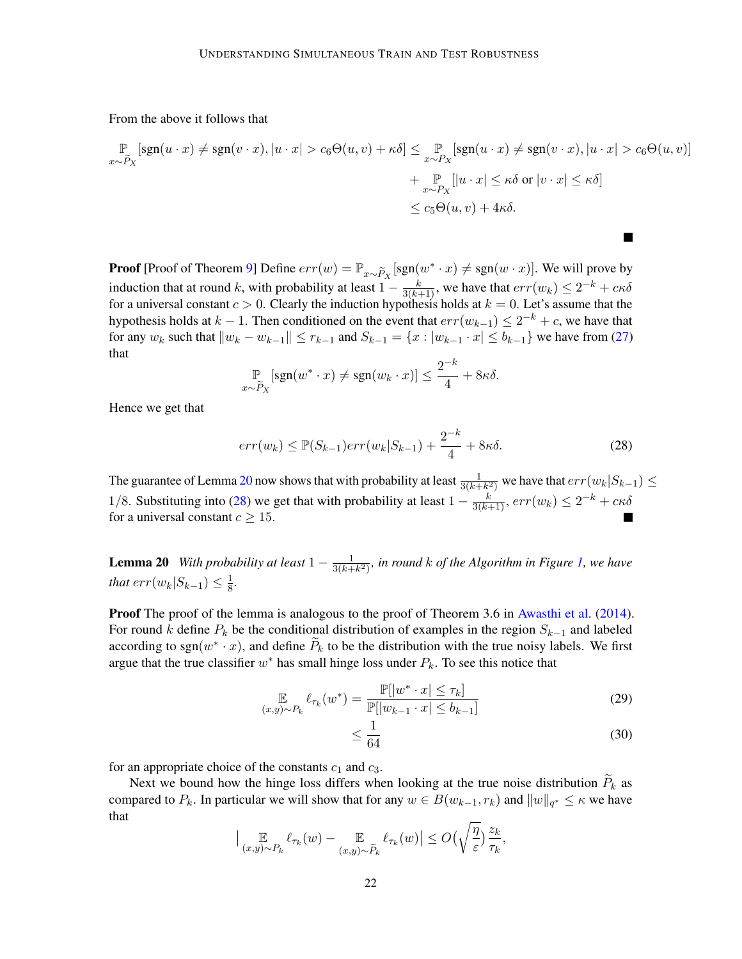From the above it follows that

$$
\mathbb{P}_{x \sim \widetilde{P}_X}[\text{sgn}(u \cdot x) \neq \text{sgn}(v \cdot x), |u \cdot x| > c_6 \Theta(u, v) + \kappa \delta] \leq \mathbb{P}_{x \sim P_X}[\text{sgn}(u \cdot x) \neq \text{sgn}(v \cdot x), |u \cdot x| > c_6 \Theta(u, v)] + \mathbb{P}_{x \sim P_X}[[u \cdot x] \leq \kappa \delta \text{ or } |v \cdot x| \leq \kappa \delta]
$$
  

$$
\leq c_5 \Theta(u, v) + 4\kappa \delta.
$$

**Proof** [Proof of Theorem [9\]](#page-10-1) Define  $err(w) = \mathbb{P}_{x \sim \widetilde{P}_X} [\text{sgn}(w^* \cdot x) \neq \text{sgn}(w \cdot x)]$ . We will prove by induction that at round k, with probability at least  $1 - \frac{k}{3(k+1)}$ , we have that  $err(w_k) \le 2^{-k} + c\kappa\delta$ for a universal constant  $c > 0$ . Clearly the induction hypothesis holds at  $k = 0$ . Let's assume that the hypothesis holds at  $k - 1$ . Then conditioned on the event that  $err(w_{k-1}) \leq 2^{-k} + c$ , we have that for any  $w_k$  such that  $\|w_k - w_{k-1}\| \le r_{k-1}$  and  $S_{k-1} = \{x : |w_{k-1} \cdot x| \le b_{k-1}\}$  we have from [\(27\)](#page-20-0) that

$$
\mathbb{P}_{x \sim \widetilde{P}_X}[\text{sgn}(w^* \cdot x) \neq \text{sgn}(w_k \cdot x)] \leq \frac{2^{-k}}{4} + 8\kappa\delta.
$$

Hence we get that

$$
err(w_k) \le \mathbb{P}(S_{k-1})err(w_k|S_{k-1}) + \frac{2^{-k}}{4} + 8\kappa\delta.
$$
 (28)

<span id="page-21-1"></span> $\mathcal{L}$ 

The guarantee of Lemma [20](#page-21-0) now shows that with probability at least  $\frac{1}{3(k+k^2)}$  we have that  $err(w_k|S_{k-1}) \le$ 1/8. Substituting into [\(28\)](#page-21-1) we get that with probability at least  $1 - \frac{k}{3(k+1)}$ ,  $err(w_k) \le 2^{-k} + c\kappa\delta$ for a universal constant  $c \geq 15$ .

<span id="page-21-0"></span>**Lemma 20** *With probability at least*  $1 - \frac{1}{3(k+1)}$  $\frac{1}{3(k+k^2)}$ , in round  $k$  of the Algorithm in Figure [1,](#page-9-0) we have *that*  $err(w_k|S_{k-1}) \leq \frac{1}{8}$ 8 *.*

Proof The proof of the lemma is analogous to the proof of Theorem 3.6 in [Awasthi et al.](#page-13-0) [\(2014\)](#page-13-0). For round k define  $P_k$  be the conditional distribution of examples in the region  $S_{k-1}$  and labeled according to sgn $(w^* \cdot x)$ , and define  $\widetilde{P}_k$  to be the distribution with the true noisy labels. We first argue that the true classifier  $w^*$  has small hinge loss under  $P_k$ . To see this notice that

$$
\mathbb{E}_{(x,y)\sim P_k} \ell_{\tau_k}(w^*) = \frac{\mathbb{P}[|w^* \cdot x| \le \tau_k]}{\mathbb{P}[|w_{k-1} \cdot x| \le b_{k-1}]}
$$
(29)

$$
\leq \frac{1}{64} \tag{30}
$$

for an appropriate choice of the constants  $c_1$  and  $c_3$ .

Next we bound how the hinge loss differs when looking at the true noise distribution  $\tilde{P}_k$  as compared to  $P_k$ . In particular we will show that for any  $w \in B(w_{k-1}, r_k)$  and  $||w||_{q^*} \leq \kappa$  we have that

$$
\Big| \mathop{\mathbb{E}}_{(x,y)\sim P_k} \ell_{\tau_k}(w) - \mathop{\mathbb{E}}_{(x,y)\sim \widetilde{P}_k} \ell_{\tau_k}(w) \Big| \leq O\Big(\sqrt{\frac{\eta}{\varepsilon}}\Big) \frac{z_k}{\tau_k},
$$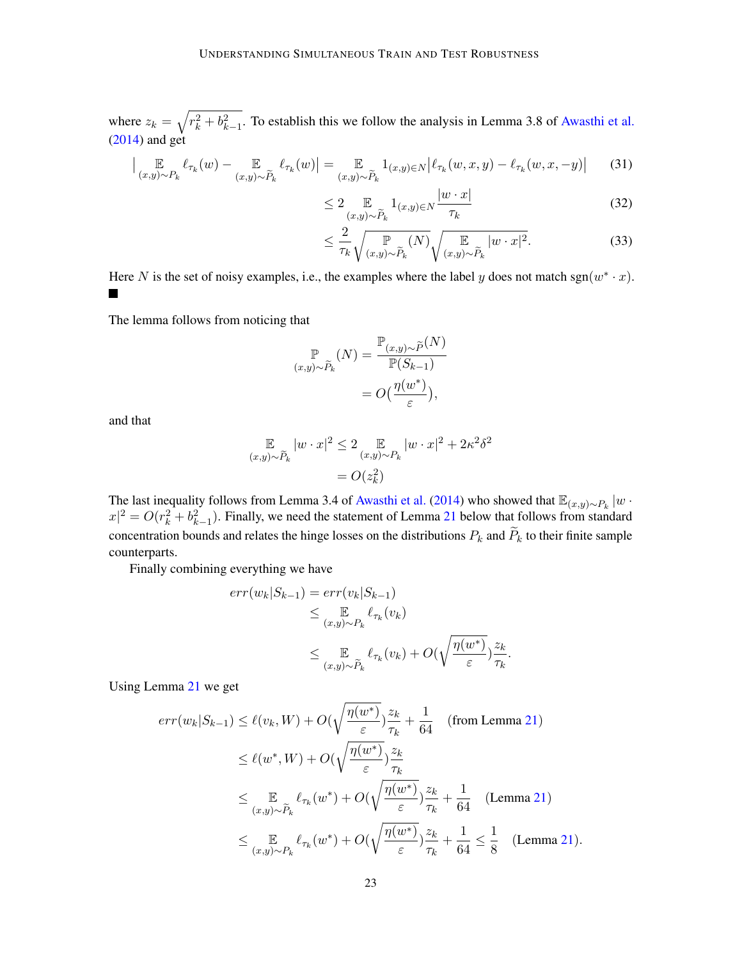where  $z_k = \sqrt{r_k^2 + b_{k-1}^2}$ . To establish this we follow the analysis in Lemma 3.8 of [Awasthi et al.](#page-13-0) [\(2014\)](#page-13-0) and get

$$
\Big| \underset{(x,y)\sim P_k}{\mathbb{E}} \ell_{\tau_k}(w) - \underset{(x,y)\sim \widetilde{P}_k}{\mathbb{E}} \ell_{\tau_k}(w) \Big| = \underset{(x,y)\sim \widetilde{P}_k}{\mathbb{E}} 1_{(x,y)\in N} \Big| \ell_{\tau_k}(w,x,y) - \ell_{\tau_k}(w,x,-y) \Big| \tag{31}
$$

$$
\leq 2 \mathop{\mathbb{E}}_{(x,y)\sim \widetilde{P}_k} 1_{(x,y)\in N} \frac{|w \cdot x|}{\tau_k} \tag{32}
$$

$$
\leq \frac{2}{\tau_k} \sqrt{\mathbb{P}_{(x,y)\sim \widetilde{P}_k}(N)} \sqrt{\mathbb{E}_{(x,y)\sim \widetilde{P}_k} |w \cdot x|^2}.
$$
 (33)

Here N is the set of noisy examples, i.e., the examples where the label y does not match sgn $(w^* \cdot x)$ .  $\blacksquare$ 

The lemma follows from noticing that

$$
\mathbb{P}_{(x,y)\sim \tilde{P}_k}(N) = \frac{\mathbb{P}_{(x,y)\sim \tilde{P}}(N)}{\mathbb{P}(S_{k-1})}
$$

$$
= O\left(\frac{\eta(w^*)}{\varepsilon}\right),
$$

and that

$$
\mathbb{E}_{(x,y)\sim \widetilde{P}_k} |w \cdot x|^2 \leq 2 \mathbb{E}_{(x,y)\sim P_k} |w \cdot x|^2 + 2\kappa^2 \delta^2
$$

$$
= O(z_k^2)
$$

The last inequality follows from Lemma 3.4 of [Awasthi et al.](#page-13-0) [\(2014\)](#page-13-0) who showed that  $\mathbb{E}_{(x,y)\sim P_k}$  |w ·  $|x|^2 = O(r_k^2 + b_{k-1}^2)$ . Finally, we need the statement of Lemma [21](#page-22-0) below that follows from standard concentration bounds and relates the hinge losses on the distributions  $P_k$  and  $\widetilde{P}_k$  to their finite sample counterparts.

Finally combining everything we have

$$
err(w_k|S_{k-1}) = err(v_k|S_{k-1})
$$
  
\n
$$
\leq \mathop{\mathbb{E}}_{(x,y)\sim P_k} \ell_{\tau_k}(v_k)
$$
  
\n
$$
\leq \mathop{\mathbb{E}}_{(x,y)\sim \widetilde{P}_k} \ell_{\tau_k}(v_k) + O(\sqrt{\frac{\eta(w^*)}{\varepsilon}}) \frac{z_k}{\tau_k}.
$$

Using Lemma [21](#page-22-0) we get

<span id="page-22-0"></span>
$$
err(w_k|S_{k-1}) \leq \ell(v_k, W) + O(\sqrt{\frac{\eta(w^*)}{\varepsilon}}) \frac{z_k}{\tau_k} + \frac{1}{64} \quad \text{(from Lemma 21)}
$$
\n
$$
\leq \ell(w^*, W) + O(\sqrt{\frac{\eta(w^*)}{\varepsilon}}) \frac{z_k}{\tau_k}
$$
\n
$$
\leq \mathop{\mathbb{E}}_{(x,y)\sim \tilde{P}_k} \ell_{\tau_k}(w^*) + O(\sqrt{\frac{\eta(w^*)}{\varepsilon}}) \frac{z_k}{\tau_k} + \frac{1}{64} \quad \text{(Lemma 21)}
$$
\n
$$
\leq \mathop{\mathbb{E}}_{(x,y)\sim P_k} \ell_{\tau_k}(w^*) + O(\sqrt{\frac{\eta(w^*)}{\varepsilon}}) \frac{z_k}{\tau_k} + \frac{1}{64} \leq \frac{1}{8} \quad \text{(Lemma 21)}.
$$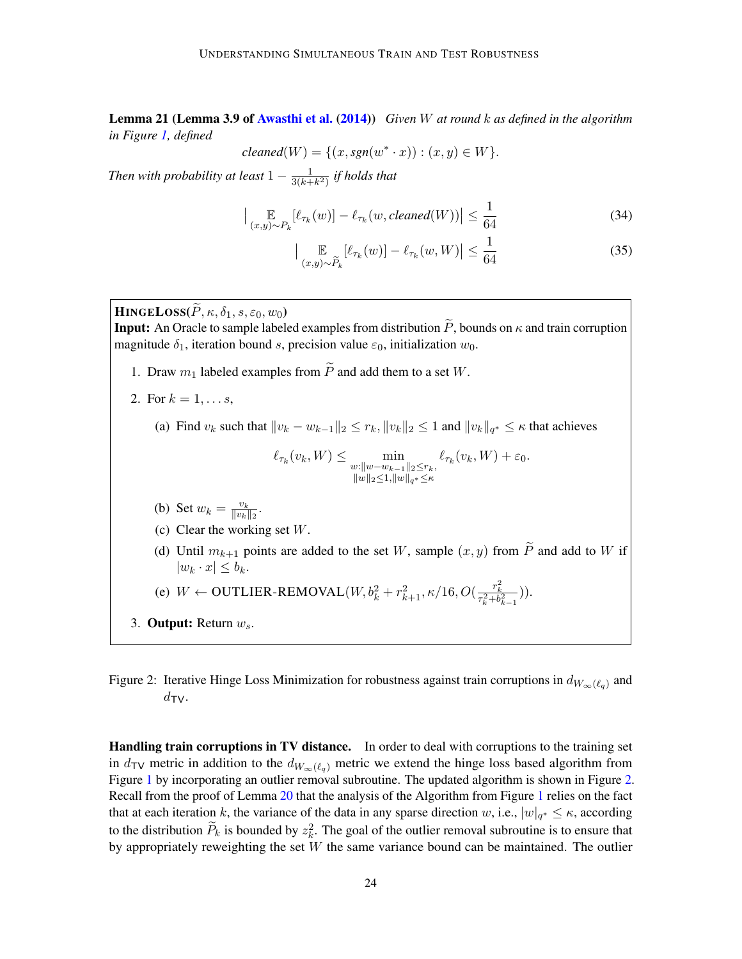Lemma 21 (Lemma 3.9 of [Awasthi et al.](#page-13-0) [\(2014\)](#page-13-0)) *Given* W *at round* k *as defined in the algorithm in Figure [1,](#page-9-0) defined*

$$
cleaned(W) = \{(x, sgn(w^* \cdot x)) : (x, y) \in W\}.
$$

*Then with probability at least*  $1 - \frac{1}{3(h+1)}$  $\frac{1}{3(k+k^2)}$  if holds that

$$
\left| \mathop{\mathbb{E}}_{(x,y)\sim P_k} [\ell_{\tau_k}(w)] - \ell_{\tau_k}(w, cleaned(W)) \right| \le \frac{1}{64}
$$
 (34)

$$
\left| \mathop{\mathbb{E}}_{(x,y)\sim \widetilde{P}_k} [\ell_{\tau_k}(w)] - \ell_{\tau_k}(w, W) \right| \le \frac{1}{64} \tag{35}
$$

 $\textbf{HINEELoss}(\tilde{P}, \kappa, \delta_1, s, \varepsilon_0, w_0)$ 

**Input:** An Oracle to sample labeled examples from distribution  $\tilde{P}$ , bounds on  $\kappa$  and train corruption magnitude  $\delta_1$ , iteration bound s, precision value  $\varepsilon_0$ , initialization  $w_0$ .

- 1. Draw  $m_1$  labeled examples from  $\widetilde{P}$  and add them to a set W.
- 2. For  $k = 1, ..., s$ ,
	- (a) Find  $v_k$  such that  $||v_k w_{k-1}||_2 \le r_k, ||v_k||_2 \le 1$  and  $||v_k||_{q^*} \le \kappa$  that achieves

$$
\ell_{\tau_k}(v_k,W)\leq \min_{\substack{w:\|w-w_{k-1}\|_2\leq r_k,\\ \|w\|_2\leq 1, \|w\|_{q^*}\leq \kappa}}\ell_{\tau_k}(v_k,W)+\varepsilon_0.
$$

- (b) Set  $w_k = \frac{v_k}{\|v_k\|}$  $\frac{v_k}{\|v_k\|_2}$ .
- (c) Clear the working set W.
- (d) Until  $m_{k+1}$  points are added to the set W, sample  $(x, y)$  from  $\widetilde{P}$  and add to W if  $|w_k \cdot x| \leq b_k$ .
- (e)  $W \leftarrow \text{OUTLIER-REMOVAL}(W, b_k^2 + r_{k+1}^2, \kappa/16, O(\frac{r_k^2}{\tau_k^2 + b_{k-1}^2})).$
- 3. Output: Return  $w_s$ .

<span id="page-23-0"></span>Figure 2: Iterative Hinge Loss Minimization for robustness against train corruptions in  $d_{W_\infty(\ell_q)}$  and  $d_{\text{TV}}$ .

**Handling train corruptions in TV distance.** In order to deal with corruptions to the training set in  $d_{\text{TV}}$  metric in addition to the  $d_{W_\infty(\ell_q)}$  metric we extend the hinge loss based algorithm from Figure [1](#page-9-0) by incorporating an outlier removal subroutine. The updated algorithm is shown in Figure [2.](#page-23-0) Recall from the proof of Lemma [20](#page-21-0) that the analysis of the Algorithm from Figure [1](#page-9-0) relies on the fact that at each iteration k, the variance of the data in any sparse direction w, i.e.,  $|w|_{q^*} \leq \kappa$ , according to the distribution  $\widetilde{P}_k$  is bounded by  $z_k^2$ . The goal of the outlier removal subroutine is to ensure that by appropriately reweighting the set  $W$  the same variance bound can be maintained. The outlier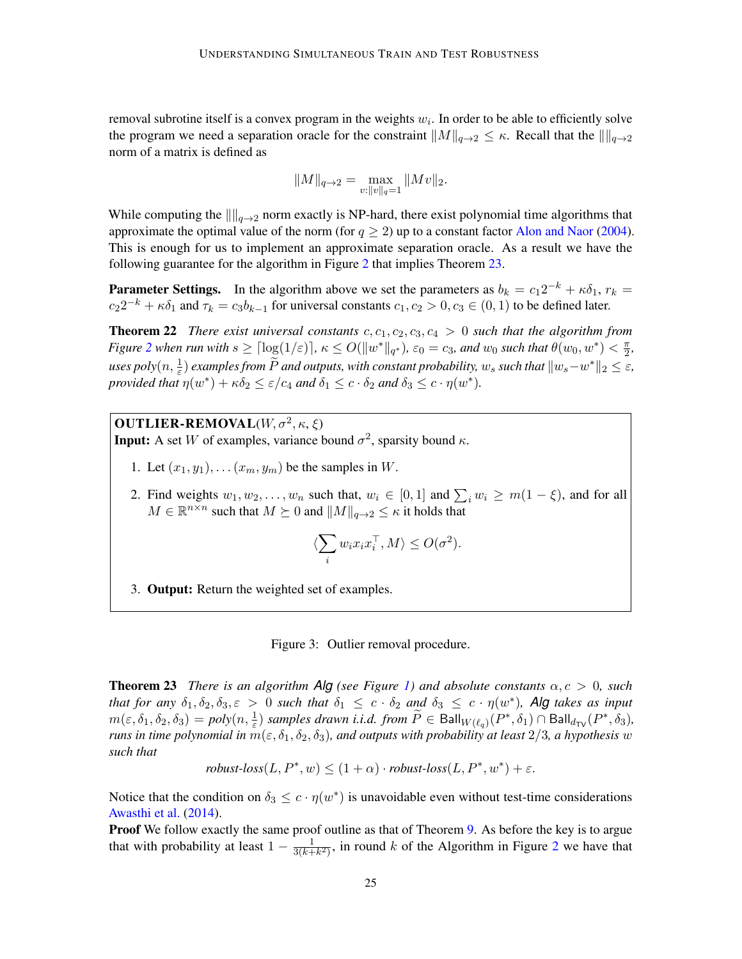removal subrotine itself is a convex program in the weights  $w_i$ . In order to be able to efficiently solve the program we need a separation oracle for the constraint  $||M||_{q\to 2} \leq \kappa$ . Recall that the  $\|\|_{q\to 2}$ norm of a matrix is defined as

$$
||M||_{q\to 2}=\max_{v:||v||_q=1}||Mv||_2.
$$

While computing the  $\|\cdot\|_{q\to 2}$  norm exactly is NP-hard, there exist polynomial time algorithms that approximate the optimal value of the norm (for  $q \ge 2$ ) up to a constant factor [Alon and Naor](#page-13-2) [\(2004\)](#page-13-2). This is enough for us to implement an approximate separation oracle. As a result we have the following guarantee for the algorithm in Figure [2](#page-23-0) that implies Theorem [23.](#page-24-0)

**Parameter Settings.** In the algorithm above we set the parameters as  $b_k = c_1 2^{-k} + \kappa \delta_1$ ,  $r_k =$  $c_2 2^{-k} + \kappa \delta_1$  and  $\tau_k = c_3 b_{k-1}$  for universal constants  $c_1, c_2 > 0, c_3 \in (0, 1)$  to be defined later.

**Theorem 22** *There exist universal constants*  $c, c_1, c_2, c_3, c_4 > 0$  *such that the algorithm from Figure* [2](#page-23-0) when run with  $s \geq \lceil \log(1/\varepsilon) \rceil$ ,  $\kappa \leq O(\|w^*\|_{q^*})$ ,  $\varepsilon_0 = c_3$ , and  $w_0$  such that  $\theta(w_0, w^*) < \frac{\pi}{2}$  $\frac{\pi}{2}$  $u$ ses  $poly(n, \frac{1}{\varepsilon})$  *examples from*  $\widetilde{P}$  *and outputs, with constant probability,*  $w_s$  *such that*  $\|w_s - w^*\|_2 \leq \varepsilon$ , *provided that*  $\eta(w^*) + \kappa \delta_2 \leq \varepsilon/c_4$  *and*  $\delta_1 \leq c \cdot \delta_2$  *and*  $\delta_3 \leq c \cdot \eta(w^*)$ *.* 

# **OUTLIER-REMOVAL** $(W,\sigma^2,\kappa,\xi)$

**Input:** A set W of examples, variance bound  $\sigma^2$ , sparsity bound  $\kappa$ .

- 1. Let  $(x_1, y_1), \ldots (x_m, y_m)$  be the samples in W.
- 2. Find weights  $w_1, w_2, \ldots, w_n$  such that,  $w_i \in [0, 1]$  and  $\sum_i w_i \ge m(1 \xi)$ , and for all  $M \in \mathbb{R}^{n \times n}$  such that  $M \succeq 0$  and  $||M||_{q \to 2} \leq \kappa$  it holds that

$$
\langle \sum_i w_i x_i x_i^\top, M \rangle \le O(\sigma^2).
$$

3. Output: Return the weighted set of examples.

<span id="page-24-1"></span>

<span id="page-24-0"></span>**Theorem 23** *There is an algorithm Alg* (see Figure [1\)](#page-9-0) and absolute constants  $\alpha$ ,  $c > 0$ , such *that for any*  $\delta_1, \delta_2, \delta_3, \varepsilon > 0$  *such that*  $\delta_1 \leq c \cdot \delta_2$  *and*  $\delta_3 \leq c \cdot \eta(w^*)$ *, Alg takes as input*  $m(\varepsilon, \delta_1, \delta_2, \delta_3) = poly(n, \frac{1}{\varepsilon})$  *samples drawn i.i.d. from*  $\widetilde{P} \in \text{Ball}_{W(\ell_q)}(P^*, \delta_1) \cap \text{Ball}_{d_{TV}}(P^*, \delta_3)$ , *runs in time polynomial in*  $m(\epsilon, \delta_1, \delta_2, \delta_3)$ *, and outputs with probability at least* 2/3*, a hypothesis* w *such that*

robust-loss
$$
(L, P^*, w) \le (1 + \alpha) \cdot robust-loss(L, P^*, w^*) + \varepsilon
$$
.

Notice that the condition on  $\delta_3 \leq c \cdot \eta(w^*)$  is unavoidable even without test-time considerations [Awasthi et al.](#page-13-0) [\(2014\)](#page-13-0).

**Proof** We follow exactly the same proof outline as that of Theorem [9.](#page-10-1) As before the key is to argue that with probability at least  $1 - \frac{1}{3(h+1)}$  $\frac{1}{3(k+k^2)}$  $\frac{1}{3(k+k^2)}$  $\frac{1}{3(k+k^2)}$ , in round k of the Algorithm in Figure 2 we have that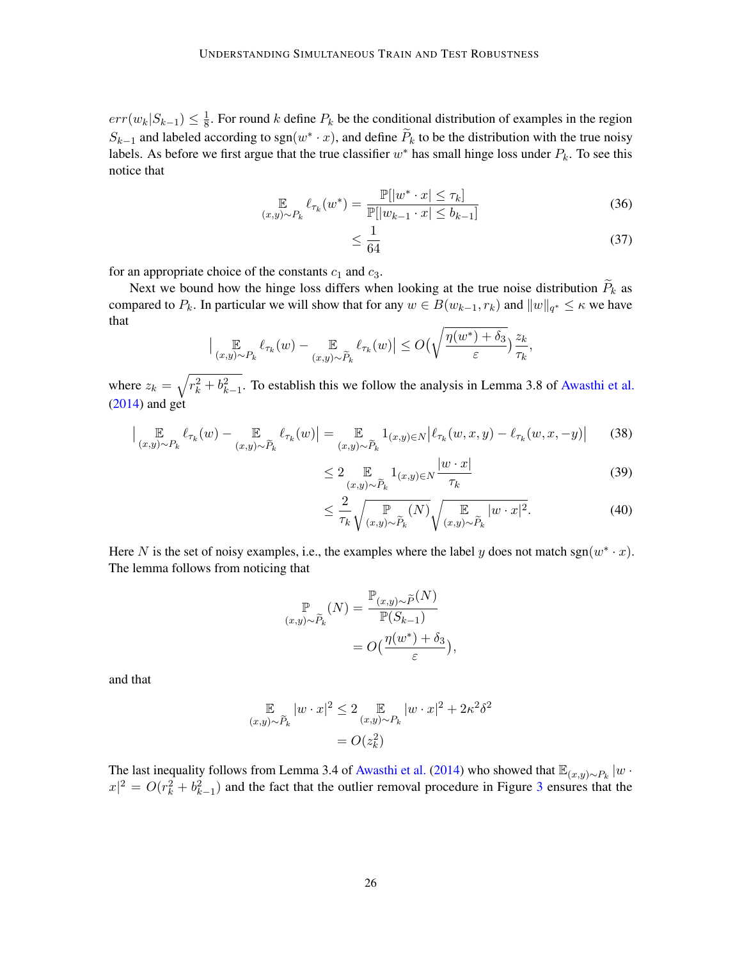$err(w_k|S_{k-1}) \leq \frac{1}{8}$  $\frac{1}{8}$ . For round k define  $P_k$  be the conditional distribution of examples in the region  $S_{k-1}$  and labeled according to sgn( $w^* \cdot x$ ), and define  $\widetilde{P}_k$  to be the distribution with the true noisy labels. As before we first argue that the true classifier  $w^*$  has small hinge loss under  $P_k$ . To see this notice that

$$
\mathbb{E}_{(x,y)\sim P_k} \ell_{\tau_k}(w^*) = \frac{\mathbb{P}[|w^* \cdot x| \le \tau_k]}{\mathbb{P}[|w_{k-1} \cdot x| \le b_{k-1}]}
$$
(36)

$$
\leq \frac{1}{64} \tag{37}
$$

for an appropriate choice of the constants  $c_1$  and  $c_3$ .

Next we bound how the hinge loss differs when looking at the true noise distribution  $\widetilde{P}_k$  as compared to  $P_k$ . In particular we will show that for any  $w \in B(w_{k-1}, r_k)$  and  $||w||_{q^*} \leq \kappa$  we have that

$$
\Big|\mathop{\mathbb{E}}_{(x,y)\sim P_k} \ell_{\tau_k}(w) - \mathop{\mathbb{E}}_{(x,y)\sim \widetilde{P}_k} \ell_{\tau_k}(w)\Big| \le O\Big(\sqrt{\frac{\eta(w^*) + \delta_3}{\varepsilon}}\Big) \frac{z_k}{\tau_k},
$$

where  $z_k = \sqrt{r_k^2 + b_{k-1}^2}$ . To establish this we follow the analysis in Lemma 3.8 of [Awasthi et al.](#page-13-0)  $(2014)$  and get

$$
\Big| \underset{(x,y)\sim P_k}{\mathbb{E}} \ell_{\tau_k}(w) - \underset{(x,y)\sim \widetilde{P}_k}{\mathbb{E}} \ell_{\tau_k}(w) \Big| = \underset{(x,y)\sim \widetilde{P}_k}{\mathbb{E}} 1_{(x,y)\in N} \Big| \ell_{\tau_k}(w,x,y) - \ell_{\tau_k}(w,x,-y) \Big| \tag{38}
$$

$$
\leq 2 \mathop{\mathbb{E}}_{(x,y)\sim \widetilde{P}_k} 1_{(x,y)\in N} \frac{|w \cdot x|}{\tau_k} \tag{39}
$$

$$
\leq \frac{2}{\tau_k} \sqrt{\mathbb{P}_{(x,y)\sim \widetilde{P}_k}(N)} \sqrt{\mathbb{E}_{(x,y)\sim \widetilde{P}_k} |w \cdot x|^2}.
$$
\n(40)

Here N is the set of noisy examples, i.e., the examples where the label y does not match sgn $(w^* \cdot x)$ . The lemma follows from noticing that

$$
\mathbb{P}_{(x,y)\sim \widetilde{P}_k}(N) = \frac{\mathbb{P}_{(x,y)\sim \widetilde{P}}(N)}{\mathbb{P}(S_{k-1})}
$$

$$
= O\left(\frac{\eta(w^*) + \delta_3}{\varepsilon}\right),
$$

and that

$$
\mathbb{E}_{(x,y)\sim \widetilde{P}_k} |w \cdot x|^2 \le 2 \mathbb{E}_{(x,y)\sim P_k} |w \cdot x|^2 + 2\kappa^2 \delta^2
$$

$$
= O(z_k^2)
$$

The last inequality follows from Lemma 3.4 of [Awasthi et al.](#page-13-0) [\(2014\)](#page-13-0) who showed that  $\mathbb{E}_{(x,y)\sim P_k}$  |w ·  $|x|^2 = O(r_k^2 + b_{k-1}^2)$  and the fact that the outlier removal procedure in Figure [3](#page-24-1) ensures that the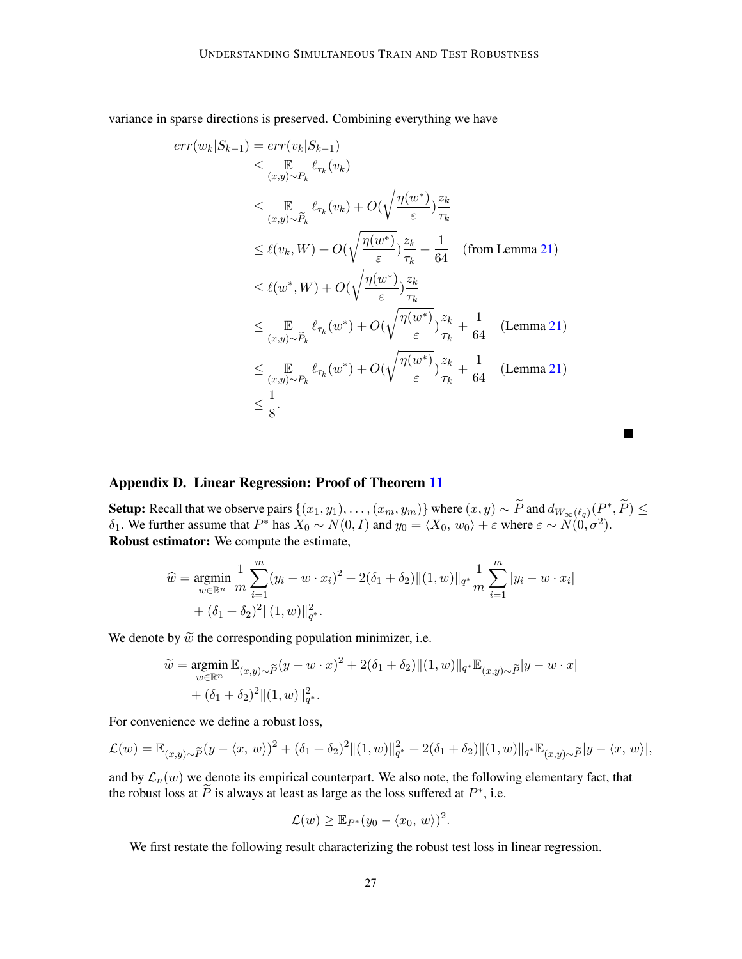variance in sparse directions is preserved. Combining everything we have

$$
err(w_k|S_{k-1}) = err(v_k|S_{k-1})
$$
  
\n
$$
\leq \mathop{\mathbb{E}}_{(x,y)\sim P_k} \ell_{\tau_k}(v_k)
$$
  
\n
$$
\leq \mathop{\mathbb{E}}_{(x,y)\sim \widetilde{P}_k} \ell_{\tau_k}(v_k) + O(\sqrt{\frac{\eta(w^*)}{\varepsilon}}) \frac{z_k}{\tau_k}
$$
  
\n
$$
\leq \ell(v_k, W) + O(\sqrt{\frac{\eta(w^*)}{\varepsilon}}) \frac{z_k}{\tau_k} + \frac{1}{64} \quad \text{(from Lemma 21)}
$$
  
\n
$$
\leq \ell(w^*, W) + O(\sqrt{\frac{\eta(w^*)}{\varepsilon}}) \frac{z_k}{\tau_k}
$$
  
\n
$$
\leq \mathop{\mathbb{E}}_{(x,y)\sim \widetilde{P}_k} \ell_{\tau_k}(w^*) + O(\sqrt{\frac{\eta(w^*)}{\varepsilon}}) \frac{z_k}{\tau_k} + \frac{1}{64} \quad \text{(Lemma 21)}
$$
  
\n
$$
\leq \mathop{\mathbb{E}}_{(x,y)\sim P_k} \ell_{\tau_k}(w^*) + O(\sqrt{\frac{\eta(w^*)}{\varepsilon}}) \frac{z_k}{\tau_k} + \frac{1}{64} \quad \text{(Lemma 21)}
$$
  
\n
$$
\leq \frac{1}{8}.
$$

# <span id="page-26-0"></span>Appendix D. Linear Regression: Proof of Theorem [11](#page-11-2)

Setup: Recall that we observe pairs  $\{(x_1, y_1), \ldots, (x_m, y_m)\}$  where  $(x, y) \sim \widetilde{P}$  and  $d_{W_\infty(\ell_q)}(P^*, \widetilde{P}) \le$ δ<sub>1</sub>. We further assume that  $P^*$  has  $X_0 \sim N(0, I)$  and  $y_0 = \langle X_0, w_0 \rangle + \varepsilon$  where  $\varepsilon \sim N(0, \sigma^2)$ . Robust estimator: We compute the estimate,

 $\blacksquare$ 

$$
\widehat{w} = \underset{w \in \mathbb{R}^n}{\text{argmin}} \frac{1}{m} \sum_{i=1}^m (y_i - w \cdot x_i)^2 + 2(\delta_1 + \delta_2) ||(1, w)||_{q^*} \frac{1}{m} \sum_{i=1}^m |y_i - w \cdot x_i|
$$
  
+ (\delta\_1 + \delta\_2)^2 ||(1, w)||\_{q^\*}^2.

We denote by  $\tilde{w}$  the corresponding population minimizer, i.e.

$$
\widetilde{w} = \underset{w \in \mathbb{R}^n}{\text{argmin}} \mathbb{E}_{(x,y)\sim \widetilde{P}}(y - w \cdot x)^2 + 2(\delta_1 + \delta_2) ||(1, w)||_{q^*} \mathbb{E}_{(x,y)\sim \widetilde{P}}|y - w \cdot x|
$$
  
+  $(\delta_1 + \delta_2)^2 ||(1, w)||_{q^*}^2$ .

For convenience we define a robust loss,

$$
\mathcal{L}(w) = \mathbb{E}_{(x,y)\sim \widetilde{P}}(y - \langle x, w \rangle)^2 + (\delta_1 + \delta_2)^2 ||(1, w)||_{q^*}^2 + 2(\delta_1 + \delta_2) ||(1, w)||_{q^*} \mathbb{E}_{(x,y)\sim \widetilde{P}}|y - \langle x, w \rangle|,
$$

and by  $\mathcal{L}_n(w)$  we denote its empirical counterpart. We also note, the following elementary fact, that the robust loss at  $\tilde{P}$  is always at least as large as the loss suffered at  $P^*$ , i.e.

$$
\mathcal{L}(w) \geq \mathbb{E}_{P^*}(y_0 - \langle x_0, w \rangle)^2.
$$

We first restate the following result characterizing the robust test loss in linear regression.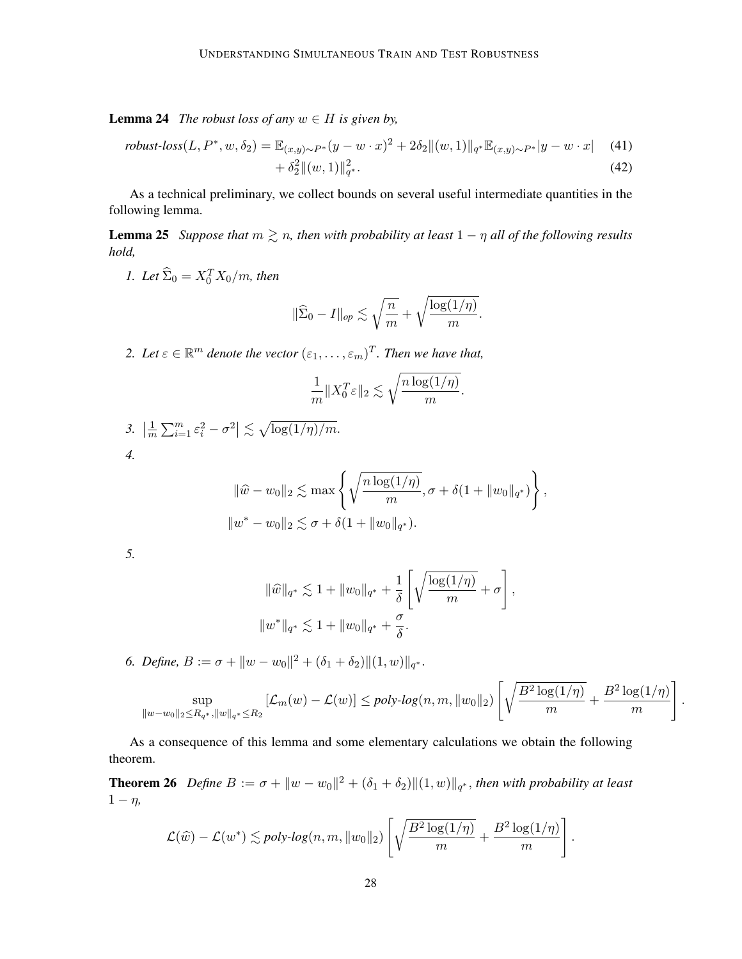**Lemma 24** *The robust loss of any*  $w \in H$  *is given by,* 

robust-loss
$$
(L, P^*, w, \delta_2)
$$
 =  $\mathbb{E}_{(x,y)\sim P^*}(y - w \cdot x)^2 + 2\delta_2 \|(w,1)\|_{q^*} \mathbb{E}_{(x,y)\sim P^*}|y - w \cdot x|$  (41)  
+  $\delta_2^2 \|(w,1)\|_{q^*}^2$ . (42)

<span id="page-27-1"></span>As a technical preliminary, we collect bounds on several useful intermediate quantities in the following lemma.

**Lemma 25** *Suppose that*  $m \ge n$ *, then with probability at least*  $1 - \eta$  *all of the following results hold,*

*1.* Let  $\widehat{\Sigma}_0 = X_0^T X_0/m$ , then

<span id="page-27-0"></span>
$$
\|\widehat{\Sigma}_0 - I\|_{op} \lesssim \sqrt{\frac{n}{m}} + \sqrt{\frac{\log(1/n)}{m}}.
$$

2. Let  $\varepsilon \in \mathbb{R}^m$  denote the vector  $(\varepsilon_1, \ldots, \varepsilon_m)^T$ . Then we have that,

$$
\frac{1}{m}||X_0^T \varepsilon||_2 \lesssim \sqrt{\frac{n \log(1/\eta)}{m}}.
$$

3. 
$$
\left|\frac{1}{m}\sum_{i=1}^m \varepsilon_i^2 - \sigma^2\right| \lesssim \sqrt{\log(1/\eta)/m}.
$$
4.

$$
\|\widehat{w} - w_0\|_2 \lesssim \max\left\{\sqrt{\frac{n\log(1/\eta)}{m}}, \sigma + \delta(1 + \|w_0\|_{q^*})\right\},\
$$
  

$$
\|w^* - w_0\|_2 \lesssim \sigma + \delta(1 + \|w_0\|_{q^*}).
$$

*5.*

$$
\|\widehat{w}\|_{q^*} \lesssim 1 + \|w_0\|_{q^*} + \frac{1}{\delta} \left[ \sqrt{\frac{\log(1/\eta)}{m}} + \sigma \right],
$$
  

$$
\|w^*\|_{q^*} \lesssim 1 + \|w_0\|_{q^*} + \frac{\sigma}{\delta}.
$$

*6. Define,*  $B := \sigma + ||w - w_0||^2 + (\delta_1 + \delta_2) ||(1, w)||_{q^*}.$ 

$$
\sup_{\|w-w_0\|_2 \le R_{q^*}, \|w\|_{q^*} \le R_2} \left[ \mathcal{L}_m(w) - \mathcal{L}(w) \right] \le poly-log(n, m, \|w_0\|_2) \left[ \sqrt{\frac{B^2 \log(1/\eta)}{m}} + \frac{B^2 \log(1/\eta)}{m} \right]
$$

.

<span id="page-27-2"></span>As a consequence of this lemma and some elementary calculations we obtain the following theorem.

**Theorem 26** Define  $B := \sigma + ||w - w_0||^2 + (\delta_1 + \delta_2)||(1, w)||_{q^*}$ , then with probability at least  $1 - \eta$ ,

$$
\mathcal{L}(\widehat{w}) - \mathcal{L}(w^*) \lesssim poly-log(n, m, \|w_0\|_2) \left[ \sqrt{\frac{B^2 \log(1/\eta)}{m}} + \frac{B^2 \log(1/\eta)}{m} \right].
$$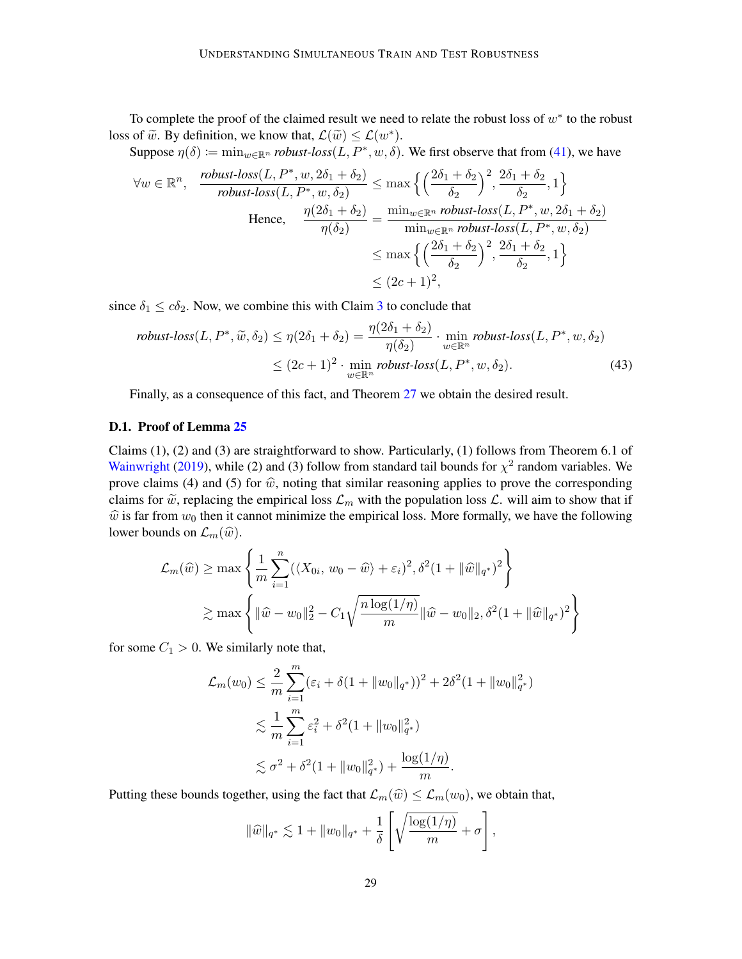To complete the proof of the claimed result we need to relate the robust loss of  $w^*$  to the robust loss of  $\widetilde{w}$ . By definition, we know that,  $\mathcal{L}(\widetilde{w}) \leq \mathcal{L}(w^*)$ .<br>Suppose  $p(\delta)$  in wing a unbust  $\log(L, B^* | w, \delta)$ .

Suppose  $\eta(\delta) \coloneqq \min_{w \in \mathbb{R}^n} \text{robust-loss}(L, P^*, w, \delta)$ . We first observe that from [\(41\)](#page-27-0), we have

$$
\forall w \in \mathbb{R}^n, \quad \frac{\text{robust-loss}(L, P^*, w, 2\delta_1 + \delta_2)}{\text{robust-loss}(L, P^*, w, \delta_2)} \le \max\left\{ \left(\frac{2\delta_1 + \delta_2}{\delta_2}\right)^2, \frac{2\delta_1 + \delta_2}{\delta_2}, 1 \right\}
$$
\n
$$
\text{Hence, } \quad \frac{\eta(2\delta_1 + \delta_2)}{\eta(\delta_2)} = \frac{\min_{w \in \mathbb{R}^n} \text{robust-loss}(L, P^*, w, 2\delta_1 + \delta_2)}{\min_{w \in \mathbb{R}^n} \text{robust-loss}(L, P^*, w, \delta_2)} \le \max\left\{ \left(\frac{2\delta_1 + \delta_2}{\delta_2}\right)^2, \frac{2\delta_1 + \delta_2}{\delta_2}, 1 \right\}
$$
\n
$$
\le (2c + 1)^2,
$$

since  $\delta_1 \leq c\delta_2$ . Now, we combine this with Claim [3](#page-5-0) to conclude that

$$
robust-loss(L, P^*, \widetilde{w}, \delta_2) \le \eta(2\delta_1 + \delta_2) = \frac{\eta(2\delta_1 + \delta_2)}{\eta(\delta_2)} \cdot \min_{w \in \mathbb{R}^n} robust-loss(L, P^*, w, \delta_2)
$$
  
 
$$
\le (2c+1)^2 \cdot \min_{w \in \mathbb{R}^n} robust-loss(L, P^*, w, \delta_2).
$$
 (43)

Finally, as a consequence of this fact, and Theorem [27](#page-30-1) we obtain the desired result.

## D.1. Proof of Lemma [25](#page-27-1)

Claims (1), (2) and (3) are straightforward to show. Particularly, (1) follows from Theorem 6.1 of [Wainwright](#page-17-2) [\(2019\)](#page-17-2), while (2) and (3) follow from standard tail bounds for  $\chi^2$  random variables. We prove claims (4) and (5) for  $\hat{w}$ , noting that similar reasoning applies to prove the corresponding claims for  $\tilde{w}$ , replacing the empirical loss  $\mathcal{L}_m$  with the population loss  $\mathcal{L}$ . will aim to show that if  $\hat{w}$  is far from  $w_0$  then it cannot minimize the empirical loss. More formally, we have the following lower bounds on  $\mathcal{L}_m(\widehat{w})$ .

$$
\mathcal{L}_m(\widehat{w}) \ge \max \left\{ \frac{1}{m} \sum_{i=1}^n (\langle X_{0i}, w_0 - \widehat{w} \rangle + \varepsilon_i)^2, \delta^2 (1 + ||\widehat{w}||_{q^*})^2 \right\}
$$
  

$$
\ge \max \left\{ ||\widehat{w} - w_0||_2^2 - C_1 \sqrt{\frac{n \log(1/\eta)}{m}} ||\widehat{w} - w_0||_2, \delta^2 (1 + ||\widehat{w}||_{q^*})^2 \right\}
$$

for some  $C_1 > 0$ . We similarly note that,

$$
\mathcal{L}_m(w_0) \leq \frac{2}{m} \sum_{i=1}^m (\varepsilon_i + \delta (1 + \|w_0\|_{q^*}))^2 + 2\delta^2 (1 + \|w_0\|_{q^*}^2)
$$
  

$$
\lesssim \frac{1}{m} \sum_{i=1}^m \varepsilon_i^2 + \delta^2 (1 + \|w_0\|_{q^*}^2)
$$
  

$$
\lesssim \sigma^2 + \delta^2 (1 + \|w_0\|_{q^*}^2) + \frac{\log(1/\eta)}{m}.
$$

Putting these bounds together, using the fact that  $\mathcal{L}_m(\widehat{w}) \leq \mathcal{L}_m(w_0)$ , we obtain that,

$$
\|\widehat{w}\|_{q^*} \lesssim 1 + \|w_0\|_{q^*} + \frac{1}{\delta} \left[ \sqrt{\frac{\log(1/\eta)}{m}} + \sigma \right],
$$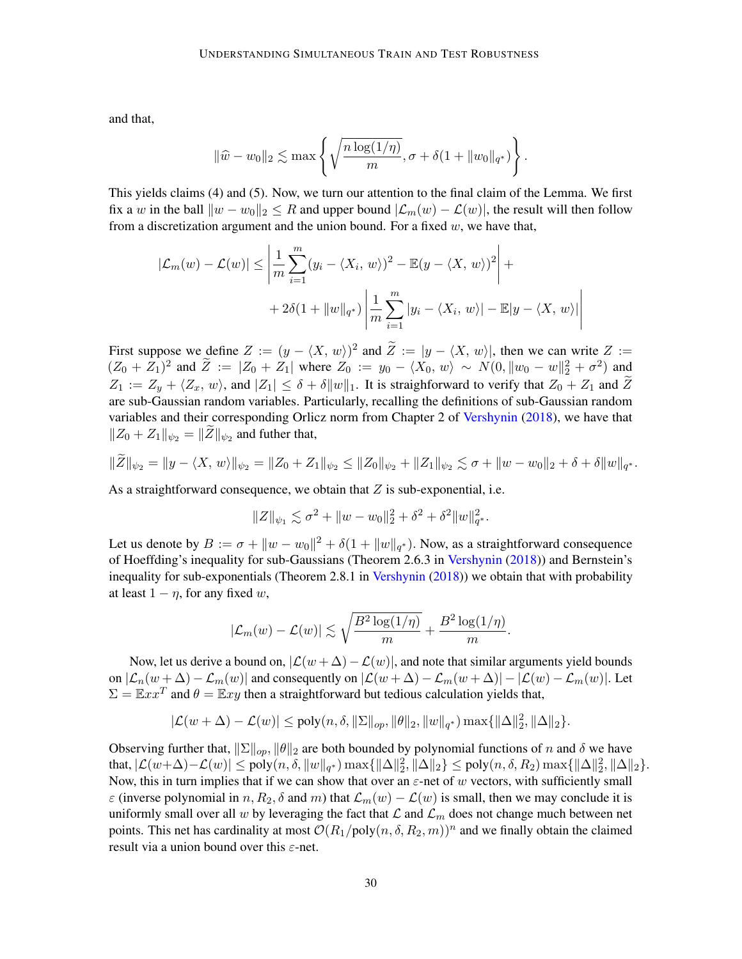and that,

$$
\|\widehat{w} - w_0\|_2 \lesssim \max\left\{\sqrt{\frac{n\log(1/\eta)}{m}}, \sigma + \delta(1 + \|w_0\|_{q^*})\right\}.
$$

This yields claims (4) and (5). Now, we turn our attention to the final claim of the Lemma. We first fix a w in the ball  $||w - w_0||_2 \leq R$  and upper bound  $|\mathcal{L}_m(w) - \mathcal{L}(w)|$ , the result will then follow from a discretization argument and the union bound. For a fixed  $w$ , we have that,

$$
|\mathcal{L}_m(w) - \mathcal{L}(w)| \le \left| \frac{1}{m} \sum_{i=1}^m (y_i - \langle X_i, w \rangle)^2 - \mathbb{E}(y - \langle X, w \rangle)^2 \right| +
$$
  
+ 2\delta(1 + ||w||\_{q^\*}) \left| \frac{1}{m} \sum\_{i=1}^m |y\_i - \langle X\_i, w \rangle| - \mathbb{E}|y - \langle X, w \rangle| \right|

First suppose we define  $Z := (y - \langle X, w \rangle)^2$  and  $\tilde{Z} := |y - \langle X, w \rangle|$ , then we can write  $Z := (Z - \langle X, w \rangle)^2$  $(Z_0 + Z_1)^2$  and  $\tilde{Z} := |Z_0 + Z_1|$  where  $Z_0 := y_0 - \langle X_0, w \rangle \sim N(0, \|w_0 - w\|_2^2 + \sigma^2)$  and  $Z_1 := Z_y + \langle Z_x, w \rangle$ , and  $|Z_1| \leq \delta + \delta ||w||_1$ . It is straighforward to verify that  $Z_0 + Z_1$  and Z are sub-Gaussian random variables. Particularly, recalling the definitions of sub-Gaussian random variables and their corresponding Orlicz norm from Chapter 2 of [Vershynin](#page-17-3) [\(2018\)](#page-17-3), we have that  $||Z_0 + Z_1||_{\psi_2} = ||Z||_{\psi_2}$  and futher that,

$$
\|\widetilde{Z}\|_{\psi_2} = \|y - \langle X, w \rangle\|_{\psi_2} = \|Z_0 + Z_1\|_{\psi_2} \le \|Z_0\|_{\psi_2} + \|Z_1\|_{\psi_2} \lesssim \sigma + \|w - w_0\|_2 + \delta + \delta \|w\|_{q^*}.
$$

As a straightforward consequence, we obtain that  $Z$  is sub-exponential, i.e.

$$
||Z||_{\psi_1} \lesssim \sigma^2 + ||w - w_0||_2^2 + \delta^2 + \delta^2 ||w||_{q^*}^2.
$$

Let us denote by  $B := \sigma + ||w - w_0||^2 + \delta(1 + ||w||_{q^*})$ . Now, as a straightforward consequence of Hoeffding's inequality for sub-Gaussians (Theorem 2.6.3 in [Vershynin](#page-17-3) [\(2018\)](#page-17-3)) and Bernstein's inequality for sub-exponentials (Theorem 2.8.1 in [Vershynin](#page-17-3) [\(2018\)](#page-17-3)) we obtain that with probability at least  $1 - \eta$ , for any fixed w,

$$
|\mathcal{L}_m(w) - \mathcal{L}(w)| \lesssim \sqrt{\frac{B^2\log(1/\eta)}{m}} + \frac{B^2\log(1/\eta)}{m}.
$$

Now, let us derive a bound on,  $\left|\mathcal{L}(w + \Delta) - \mathcal{L}(w)\right|$ , and note that similar arguments yield bounds on  $|\mathcal{L}_n(w + \Delta) - \mathcal{L}_m(w)|$  and consequently on  $|\mathcal{L}(w + \Delta) - \mathcal{L}_m(w + \Delta)| - |\mathcal{L}(w) - \mathcal{L}_m(w)|$ . Let  $\Sigma = \mathbb{E} x x^T$  and  $\theta = \mathbb{E} x y$  then a straightforward but tedious calculation yields that,

$$
|\mathcal{L}(w+\Delta)-\mathcal{L}(w)|\leq \text{poly}(n,\delta,\|\Sigma\|_{op},\|\theta\|_2,\|w\|_{q^*})\max\{\|\Delta\|_2^2,\|\Delta\|_2\}.
$$

Observing further that,  $||\Sigma||_{op}$ ,  $||\theta||_2$  are both bounded by polynomial functions of n and  $\delta$  we have that,  $|\mathcal{L}(w+\Delta)-\mathcal{L}(w)| \leq \text{poly}(n, \delta, \|w\|_{q^*}) \max\{\|\Delta\|_2^2, \|\Delta\|_2\} \leq \text{poly}(n, \delta, R_2) \max\{\|\Delta\|_2^2, \|\Delta\|_2\}.$ Now, this in turn implies that if we can show that over an  $\varepsilon$ -net of w vectors, with sufficiently small  $\varepsilon$  (inverse polynomial in n,  $R_2$ ,  $\delta$  and m) that  $\mathcal{L}_m(w) - \mathcal{L}(w)$  is small, then we may conclude it is uniformly small over all w by leveraging the fact that  $\mathcal L$  and  $\mathcal L_m$  does not change much between net points. This net has cardinality at most  $\mathcal{O}(R_1/\text{poly}(n, \delta, R_2, m))^n$  and we finally obtain the claimed result via a union bound over this  $\varepsilon$ -net.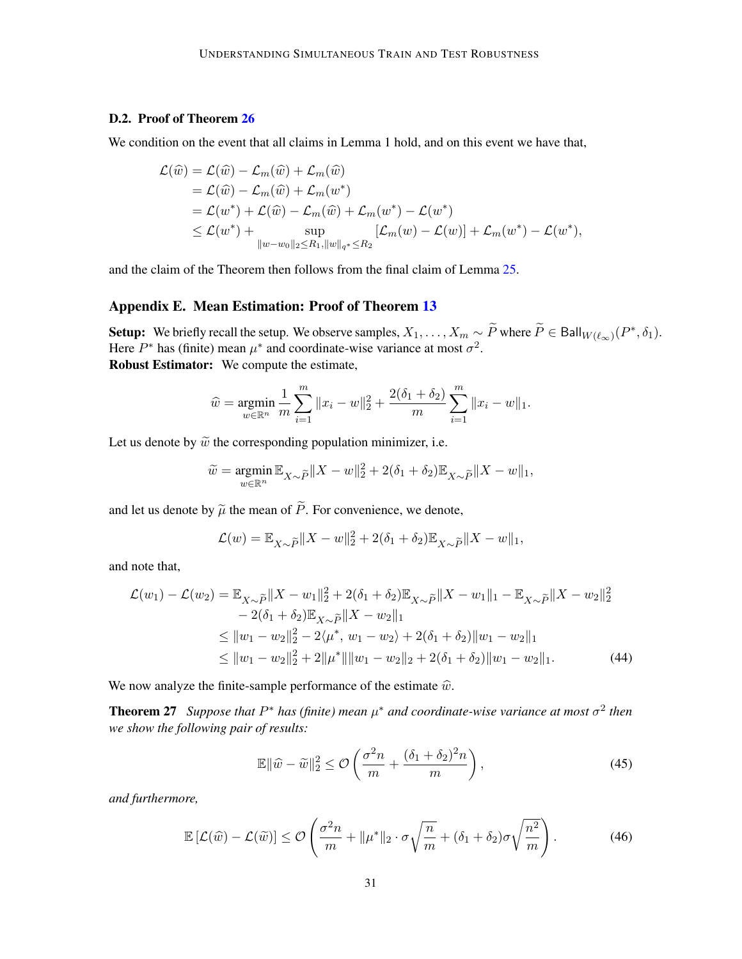## D.2. Proof of Theorem [26](#page-27-2)

We condition on the event that all claims in Lemma 1 hold, and on this event we have that,

$$
\mathcal{L}(\widehat{w}) = \mathcal{L}(\widehat{w}) - \mathcal{L}_m(\widehat{w}) + \mathcal{L}_m(\widehat{w})
$$
  
\n
$$
= \mathcal{L}(\widehat{w}) - \mathcal{L}_m(\widehat{w}) + \mathcal{L}_m(w^*)
$$
  
\n
$$
= \mathcal{L}(w^*) + \mathcal{L}(\widehat{w}) - \mathcal{L}_m(\widehat{w}) + \mathcal{L}_m(w^*) - \mathcal{L}(w^*)
$$
  
\n
$$
\leq \mathcal{L}(w^*) + \sup_{\|w - w_0\|_2 \leq R_1, \|w\|_{q^*} \leq R_2} [\mathcal{L}_m(w) - \mathcal{L}(w)] + \mathcal{L}_m(w^*) - \mathcal{L}(w^*),
$$

and the claim of the Theorem then follows from the final claim of Lemma [25.](#page-27-1)

## <span id="page-30-0"></span>Appendix E. Mean Estimation: Proof of Theorem [13](#page-12-3)

Setup: We briefly recall the setup. We observe samples,  $X_1, \ldots, X_m \sim \widetilde{P}$  where  $\widetilde{P} \in \mathsf{Ball}_{W(\ell_{\infty})}(P^*, \delta_1)$ . Here  $P^*$  has (finite) mean  $\mu^*$  and coordinate-wise variance at most  $\sigma^2$ . Robust Estimator: We compute the estimate,

$$
\widehat{w} = \underset{w \in \mathbb{R}^n}{\text{argmin}} \frac{1}{m} \sum_{i=1}^m \|x_i - w\|_2^2 + \frac{2(\delta_1 + \delta_2)}{m} \sum_{i=1}^m \|x_i - w\|_1.
$$

Let us denote by  $\tilde{w}$  the corresponding population minimizer, i.e.

$$
\widetilde{w} = \underset{w \in \mathbb{R}^n}{\operatorname{argmin}} \mathbb{E}_{X \sim \widetilde{P}} \|X - w\|_2^2 + 2(\delta_1 + \delta_2) \mathbb{E}_{X \sim \widetilde{P}} \|X - w\|_1,
$$

and let us denote by  $\tilde{\mu}$  the mean of  $\tilde{P}$ . For convenience, we denote,

$$
\mathcal{L}(w) = \mathbb{E}_{X \sim \tilde{P}} \|X - w\|_2^2 + 2(\delta_1 + \delta_2) \mathbb{E}_{X \sim \tilde{P}} \|X - w\|_1,
$$

and note that,

$$
\mathcal{L}(w_1) - \mathcal{L}(w_2) = \mathbb{E}_{X \sim \widetilde{P}} \|X - w_1\|_2^2 + 2(\delta_1 + \delta_2) \mathbb{E}_{X \sim \widetilde{P}} \|X - w_1\|_1 - \mathbb{E}_{X \sim \widetilde{P}} \|X - w_2\|_2^2
$$
  
\n
$$
- 2(\delta_1 + \delta_2) \mathbb{E}_{X \sim \widetilde{P}} \|X - w_2\|_1
$$
  
\n
$$
\leq \|w_1 - w_2\|_2^2 - 2\langle \mu^*, w_1 - w_2 \rangle + 2(\delta_1 + \delta_2) \|w_1 - w_2\|_1
$$
  
\n
$$
\leq \|w_1 - w_2\|_2^2 + 2\|\mu^*\| \|w_1 - w_2\|_2 + 2(\delta_1 + \delta_2) \|w_1 - w_2\|_1.
$$
 (44)

We now analyze the finite-sample performance of the estimate  $\hat{w}$ .

**Theorem 27** Suppose that  $P^*$  has (finite) mean  $\mu^*$  and coordinate-wise variance at most  $\sigma^2$  then *we show the following pair of results:*

<span id="page-30-2"></span><span id="page-30-1"></span>
$$
\mathbb{E} \|\widehat{w} - \widetilde{w}\|_2^2 \le \mathcal{O}\left(\frac{\sigma^2 n}{m} + \frac{(\delta_1 + \delta_2)^2 n}{m}\right),\tag{45}
$$

*and furthermore,*

$$
\mathbb{E}\left[\mathcal{L}(\widehat{w}) - \mathcal{L}(\widetilde{w})\right] \leq \mathcal{O}\left(\frac{\sigma^2 n}{m} + \|\mu^*\|_2 \cdot \sigma \sqrt{\frac{n}{m}} + (\delta_1 + \delta_2)\sigma \sqrt{\frac{n^2}{m}}\right). \tag{46}
$$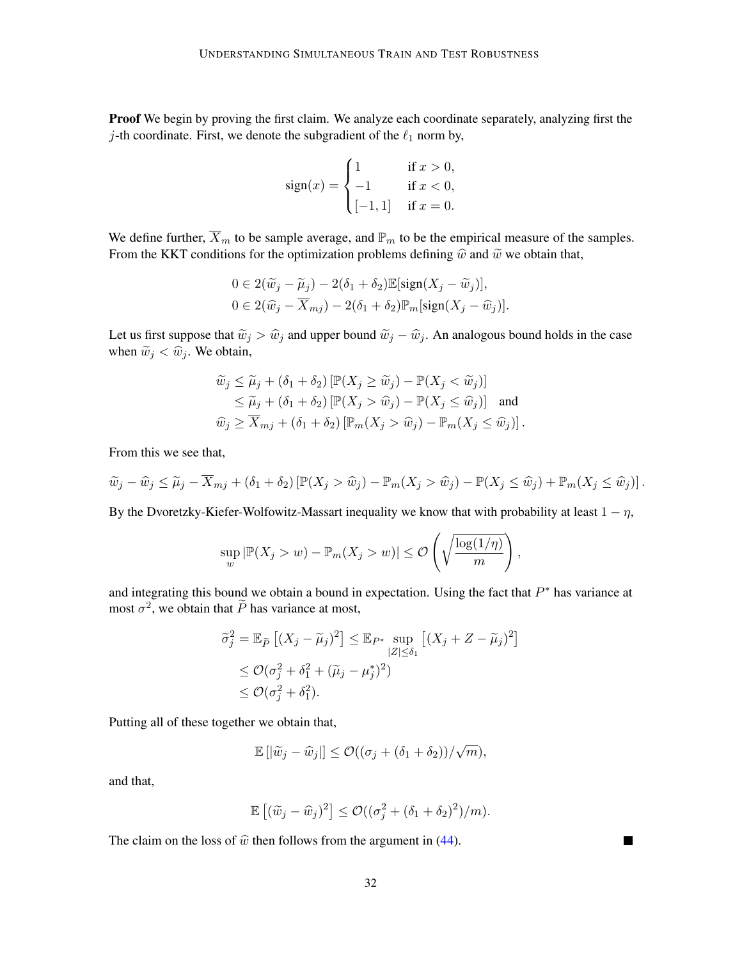Proof We begin by proving the first claim. We analyze each coordinate separately, analyzing first the j-th coordinate. First, we denote the subgradient of the  $\ell_1$  norm by,

$$
sign(x) = \begin{cases} 1 & \text{if } x > 0, \\ -1 & \text{if } x < 0, \\ [-1, 1] & \text{if } x = 0. \end{cases}
$$

We define further,  $\overline{X}_m$  to be sample average, and  $\mathbb{P}_m$  to be the empirical measure of the samples. From the KKT conditions for the optimization problems defining  $\hat{w}$  and  $\tilde{w}$  we obtain that,

$$
0 \in 2(\widetilde{w}_j - \widetilde{\mu}_j) - 2(\delta_1 + \delta_2) \mathbb{E}[\text{sign}(X_j - \widetilde{w}_j)],
$$
  

$$
0 \in 2(\widehat{w}_j - \overline{X}_{mj}) - 2(\delta_1 + \delta_2) \mathbb{P}_m[\text{sign}(X_j - \widehat{w}_j)].
$$

Let us first suppose that  $\tilde{w}_j > \hat{w}_j$  and upper bound  $\tilde{w}_j - \hat{w}_j$ . An analogous bound holds in the case when  $\widetilde{w}_j < \widehat{w}_j$ . We obtain,

$$
\widetilde{w}_j \leq \widetilde{\mu}_j + (\delta_1 + \delta_2) \left[ \mathbb{P}(X_j \geq \widetilde{w}_j) - \mathbb{P}(X_j < \widetilde{w}_j) \right] \\
\leq \widetilde{\mu}_j + (\delta_1 + \delta_2) \left[ \mathbb{P}(X_j > \widehat{w}_j) - \mathbb{P}(X_j < \widehat{w}_j) \right] \text{ and } \\
\widehat{w}_j \geq \overline{X}_{mj} + (\delta_1 + \delta_2) \left[ \mathbb{P}_m(X_j > \widehat{w}_j) - \mathbb{P}_m(X_j < \widehat{w}_j) \right].
$$

From this we see that,

$$
\widetilde{w}_j - \widehat{w}_j \le \widetilde{\mu}_j - \overline{X}_{mj} + (\delta_1 + \delta_2) \left[ \mathbb{P}(X_j > \widehat{w}_j) - \mathbb{P}_m(X_j > \widehat{w}_j) - \mathbb{P}(X_j \le \widehat{w}_j) + \mathbb{P}_m(X_j \le \widehat{w}_j) \right].
$$

By the Dvoretzky-Kiefer-Wolfowitz-Massart inequality we know that with probability at least  $1 - \eta$ ,

$$
\sup_{w} |\mathbb{P}(X_j > w) - \mathbb{P}_m(X_j > w)| \leq \mathcal{O}\left(\sqrt{\frac{\log(1/\eta)}{m}}\right),
$$

and integrating this bound we obtain a bound in expectation. Using the fact that  $P^*$  has variance at most  $\sigma^2$ , we obtain that  $\tilde{P}$  has variance at most,

$$
\widetilde{\sigma}_j^2 = \mathbb{E}_{\widetilde{P}} \left[ (X_j - \widetilde{\mu}_j)^2 \right] \leq \mathbb{E}_{P^*} \sup_{|Z| \leq \delta_1} \left[ (X_j + Z - \widetilde{\mu}_j)^2 \right]
$$
  
\n
$$
\leq \mathcal{O}(\sigma_j^2 + \delta_1^2 + (\widetilde{\mu}_j - \mu_j^2)^2)
$$
  
\n
$$
\leq \mathcal{O}(\sigma_j^2 + \delta_1^2).
$$

Putting all of these together we obtain that,

$$
\mathbb{E} [|\widetilde{w}_j - \widehat{w}_j|] \leq \mathcal{O}((\sigma_j + (\delta_1 + \delta_2))/\sqrt{m}),
$$

and that,

$$
\mathbb{E}[(\widetilde{w}_j - \widehat{w}_j)^2] \leq \mathcal{O}((\sigma_j^2 + (\delta_1 + \delta_2)^2)/m).
$$

 $\blacksquare$ 

The claim on the loss of  $\hat{w}$  then follows from the argument in [\(44\)](#page-30-2).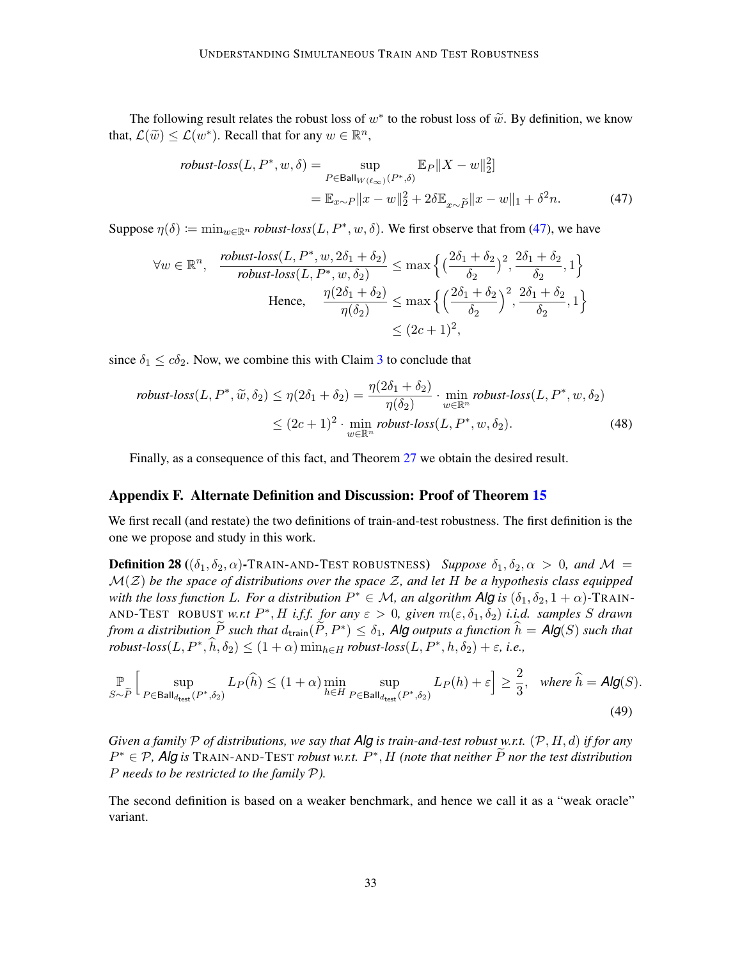The following result relates the robust loss of  $w^*$  to the robust loss of  $\tilde{w}$ . By definition, we know  $\mathcal{C}(\tilde{w}) \leq \mathcal{C}(w^*)$ . Becall that for any  $w \in \mathbb{R}^n$ that,  $\mathcal{L}(\widetilde{w}) \leq \mathcal{L}(w^*)$ . Recall that for any  $w \in \mathbb{R}^n$ ,

<span id="page-32-1"></span>
$$
robust-loss(L, P^*, w, \delta) = \sup_{P \in \text{Ball}_{W(\ell_{\infty})}(P^*, \delta)} \mathbb{E}_P \|X - w\|_2^2
$$
  
= 
$$
\mathbb{E}_{x \sim P} \|x - w\|_2^2 + 2\delta \mathbb{E}_{x \sim \tilde{P}} \|x - w\|_1 + \delta^2 n.
$$
 (47)

Suppose  $\eta(\delta) \coloneqq \min_{w \in \mathbb{R}^n} \text{robust-loss}(L, P^*, w, \delta)$ . We first observe that from [\(47\)](#page-32-1), we have

$$
\forall w \in \mathbb{R}^n, \quad \frac{\text{robust-loss}(L, P^*, w, 2\delta_1 + \delta_2)}{\text{robust-loss}(L, P^*, w, \delta_2)} \le \max\left\{ \left(\frac{2\delta_1 + \delta_2}{\delta_2}\right)^2, \frac{2\delta_1 + \delta_2}{\delta_2}, 1 \right\}
$$
\n
$$
\text{Hence, } \quad \frac{\eta(2\delta_1 + \delta_2)}{\eta(\delta_2)} \le \max\left\{ \left(\frac{2\delta_1 + \delta_2}{\delta_2}\right)^2, \frac{2\delta_1 + \delta_2}{\delta_2}, 1 \right\}
$$
\n
$$
\le (2c + 1)^2,
$$

since  $\delta_1 \leq c\delta_2$ . Now, we combine this with Claim [3](#page-5-0) to conclude that

robust-loss
$$
(L, P^*, \widetilde{w}, \delta_2) \le \eta(2\delta_1 + \delta_2) = \frac{\eta(2\delta_1 + \delta_2)}{\eta(\delta_2)} \cdot \min_{w \in \mathbb{R}^n} robust-loss(L, P^*, w, \delta_2)
$$
  

$$
\le (2c+1)^2 \cdot \min_{w \in \mathbb{R}^n} robust-loss(L, P^*, w, \delta_2).
$$
 (48)

<span id="page-32-2"></span>Finally, as a consequence of this fact, and Theorem [27](#page-30-1) we obtain the desired result.

#### <span id="page-32-0"></span>Appendix F. Alternate Definition and Discussion: Proof of Theorem [15](#page-13-3)

We first recall (and restate) the two definitions of train-and-test robustness. The first definition is the one we propose and study in this work.

**Definition 28** (( $\delta_1, \delta_2, \alpha$ )-TRAIN-AND-TEST ROBUSTNESS) *Suppose*  $\delta_1, \delta_2, \alpha > 0$ *, and*  $\mathcal{M} =$ M(Z) *be the space of distributions over the space* Z*, and let* H *be a hypothesis class equipped with the loss function L. For a distribution*  $P^* \in \mathcal{M}$ *, an algorithm Alg is*  $(\delta_1, \delta_2, 1 + \alpha)$ -TRAIN-AND-TEST ROBUST *w.r.t*  $P^*$ , H *i.f.f. for any*  $\varepsilon > 0$ , given  $m(\varepsilon, \delta_1, \delta_2)$  *i.i.d. samples* S *drawn from a distribution*  $\widetilde{P}$  *such that*  $d_{\text{train}}(\widetilde{P}, P^*) \leq \delta_1$ , **Alg** *outputs a function*  $\widehat{h} = \mathsf{Alg}(S)$  *such that*  $robust-loss(L, P^*, \hat{h}, \delta_2) \leq (1+\alpha) \min_{h \in H} robust-loss(L, P^*, h, \delta_2) + \varepsilon$ , *i.e.*,

$$
\mathbb{P}\left[\sup_{S\sim\tilde{P}}\left[\sup_{P\in\mathsf{Ball}_{d_{\mathsf{test}}}(P^*,\delta_2)}L_{P}(\hat{h})\leq(1+\alpha)\min_{h\in H}\sup_{P\in\mathsf{Ball}_{d_{\mathsf{test}}}(P^*,\delta_2)}L_{P}(h)+\varepsilon\right]\geq\frac{2}{3},\quad\text{where }\hat{h}=\mathsf{Alg}(S). \tag{49}
$$

*Given a family* P *of distributions, we say that Alg is train-and-test robust w.r.t.* (P, H, d) *if for any*  $P^* \in \mathcal{P}$ , Alg is TRAIN-AND-TEST *robust w.r.t.*  $P^*$ , *H (note that neither*  $\widetilde{P}$  *nor the test distribution* P *needs to be restricted to the family* P*).*

<span id="page-32-3"></span>The second definition is based on a weaker benchmark, and hence we call it as a "weak oracle" variant.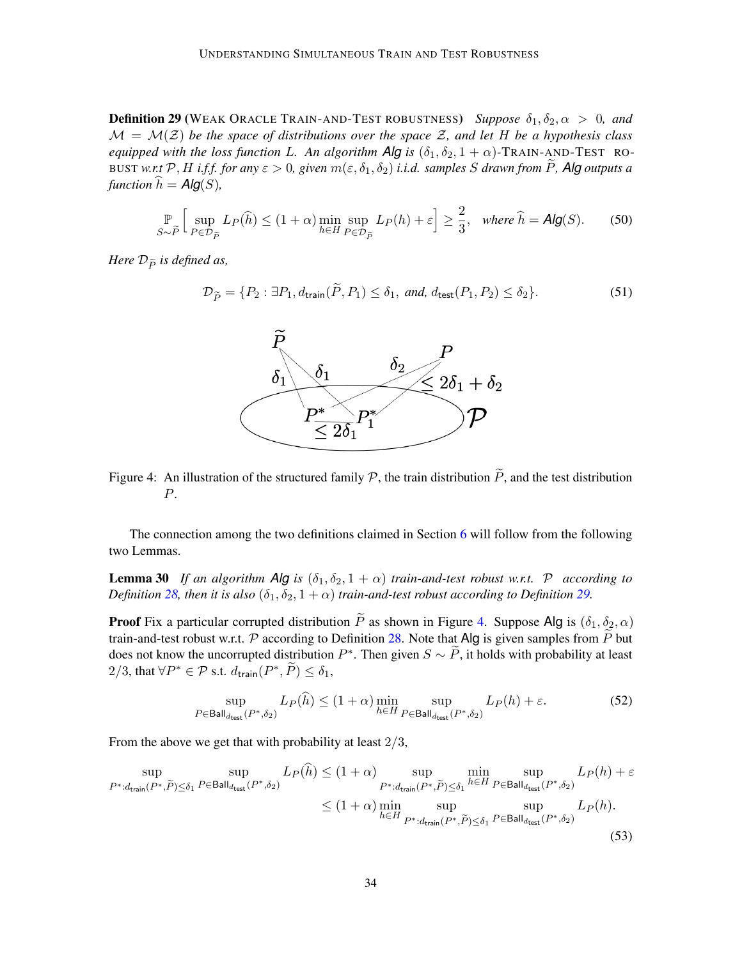**Definition 29** (WEAK ORACLE TRAIN-AND-TEST ROBUSTNESS) *Suppose*  $\delta_1, \delta_2, \alpha > 0$ , and  $M = M(Z)$  *be the space of distributions over the space Z, and let H be a hypothesis class equipped with the loss function* L. An algorithm  $\overline{Alg}$  *is* ( $\delta_1, \delta_2, 1 + \alpha$ )-TRAIN-AND-TEST RO-BUST *w.r.t* P, H *i.f.f. for any*  $\varepsilon > 0$ , given  $m(\varepsilon, \delta_1, \delta_2)$  *i.i.d. samples* S drawn from P, Alg outputs a *function*  $\hat{h} = \text{Alg}(S)$ ,

$$
\mathbb{P}_{S \sim \widetilde{P}} \left[ \sup_{P \in \mathcal{D}_{\widetilde{P}}} L_{P}(\widehat{h}) \le (1 + \alpha) \min_{h \in H} \sup_{P \in \mathcal{D}_{\widetilde{P}}} L_{P}(h) + \varepsilon \right] \ge \frac{2}{3}, \quad \text{where } \widehat{h} = \text{Alg}(S). \tag{50}
$$

*Here*  $\mathcal{D}_{\widetilde{P}}$  *is defined as,* 

$$
\mathcal{D}_{\widetilde{P}} = \{P_2 : \exists P_1, d_{\text{train}}(\widetilde{P}, P_1) \le \delta_1, \text{ and, } d_{\text{test}}(P_1, P_2) \le \delta_2\}.
$$
\n
$$
(51)
$$



<span id="page-33-0"></span>Figure 4: An illustration of the structured family  $P$ , the train distribution  $\tilde{P}$ , and the test distribution P.

The connection among the two definitions claimed in Section [6](#page-12-0) will follow from the following two Lemmas.

**Lemma 30** *If an algorithm Alg is*  $(\delta_1, \delta_2, 1 + \alpha)$  *train-and-test robust w.r.t.* P *according to Definition* [28,](#page-32-2) *then it is also*  $(\delta_1, \delta_2, 1 + \alpha)$  *train-and-test robust according to Definition* [29.](#page-32-3)

**Proof** Fix a particular corrupted distribution  $\tilde{P}$  as shown in Figure [4.](#page-33-0) Suppose Alg is  $(\delta_1, \delta_2, \alpha)$ train-and-test robust w.r.t. P according to Definition [28.](#page-32-2) Note that Alg is given samples from  $\overline{P}$  but does not know the uncorrupted distribution  $P^*$ . Then given  $S \sim \widetilde{P}$ , it holds with probability at least 2/3, that  $\forall P^* \in \mathcal{P}$  s.t.  $d_{\mathsf{train}}(P^*, \widetilde{P}) \leq \delta_1$ ,

$$
\sup_{P \in \mathsf{Ball}_{d_{\mathsf{test}}}(P^*, \delta_2)} L_P(\hat{h}) \le (1+\alpha) \min_{h \in H} \sup_{P \in \mathsf{Ball}_{d_{\mathsf{test}}}(P^*, \delta_2)} L_P(h) + \varepsilon. \tag{52}
$$

From the above we get that with probability at least  $2/3$ ,

$$
\sup_{P^*:d_{\text{train}}(P^*,\tilde{P})\le\delta_1} \sup_{P\in\text{Ball}_{d_{\text{test}}}(P^*,\delta_2)} L_P(\tilde{h}) \le(1+\alpha) \sup_{P^*:d_{\text{train}}(P^*,\tilde{P})\le\delta_1} \min_{h\in H} \sup_{P\in\text{Ball}_{d_{\text{test}}}(P^*,\delta_2)} L_P(h) + \varepsilon
$$
\n
$$
\le(1+\alpha) \min_{h\in H} \sup_{P^*:d_{\text{train}}(P^*,\tilde{P})\le\delta_1} \sup_{P\in\text{Ball}_{d_{\text{test}}}(P^*,\delta_2)} L_P(h).
$$
\n(53)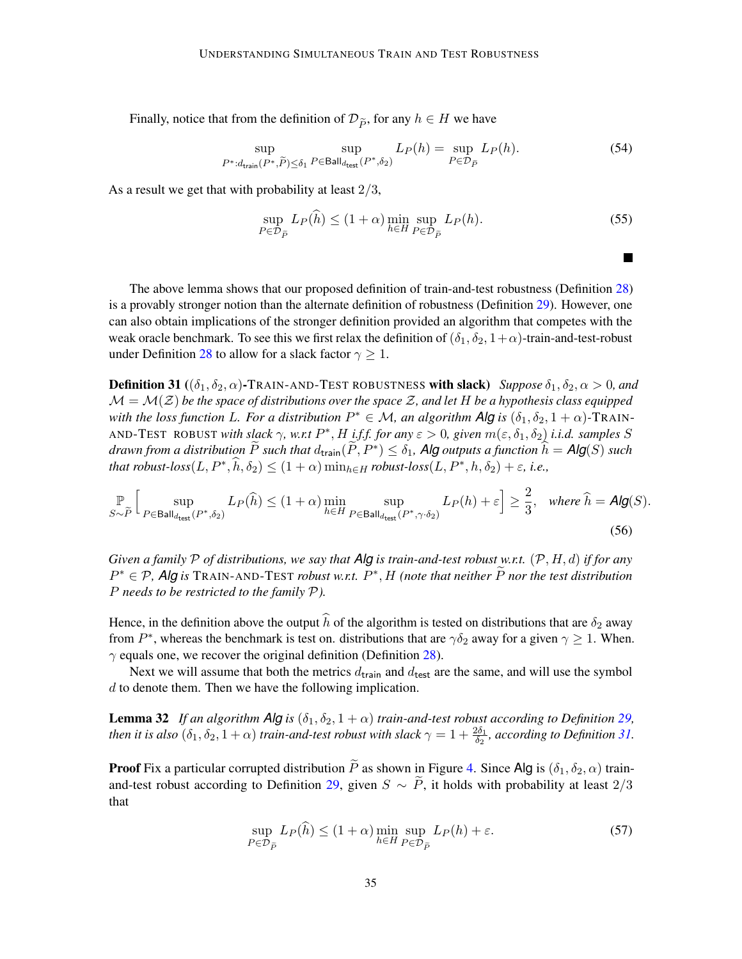Finally, notice that from the definition of  $\mathcal{D}_{\tilde{P}}$ , for any  $h \in H$  we have

$$
\sup_{P^*:d_{\text{train}}(P^*,\tilde{P})\le\delta_1} \sup_{P\in\text{Ball}_{d_{\text{test}}}(P^*,\delta_2)} L_P(h) = \sup_{P\in\mathcal{D}_{\tilde{P}}} L_P(h). \tag{54}
$$

As a result we get that with probability at least  $2/3$ ,

$$
\sup_{P \in \mathcal{D}_{\widetilde{P}}} L_P(\hat{h}) \le (1 + \alpha) \min_{h \in H} \sup_{P \in \mathcal{D}_{\widetilde{P}}} L_P(h). \tag{55}
$$

The above lemma shows that our proposed definition of train-and-test robustness (Definition [28\)](#page-32-2) is a provably stronger notion than the alternate definition of robustness (Definition [29\)](#page-32-3). However, one can also obtain implications of the stronger definition provided an algorithm that competes with the weak oracle benchmark. To see this we first relax the definition of  $(\delta_1, \delta_2, 1+\alpha)$ -train-and-test-robust under Definition [28](#page-32-2) to allow for a slack factor  $\gamma \geq 1$ .

<span id="page-34-0"></span>**Definition 31** (( $\delta_1, \delta_2, \alpha$ )-TRAIN-AND-TEST ROBUSTNESS with slack) *Suppose*  $\delta_1, \delta_2, \alpha > 0$ , and  $\mathcal{M} = \mathcal{M}(\mathcal{Z})$  be the space of distributions over the space  $\mathcal{Z}$ , and let H be a hypothesis class equipped *with the loss function L. For a distribution*  $P^* \in \mathcal{M}$ *, an algorithm Alg is*  $(\delta_1, \delta_2, 1 + \alpha)$ -TRAIN-AND-TEST ROBUST *with slack*  $\gamma$ , w.r.t  $P^*$ , H *i.f.f. for any*  $\varepsilon > 0$ , given  $m(\varepsilon, \delta_1, \delta_2)$  *i.i.d. samples* S  $d$ rawn from a distribution  $\widetilde{P}$  such that  $d_{\text{train}}(\widetilde{P}, P^*) \leq \delta_1$ , Alg outputs a function  $\widehat{h} = \text{Alg}(S)$  such *that robust-loss* $(L, P^*, \hat{h}, \delta_2) \leq (1 + \alpha) \min_{h \in H}$  *robust-loss* $(L, P^*, h, \delta_2) + \varepsilon$ , *i.e.*,

$$
\mathbb{P}_{S \sim \tilde{P}} \Big[ \sup_{P \in \mathsf{Ball}_{d_{\mathsf{test}}}(P^*, \delta_2)} L_P(\hat{h}) \le (1+\alpha) \min_{h \in H} \sup_{P \in \mathsf{Ball}_{d_{\mathsf{test}}}(P^*, \gamma \cdot \delta_2)} L_P(h) + \varepsilon \Big] \ge \frac{2}{3}, \quad \text{where } \hat{h} = \mathsf{Alg}(S). \tag{56}
$$

*Given a family* P *of distributions, we say that Alg is train-and-test robust w.r.t.* (P, H, d) *if for any*  $P^* \in \mathcal{P}$ , Alg is TRAIN-AND-TEST *robust w.r.t.*  $P^*$ , H *(note that neither*  $\widetilde{P}$  *nor the test distribution* P *needs to be restricted to the family* P*).*

Hence, in the definition above the output  $\hat{h}$  of the algorithm is tested on distributions that are  $\delta_2$  away from  $P^*$ , whereas the benchmark is test on. distributions that are  $\gamma \delta_2$  away for a given  $\gamma \geq 1$ . When.  $\gamma$  equals one, we recover the original definition (Definition [28\)](#page-32-2).

Next we will assume that both the metrics  $d_{\text{train}}$  and  $d_{\text{test}}$  are the same, and will use the symbol d to denote them. Then we have the following implication.

**Lemma 32** *If an algorithm Alg is*  $(\delta_1, \delta_2, 1 + \alpha)$  *train-and-test robust according to Definition [29,](#page-32-3) then it is also*  $(\delta_1, \delta_2, 1+\alpha)$  *train-and-test robust with slack*  $\gamma = 1 + \frac{2\delta_1}{\delta_2}$ *, according to Definition [31.](#page-34-0)* 

**Proof** Fix a particular corrupted distribution  $\tilde{P}$  as shown in Figure [4.](#page-33-0) Since Alg is  $(\delta_1, \delta_2, \alpha)$  train-and-test robust according to Definition [29,](#page-32-3) given  $S \sim \overline{P}$ , it holds with probability at least 2/3 that

$$
\sup_{P \in \mathcal{D}_{\tilde{P}}} L_P(\tilde{h}) \le (1 + \alpha) \min_{h \in H} \sup_{P \in \mathcal{D}_{\tilde{P}}} L_P(h) + \varepsilon.
$$
\n(57)